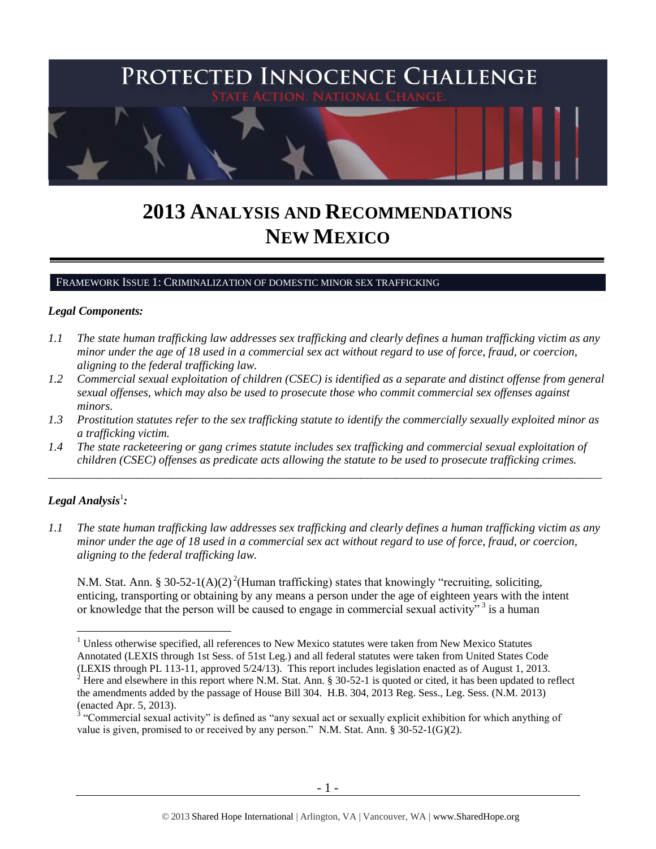

# **2013 ANALYSIS AND RECOMMENDATIONS NEW MEXICO**

#### FRAMEWORK ISSUE 1: CRIMINALIZATION OF DOMESTIC MINOR SEX TRAFFICKING

#### *Legal Components:*

- *1.1 The state human trafficking law addresses sex trafficking and clearly defines a human trafficking victim as any minor under the age of 18 used in a commercial sex act without regard to use of force, fraud, or coercion, aligning to the federal trafficking law.*
- *1.2 Commercial sexual exploitation of children (CSEC) is identified as a separate and distinct offense from general sexual offenses, which may also be used to prosecute those who commit commercial sex offenses against minors.*
- *1.3 Prostitution statutes refer to the sex trafficking statute to identify the commercially sexually exploited minor as a trafficking victim.*
- *1.4 The state racketeering or gang crimes statute includes sex trafficking and commercial sexual exploitation of children (CSEC) offenses as predicate acts allowing the statute to be used to prosecute trafficking crimes.*

\_\_\_\_\_\_\_\_\_\_\_\_\_\_\_\_\_\_\_\_\_\_\_\_\_\_\_\_\_\_\_\_\_\_\_\_\_\_\_\_\_\_\_\_\_\_\_\_\_\_\_\_\_\_\_\_\_\_\_\_\_\_\_\_\_\_\_\_\_\_\_\_\_\_\_\_\_\_\_\_\_\_\_\_\_\_\_\_\_\_\_\_\_\_

# $\bm{L}$ egal Analysis $^1$ :

<span id="page-0-1"></span> $\overline{a}$ 

*1.1 The state human trafficking law addresses sex trafficking and clearly defines a human trafficking victim as any minor under the age of 18 used in a commercial sex act without regard to use of force, fraud, or coercion, aligning to the federal trafficking law.*

<span id="page-0-0"></span>N.M. Stat. Ann. § 30-52-1(A)(2)<sup>2</sup>(Human trafficking) states that knowingly "recruiting, soliciting, enticing, transporting or obtaining by any means a person under the age of eighteen years with the intent or knowledge that the person will be caused to engage in commercial sexual activity"<sup>3</sup> is a human

<sup>&</sup>lt;sup>1</sup> Unless otherwise specified, all references to New Mexico statutes were taken from New Mexico Statutes Annotated (LEXIS through 1st Sess. of 51st Leg.) and all federal statutes were taken from United States Code (LEXIS through PL 113-11, approved 5/24/13). This report includes legislation enacted as of August 1, 2013.

<sup>&</sup>lt;sup>2</sup> Here and elsewhere in this report where N.M. Stat. Ann. § 30-52-1 is quoted or cited, it has been updated to reflect the amendments added by the passage of House Bill 304. H.B. 304, 2013 Reg. Sess., Leg. Sess. (N.M. 2013) (enacted Apr. 5, 2013).

 $3$  "Commercial sexual activity" is defined as "any sexual act or sexually explicit exhibition for which anything of value is given, promised to or received by any person." N.M. Stat. Ann.  $\S 30-52-1(G)(2)$ .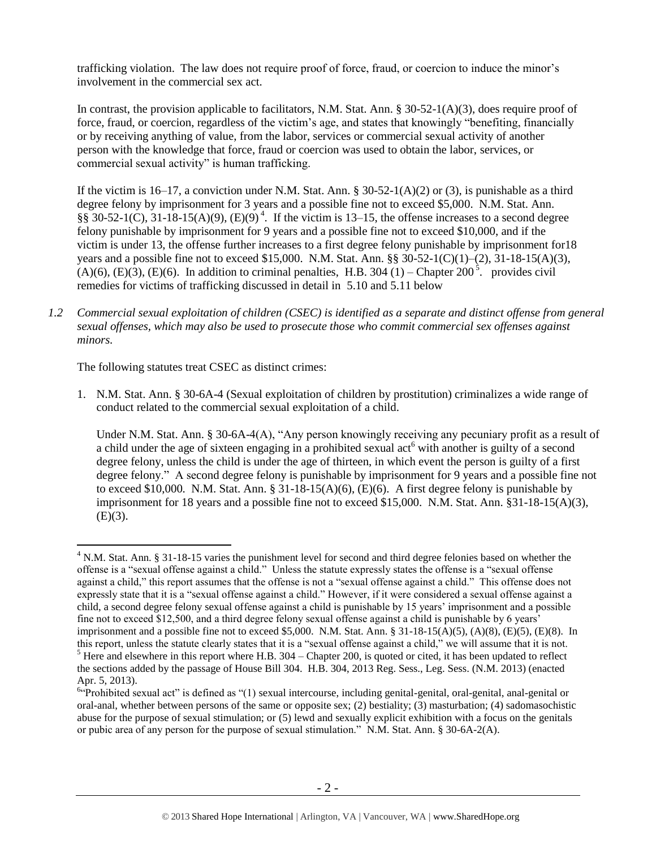trafficking violation. The law does not require proof of force, fraud, or coercion to induce the minor's involvement in the commercial sex act.

In contrast, the provision applicable to facilitators, N.M. Stat. Ann. § 30-52-1(A)(3), does require proof of force, fraud, or coercion, regardless of the victim's age, and states that knowingly "benefiting, financially or by receiving anything of value, from the labor, services or commercial sexual activity of another person with the knowledge that force, fraud or coercion was used to obtain the labor, services, or commercial sexual activity" is human trafficking.

<span id="page-1-2"></span>If the victim is 16–17, a conviction under N.M. Stat. Ann. § 30-52-1(A)(2) or (3), is punishable as a third degree felony by imprisonment for 3 years and a possible fine not to exceed \$5,000. N.M. Stat. Ann.  $\S$ § 30-52-1(C), 31-18-15(A)(9), (E)(9)<sup>4</sup>. If the victim is 13–15, the offense increases to a second degree felony punishable by imprisonment for 9 years and a possible fine not to exceed \$10,000, and if the victim is under 13, the offense further increases to a first degree felony punishable by imprisonment for18 years and a possible fine not to exceed \$15,000. N.M. Stat. Ann. §§ 30-52-1(C)(1)–(2), 31-18-15(A)(3),  $(A)(6)$ ,  $(E)(3)$ ,  $(E)(6)$ . In addition to criminal penalties, H.B. 304 (1) – Chapter 200<sup>5</sup>. provides civil remedies for victims of trafficking discussed in detail in 5.10 and 5.11 below

<span id="page-1-1"></span>*1.2 Commercial sexual exploitation of children (CSEC) is identified as a separate and distinct offense from general sexual offenses, which may also be used to prosecute those who commit commercial sex offenses against minors.*

The following statutes treat CSEC as distinct crimes:

1. N.M. Stat. Ann. § 30-6A-4 (Sexual exploitation of children by prostitution) criminalizes a wide range of conduct related to the commercial sexual exploitation of a child.

<span id="page-1-0"></span>Under N.M. Stat. Ann. § 30-6A-4(A), "Any person knowingly receiving any pecuniary profit as a result of a child under the age of sixteen engaging in a prohibited sexual act<sup>6</sup> with another is guilty of a second degree felony, unless the child is under the age of thirteen, in which event the person is guilty of a first degree felony." A second degree felony is punishable by imprisonment for 9 years and a possible fine not to exceed \$10,000. N.M. Stat. Ann. §  $31-18-15(A)(6)$ , (E)(6). A first degree felony is punishable by imprisonment for 18 years and a possible fine not to exceed \$15,000. N.M. Stat. Ann. §31-18-15(A)(3),  $(E)(3)$ .

 $\overline{a}$ <sup>4</sup> N.M. Stat. Ann. § 31-18-15 varies the punishment level for second and third degree felonies based on whether the offense is a "sexual offense against a child." Unless the statute expressly states the offense is a "sexual offense against a child," this report assumes that the offense is not a "sexual offense against a child." This offense does not expressly state that it is a "sexual offense against a child." However, if it were considered a sexual offense against a child, a second degree felony sexual offense against a child is punishable by 15 years' imprisonment and a possible fine not to exceed \$12,500, and a third degree felony sexual offense against a child is punishable by 6 years' imprisonment and a possible fine not to exceed \$5,000. N.M. Stat. Ann. § 31-18-15(A)(5), (A)(8), (E)(5), (E)(8). In this report, unless the statute clearly states that it is a "sexual offense against a child," we will assume that it is not.  $<sup>5</sup>$  Here and elsewhere in this report where H.B. 304 – Chapter 200, is quoted or cited, it has been updated to reflect</sup>

the sections added by the passage of House Bill 304. H.B. 304, 2013 Reg. Sess., Leg. Sess. (N.M. 2013) (enacted Apr. 5, 2013).

<sup>&</sup>lt;sup>6</sup><sup>c</sup>Prohibited sexual act" is defined as "(1) sexual intercourse, including genital-genital, oral-genital, anal-genital or oral-anal, whether between persons of the same or opposite sex; (2) bestiality; (3) masturbation; (4) sadomasochistic abuse for the purpose of sexual stimulation; or (5) lewd and sexually explicit exhibition with a focus on the genitals or pubic area of any person for the purpose of sexual stimulation." N.M. Stat. Ann. § 30-6A-2(A).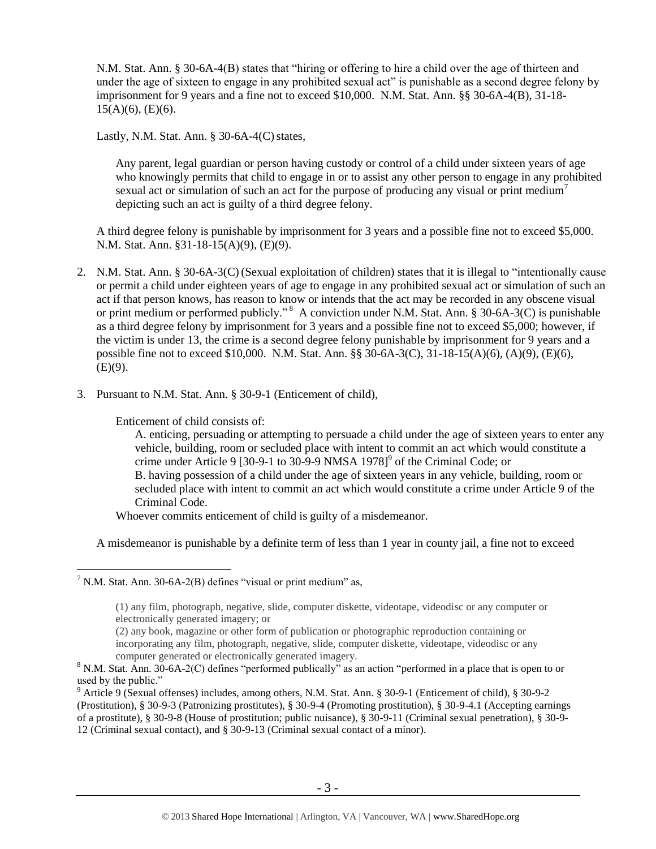N.M. Stat. Ann. § 30-6A-4(B) states that "hiring or offering to hire a child over the age of thirteen and under the age of sixteen to engage in any prohibited sexual act" is punishable as a second degree felony by imprisonment for 9 years and a fine not to exceed \$10,000. N.M. Stat. Ann. §§ 30-6A-4(B), 31-18-  $15(A)(6)$ , (E)(6).

Lastly, N.M. Stat. Ann.  $\S$  30-6A-4(C) states,

Any parent, legal guardian or person having custody or control of a child under sixteen years of age who knowingly permits that child to engage in or to assist any other person to engage in any prohibited sexual act or simulation of such an act for the purpose of producing any visual or print medium<sup>7</sup> depicting such an act is guilty of a third degree felony.

A third degree felony is punishable by imprisonment for 3 years and a possible fine not to exceed \$5,000. N.M. Stat. Ann. §31-18-15(A)(9), (E)(9).

- 2. N.M. Stat. Ann. § 30-6A-3(C) (Sexual exploitation of children) states that it is illegal to "intentionally cause or permit a child under eighteen years of age to engage in any prohibited sexual act or simulation of such an act if that person knows, has reason to know or intends that the act may be recorded in any obscene visual or print medium or performed publicly."<sup>8</sup> A conviction under N.M. Stat. Ann. § 30-6A-3(C) is punishable as a third degree felony by imprisonment for 3 years and a possible fine not to exceed \$5,000; however, if the victim is under 13, the crime is a second degree felony punishable by imprisonment for 9 years and a possible fine not to exceed \$10,000. N.M. Stat. Ann. §§ 30-6A-3(C), 31-18-15(A)(6), (A)(9), (E)(6),  $(E)(9)$ .
- 3. Pursuant to N.M. Stat. Ann. § 30-9-1 (Enticement of child),

Enticement of child consists of:

 $\overline{a}$ 

<span id="page-2-0"></span>A. enticing, persuading or attempting to persuade a child under the age of sixteen years to enter any vehicle, building, room or secluded place with intent to commit an act which would constitute a crime under Article 9 [30-9-1 to 30-9-9 NMSA 1978] $^9$  of the Criminal Code; or B. having possession of a child under the age of sixteen years in any vehicle, building, room or secluded place with intent to commit an act which would constitute a crime under Article 9 of the Criminal Code.

Whoever commits enticement of child is guilty of a misdemeanor.

A misdemeanor is punishable by a definite term of less than 1 year in county jail, a fine not to exceed

 $7$  N.M. Stat. Ann. 30-6A-2(B) defines "visual or print medium" as,

<sup>(1)</sup> any film, photograph, negative, slide, computer diskette, videotape, videodisc or any computer or electronically generated imagery; or

<sup>(2)</sup> any book, magazine or other form of publication or photographic reproduction containing or incorporating any film, photograph, negative, slide, computer diskette, videotape, videodisc or any computer generated or electronically generated imagery.

<sup>8</sup> N.M. Stat. Ann. 30-6A-2(C) defines "performed publically" as an action "performed in a place that is open to or used by the public."

<sup>9</sup> Article 9 (Sexual offenses) includes, among others, N.M. Stat. Ann. § 30-9-1 (Enticement of child), § 30-9-2 (Prostitution), § 30-9-3 (Patronizing prostitutes), § 30-9-4 (Promoting prostitution), § 30-9-4.1 (Accepting earnings of a prostitute), § 30-9-8 (House of prostitution; public nuisance), § 30-9-11 (Criminal sexual penetration), § 30-9- 12 (Criminal sexual contact), and § 30-9-13 (Criminal sexual contact of a minor).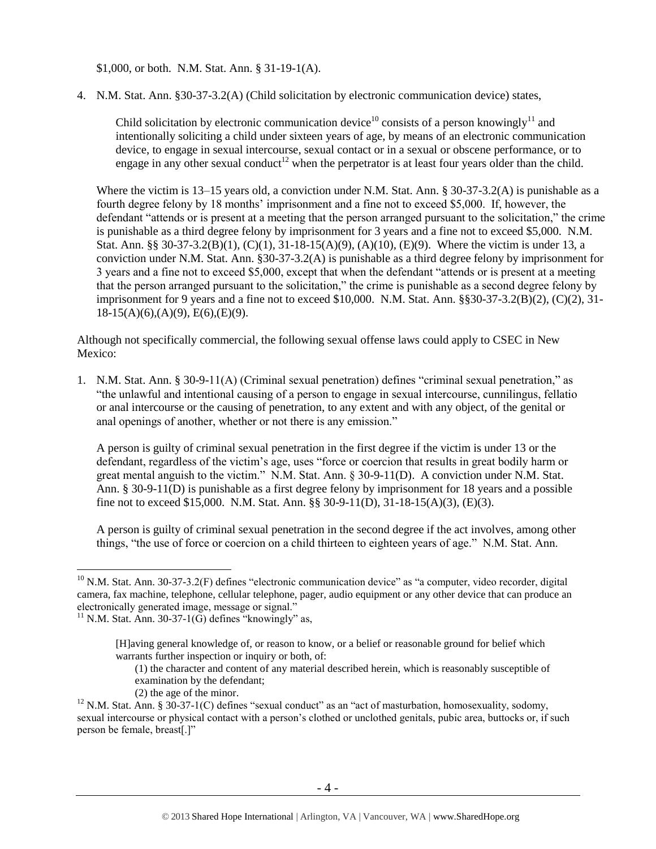\$1,000, or both. N.M. Stat. Ann. § 31-19-1(A).

4. N.M. Stat. Ann. §30-37-3.2(A) (Child solicitation by electronic communication device) states,

<span id="page-3-0"></span>Child solicitation by electronic communication device<sup>10</sup> consists of a person knowingly<sup>11</sup> and intentionally soliciting a child under sixteen years of age, by means of an electronic communication device, to engage in sexual intercourse, sexual contact or in a sexual or obscene performance, or to engage in any other sexual conduct<sup>12</sup> when the perpetrator is at least four years older than the child.

Where the victim is 13–15 years old, a conviction under N.M. Stat. Ann. § 30-37-3.2(A) is punishable as a fourth degree felony by 18 months' imprisonment and a fine not to exceed \$5,000. If, however, the defendant "attends or is present at a meeting that the person arranged pursuant to the solicitation," the crime is punishable as a third degree felony by imprisonment for 3 years and a fine not to exceed \$5,000. N.M. Stat. Ann. §§ 30-37-3.2(B)(1), (C)(1), 31-18-15(A)(9), (A)(10), (E)(9). Where the victim is under 13, a conviction under N.M. Stat. Ann. §30-37-3.2(A) is punishable as a third degree felony by imprisonment for 3 years and a fine not to exceed \$5,000, except that when the defendant "attends or is present at a meeting that the person arranged pursuant to the solicitation," the crime is punishable as a second degree felony by imprisonment for 9 years and a fine not to exceed  $$10,000$ . N.M. Stat. Ann.  $$830-37-3.2(B)(2)$ ,  $(C)(2)$ ,  $31-$ 18-15(A)(6),(A)(9), E(6),(E)(9).

Although not specifically commercial, the following sexual offense laws could apply to CSEC in New Mexico:

1. N.M. Stat. Ann. § 30-9-11(A) (Criminal sexual penetration) defines "criminal sexual penetration," as "the unlawful and intentional causing of a person to engage in sexual intercourse, cunnilingus, fellatio or anal intercourse or the causing of penetration, to any extent and with any object, of the genital or anal openings of another, whether or not there is any emission."

A person is guilty of criminal sexual penetration in the first degree if the victim is under 13 or the defendant, regardless of the victim's age, uses "force or coercion that results in great bodily harm or great mental anguish to the victim." N.M. Stat. Ann. § 30-9-11(D). A conviction under N.M. Stat. Ann. § 30-9-11(D) is punishable as a first degree felony by imprisonment for 18 years and a possible fine not to exceed \$15,000. N.M. Stat. Ann. §§ 30-9-11(D), 31-18-15(A)(3), (E)(3).

A person is guilty of criminal sexual penetration in the second degree if the act involves, among other things, "the use of force or coercion on a child thirteen to eighteen years of age." N.M. Stat. Ann.

 $\overline{a}$ 

(2) the age of the minor.

<sup>&</sup>lt;sup>10</sup> N.M. Stat. Ann. 30-37-3.2(F) defines "electronic communication device" as "a computer, video recorder, digital camera, fax machine, telephone, cellular telephone, pager, audio equipment or any other device that can produce an electronically generated image, message or signal."

 $11$  N.M. Stat. Ann. 30-37-1(G) defines "knowingly" as,

<sup>[</sup>H]aving general knowledge of, or reason to know, or a belief or reasonable ground for belief which warrants further inspection or inquiry or both, of:

<sup>(1)</sup> the character and content of any material described herein, which is reasonably susceptible of examination by the defendant;

<sup>&</sup>lt;sup>12</sup> N.M. Stat. Ann. § 30-37-1(C) defines "sexual conduct" as an "act of masturbation, homosexuality, sodomy, sexual intercourse or physical contact with a person's clothed or unclothed genitals, pubic area, buttocks or, if such person be female, breast[.]"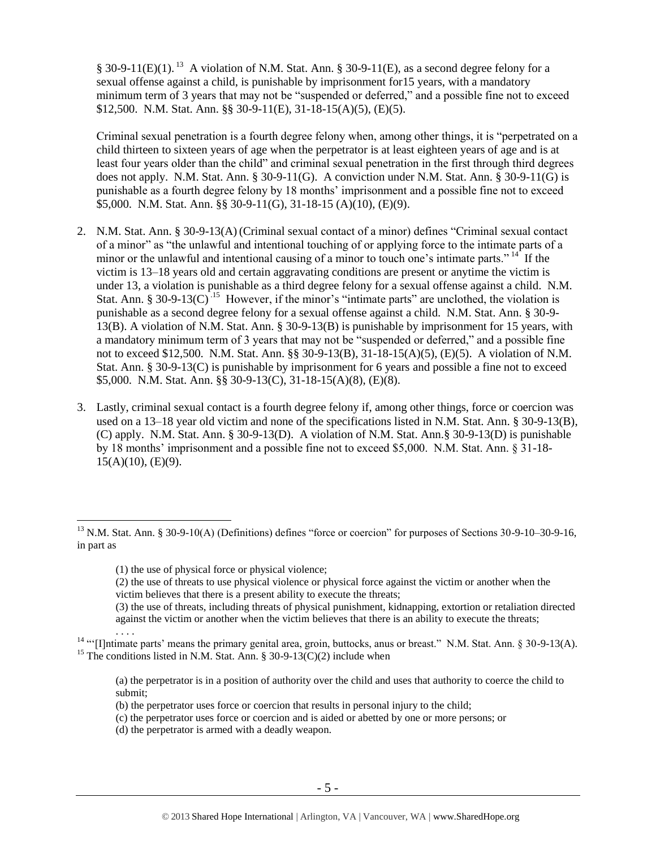§ 30-9-11(E)(1).<sup>13</sup> A violation of N.M. Stat. Ann. § 30-9-11(E), as a second degree felony for a sexual offense against a child, is punishable by imprisonment for15 years, with a mandatory minimum term of 3 years that may not be "suspended or deferred," and a possible fine not to exceed \$12,500. N.M. Stat. Ann. §§ 30-9-11(E), 31-18-15(A)(5), (E)(5).

Criminal sexual penetration is a fourth degree felony when, among other things, it is "perpetrated on a child thirteen to sixteen years of age when the perpetrator is at least eighteen years of age and is at least four years older than the child" and criminal sexual penetration in the first through third degrees does not apply. N.M. Stat. Ann. § 30-9-11(G). A conviction under N.M. Stat. Ann. § 30-9-11(G) is punishable as a fourth degree felony by 18 months' imprisonment and a possible fine not to exceed \$5,000. N.M. Stat. Ann. §§ 30-9-11(G), 31-18-15 (A)(10), (E)(9).

- 2. N.M. Stat. Ann. § 30-9-13(A) (Criminal sexual contact of a minor) defines "Criminal sexual contact of a minor" as "the unlawful and intentional touching of or applying force to the intimate parts of a minor or the unlawful and intentional causing of a minor to touch one's intimate parts."<sup>14</sup> If the victim is 13–18 years old and certain aggravating conditions are present or anytime the victim is under 13, a violation is punishable as a third degree felony for a sexual offense against a child. N.M. Stat. Ann. § 30-9-13(C).<sup>15</sup> However, if the minor's "intimate parts" are unclothed, the violation is punishable as a second degree felony for a sexual offense against a child. N.M. Stat. Ann. § 30-9- 13(B). A violation of N.M. Stat. Ann. § 30-9-13(B) is punishable by imprisonment for 15 years, with a mandatory minimum term of 3 years that may not be "suspended or deferred," and a possible fine not to exceed \$12,500. N.M. Stat. Ann. §§ 30-9-13(B), 31-18-15(A)(5), (E)(5). A violation of N.M. Stat. Ann. § 30-9-13(C) is punishable by imprisonment for 6 years and possible a fine not to exceed \$5,000. N.M. Stat. Ann. §§ 30-9-13(C), 31-18-15(A)(8), (E)(8).
- 3. Lastly, criminal sexual contact is a fourth degree felony if, among other things, force or coercion was used on a 13–18 year old victim and none of the specifications listed in N.M. Stat. Ann. § 30-9-13(B), (C) apply. N.M. Stat. Ann. § 30-9-13(D). A violation of N.M. Stat. Ann.§ 30-9-13(D) is punishable by 18 months' imprisonment and a possible fine not to exceed \$5,000. N.M. Stat. Ann. § 31-18-  $15(A)(10)$ , (E)(9).

 $\overline{a}$ 

(2) the use of threats to use physical violence or physical force against the victim or another when the victim believes that there is a present ability to execute the threats;

(d) the perpetrator is armed with a deadly weapon.

<sup>&</sup>lt;sup>13</sup> N.M. Stat. Ann. § 30-9-10(A) (Definitions) defines "force or coercion" for purposes of Sections 30-9-10–30-9-16, in part as

<sup>(1)</sup> the use of physical force or physical violence;

<sup>(3)</sup> the use of threats, including threats of physical punishment, kidnapping, extortion or retaliation directed against the victim or another when the victim believes that there is an ability to execute the threats;

<sup>. . . .</sup> <sup>14</sup> "'[I]ntimate parts' means the primary genital area, groin, buttocks, anus or breast." N.M. Stat. Ann. § 30-9-13(A). <sup>15</sup> The conditions listed in N.M. Stat. Ann. § 30-9-13(C)(2) include when

<sup>(</sup>a) the perpetrator is in a position of authority over the child and uses that authority to coerce the child to submit;

<sup>(</sup>b) the perpetrator uses force or coercion that results in personal injury to the child;

<sup>(</sup>c) the perpetrator uses force or coercion and is aided or abetted by one or more persons; or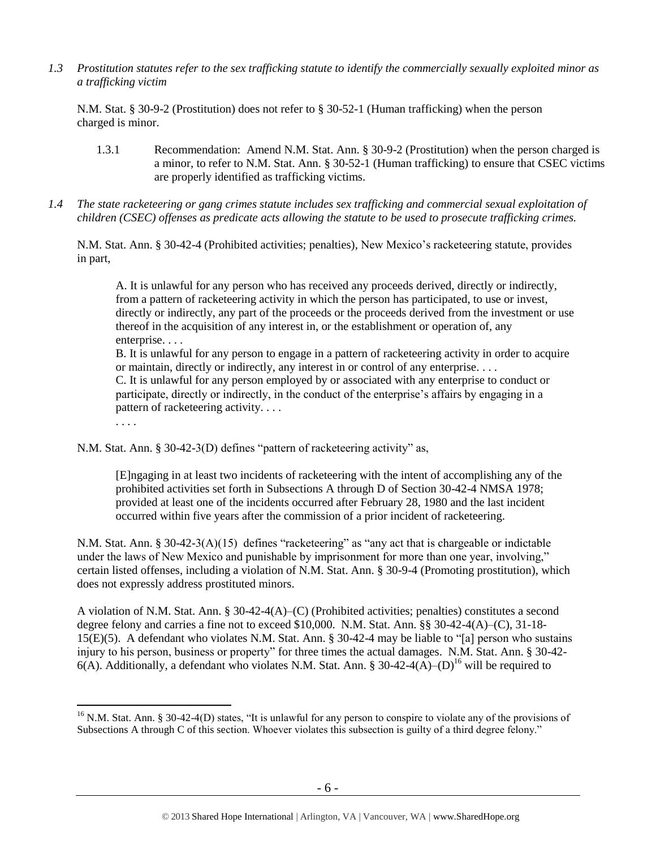*1.3 Prostitution statutes refer to the sex trafficking statute to identify the commercially sexually exploited minor as a trafficking victim* 

N.M. Stat. § 30-9-2 (Prostitution) does not refer to § 30-52-1 (Human trafficking) when the person charged is minor.

- 1.3.1 Recommendation: Amend N.M. Stat. Ann. § 30-9-2 (Prostitution) when the person charged is a minor, to refer to N.M. Stat. Ann. § 30-52-1 (Human trafficking) to ensure that CSEC victims are properly identified as trafficking victims.
- *1.4 The state racketeering or gang crimes statute includes sex trafficking and commercial sexual exploitation of children (CSEC) offenses as predicate acts allowing the statute to be used to prosecute trafficking crimes.*

N.M. Stat. Ann. § 30-42-4 (Prohibited activities; penalties), New Mexico's racketeering statute, provides in part,

A. It is unlawful for any person who has received any proceeds derived, directly or indirectly, from a pattern of racketeering activity in which the person has participated, to use or invest, directly or indirectly, any part of the proceeds or the proceeds derived from the investment or use thereof in the acquisition of any interest in, or the establishment or operation of, any enterprise. . . .

B. It is unlawful for any person to engage in a pattern of racketeering activity in order to acquire or maintain, directly or indirectly, any interest in or control of any enterprise. . . . C. It is unlawful for any person employed by or associated with any enterprise to conduct or participate, directly or indirectly, in the conduct of the enterprise's affairs by engaging in a pattern of racketeering activity. . . .

. . . .

 $\overline{a}$ 

N.M. Stat. Ann. § 30-42-3(D) defines "pattern of racketeering activity" as,

[E]ngaging in at least two incidents of racketeering with the intent of accomplishing any of the prohibited activities set forth in Subsections A through D of Section 30-42-4 NMSA 1978; provided at least one of the incidents occurred after February 28, 1980 and the last incident occurred within five years after the commission of a prior incident of racketeering.

N.M. Stat. Ann. § 30-42-3(A)(15) defines "racketeering" as "any act that is chargeable or indictable under the laws of New Mexico and punishable by imprisonment for more than one year, involving," certain listed offenses, including a violation of N.M. Stat. Ann. § 30-9-4 (Promoting prostitution), which does not expressly address prostituted minors.

A violation of N.M. Stat. Ann. § 30-42-4(A)–(C) (Prohibited activities; penalties) constitutes a second degree felony and carries a fine not to exceed \$10,000. N.M. Stat. Ann. §§ 30-42-4(A)–(C), 31-18- 15(E)(5). A defendant who violates N.M. Stat. Ann. § 30-42-4 may be liable to "[a] person who sustains injury to his person, business or property" for three times the actual damages. N.M. Stat. Ann. § 30-42- 6(A). Additionally, a defendant who violates N.M. Stat. Ann. § 30-42-4(A)–(D)<sup>16</sup> will be required to

<sup>&</sup>lt;sup>16</sup> N.M. Stat. Ann. § 30-42-4(D) states, "It is unlawful for any person to conspire to violate any of the provisions of Subsections A through C of this section. Whoever violates this subsection is guilty of a third degree felony."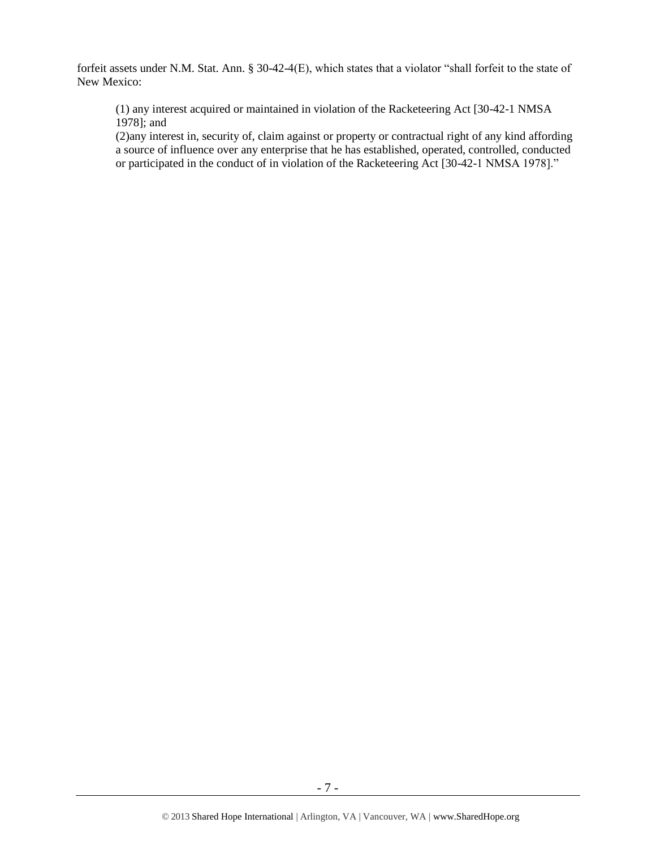forfeit assets under N.M. Stat. Ann. § 30-42-4(E), which states that a violator "shall forfeit to the state of New Mexico:

(1) any interest acquired or maintained in violation of the Racketeering Act [30-42-1 NMSA 1978]; and

(2)any interest in, security of, claim against or property or contractual right of any kind affording a source of influence over any enterprise that he has established, operated, controlled, conducted or participated in the conduct of in violation of the Racketeering Act [30-42-1 NMSA 1978]."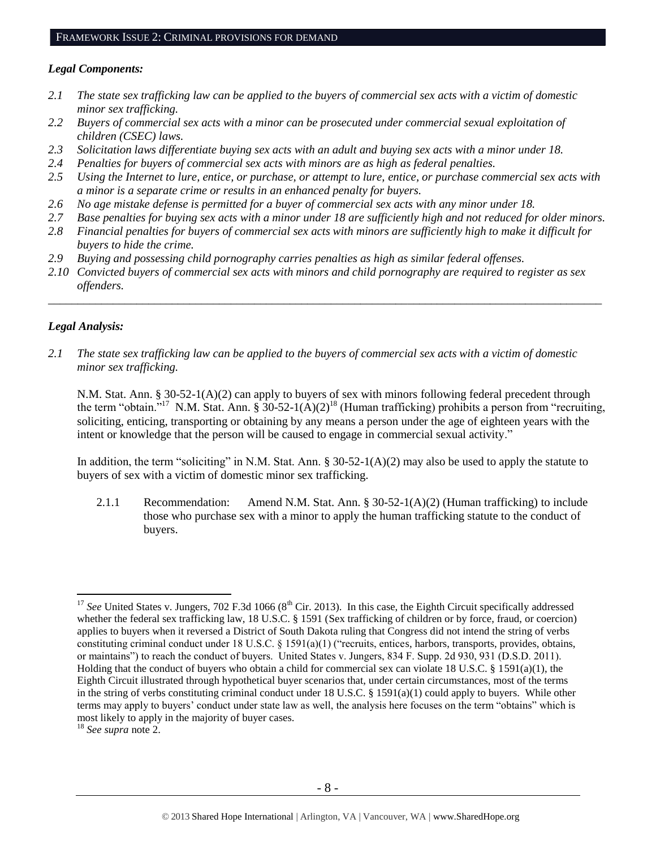#### *Legal Components:*

- *2.1 The state sex trafficking law can be applied to the buyers of commercial sex acts with a victim of domestic minor sex trafficking.*
- *2.2 Buyers of commercial sex acts with a minor can be prosecuted under commercial sexual exploitation of children (CSEC) laws.*
- *2.3 Solicitation laws differentiate buying sex acts with an adult and buying sex acts with a minor under 18.*
- *2.4 Penalties for buyers of commercial sex acts with minors are as high as federal penalties.*
- *2.5 Using the Internet to lure, entice, or purchase, or attempt to lure, entice, or purchase commercial sex acts with a minor is a separate crime or results in an enhanced penalty for buyers.*
- *2.6 No age mistake defense is permitted for a buyer of commercial sex acts with any minor under 18.*
- *2.7 Base penalties for buying sex acts with a minor under 18 are sufficiently high and not reduced for older minors.*
- *2.8 Financial penalties for buyers of commercial sex acts with minors are sufficiently high to make it difficult for buyers to hide the crime.*
- *2.9 Buying and possessing child pornography carries penalties as high as similar federal offenses.*
- *2.10 Convicted buyers of commercial sex acts with minors and child pornography are required to register as sex offenders.*

\_\_\_\_\_\_\_\_\_\_\_\_\_\_\_\_\_\_\_\_\_\_\_\_\_\_\_\_\_\_\_\_\_\_\_\_\_\_\_\_\_\_\_\_\_\_\_\_\_\_\_\_\_\_\_\_\_\_\_\_\_\_\_\_\_\_\_\_\_\_\_\_\_\_\_\_\_\_\_\_\_\_\_\_\_\_\_\_\_\_\_\_\_\_

## *Legal Analysis:*

 $\overline{a}$ 

*2.1 The state sex trafficking law can be applied to the buyers of commercial sex acts with a victim of domestic minor sex trafficking.*

N.M. Stat. Ann. § 30-52-1(A)(2) can apply to buyers of sex with minors following federal precedent through the term "obtain."<sup>17</sup> N.M. Stat. Ann. § 30-52-1(A)(2)<sup>18</sup> (Human trafficking) prohibits a person from "recruiting, soliciting, enticing, transporting or obtaining by any means a person under the age of eighteen years with the intent or knowledge that the person will be caused to engage in commercial sexual activity."

In addition, the term "soliciting" in N.M. Stat. Ann. § 30-52-1(A)(2) may also be used to apply the statute to buyers of sex with a victim of domestic minor sex trafficking.

2.1.1 Recommendation: Amend N.M. Stat. Ann. § 30-52-1(A)(2) (Human trafficking) to include those who purchase sex with a minor to apply the human trafficking statute to the conduct of buyers.

<sup>&</sup>lt;sup>17</sup> See United States v. Jungers, 702 F.3d 1066 (8<sup>th</sup> Cir. 2013). In this case, the Eighth Circuit specifically addressed whether the federal sex trafficking law, 18 U.S.C. § 1591 (Sex trafficking of children or by force, fraud, or coercion) applies to buyers when it reversed a District of South Dakota ruling that Congress did not intend the string of verbs constituting criminal conduct under 18 U.S.C.  $\S$  1591(a)(1) ("recruits, entices, harbors, transports, provides, obtains, or maintains") to reach the conduct of buyers. United States v. Jungers, 834 F. Supp. 2d 930, 931 (D.S.D. 2011). Holding that the conduct of buyers who obtain a child for commercial sex can violate 18 U.S.C. § 1591(a)(1), the Eighth Circuit illustrated through hypothetical buyer scenarios that, under certain circumstances, most of the terms in the string of verbs constituting criminal conduct under 18 U.S.C. § 1591(a)(1) could apply to buyers. While other terms may apply to buyers' conduct under state law as well, the analysis here focuses on the term "obtains" which is most likely to apply in the majority of buyer cases.

<sup>18</sup> *See supra* note [2.](#page-0-0)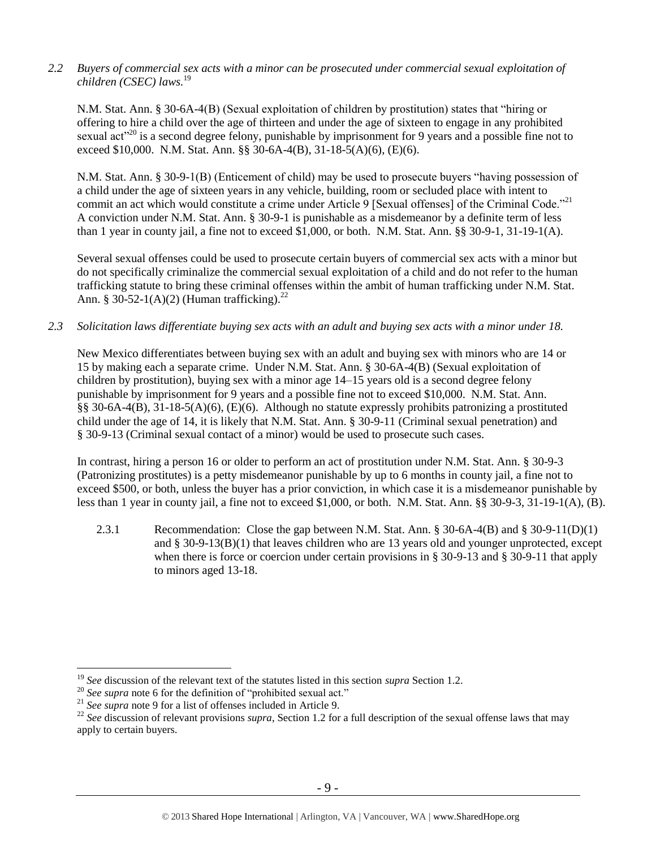*2.2 Buyers of commercial sex acts with a minor can be prosecuted under commercial sexual exploitation of children (CSEC) laws.* 19 

N.M. Stat. Ann. § 30-6A-4(B) (Sexual exploitation of children by prostitution) states that "hiring or offering to hire a child over the age of thirteen and under the age of sixteen to engage in any prohibited sexual act<sup>"20</sup> is a second degree felony, punishable by imprisonment for 9 years and a possible fine not to exceed \$10,000. N.M. Stat. Ann. §§ 30-6A-4(B), 31-18-5(A)(6), (E)(6).

N.M. Stat. Ann. § 30-9-1(B) (Enticement of child) may be used to prosecute buyers "having possession of a child under the age of sixteen years in any vehicle, building, room or secluded place with intent to commit an act which would constitute a crime under Article 9 [Sexual offenses] of the Criminal Code."<sup>21</sup> A conviction under N.M. Stat. Ann. § 30-9-1 is punishable as a misdemeanor by a definite term of less than 1 year in county jail, a fine not to exceed \$1,000, or both. N.M. Stat. Ann. §§ 30-9-1, 31-19-1(A).

Several sexual offenses could be used to prosecute certain buyers of commercial sex acts with a minor but do not specifically criminalize the commercial sexual exploitation of a child and do not refer to the human trafficking statute to bring these criminal offenses within the ambit of human trafficking under N.M. Stat. Ann. § 30-52-1(A)(2) (Human trafficking).<sup>22</sup>

*2.3 Solicitation laws differentiate buying sex acts with an adult and buying sex acts with a minor under 18.*

New Mexico differentiates between buying sex with an adult and buying sex with minors who are 14 or 15 by making each a separate crime. Under N.M. Stat. Ann. § 30-6A-4(B) (Sexual exploitation of children by prostitution), buying sex with a minor age 14–15 years old is a second degree felony punishable by imprisonment for 9 years and a possible fine not to exceed \$10,000. N.M. Stat. Ann. §§ 30-6A-4(B), 31-18-5(A)(6), (E)(6). Although no statute expressly prohibits patronizing a prostituted child under the age of 14, it is likely that N.M. Stat. Ann. § 30-9-11 (Criminal sexual penetration) and § 30-9-13 (Criminal sexual contact of a minor) would be used to prosecute such cases.

In contrast, hiring a person 16 or older to perform an act of prostitution under N.M. Stat. Ann. § 30-9-3 (Patronizing prostitutes) is a petty misdemeanor punishable by up to 6 months in county jail, a fine not to exceed \$500, or both, unless the buyer has a prior conviction, in which case it is a misdemeanor punishable by less than 1 year in county jail, a fine not to exceed \$1,000, or both. N.M. Stat. Ann. §§ 30-9-3, 31-19-1(A), (B).

2.3.1 Recommendation: Close the gap between N.M. Stat. Ann. § 30-6A-4(B) and § 30-9-11(D)(1) and  $\S 30-9-13(B)(1)$  that leaves children who are 13 years old and younger unprotected, except when there is force or coercion under certain provisions in § 30-9-13 and § 30-9-11 that apply to minors aged 13-18.

<sup>19</sup> *See* discussion of the relevant text of the statutes listed in this section *supra* Section 1.2.

<sup>&</sup>lt;sup>20</sup> See supra note [6](#page-1-0) for the definition of "prohibited sexual act."

<sup>21</sup> *See supra* note [9](#page-2-0) for a list of offenses included in Article 9.

<sup>&</sup>lt;sup>22</sup> See discussion of relevant provisions *supra*, Section 1[.2](#page-1-1) for a full description of the sexual offense laws that may apply to certain buyers.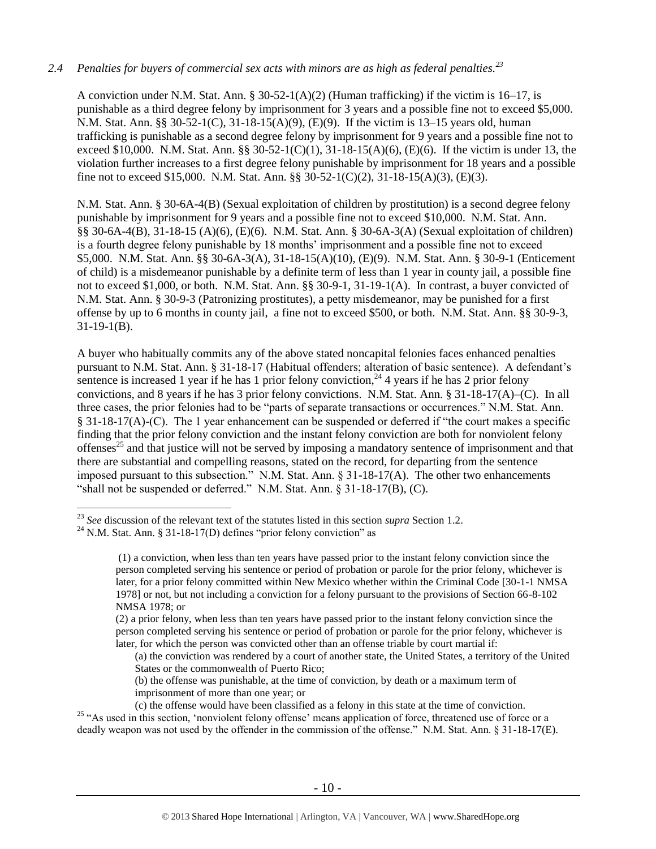## *2.4 Penalties for buyers of commercial sex acts with minors are as high as federal penalties.<sup>23</sup>*

A conviction under N.M. Stat. Ann. § 30-52-1(A)(2) (Human trafficking) if the victim is 16–17, is punishable as a third degree felony by imprisonment for 3 years and a possible fine not to exceed \$5,000. N.M. Stat. Ann. §§ 30-52-1(C), 31-18-15(A)(9), (E)(9). If the victim is 13–15 years old, human trafficking is punishable as a second degree felony by imprisonment for 9 years and a possible fine not to exceed \$10,000. N.M. Stat. Ann. §§ 30-52-1(C)(1), 31-18-15(A)(6), (E)(6). If the victim is under 13, the violation further increases to a first degree felony punishable by imprisonment for 18 years and a possible fine not to exceed \$15,000. N.M. Stat. Ann. §§ 30-52-1(C)(2), 31-18-15(A)(3), (E)(3).

N.M. Stat. Ann. § 30-6A-4(B) (Sexual exploitation of children by prostitution) is a second degree felony punishable by imprisonment for 9 years and a possible fine not to exceed \$10,000. N.M. Stat. Ann. §§ 30-6A-4(B), 31-18-15 (A)(6), (E)(6). N.M. Stat. Ann. § 30-6A-3(A) (Sexual exploitation of children) is a fourth degree felony punishable by 18 months' imprisonment and a possible fine not to exceed \$5,000. N.M. Stat. Ann. §§ 30-6A-3(A), 31-18-15(A)(10), (E)(9). N.M. Stat. Ann. § 30-9-1 (Enticement of child) is a misdemeanor punishable by a definite term of less than 1 year in county jail, a possible fine not to exceed \$1,000, or both. N.M. Stat. Ann. §§ 30-9-1, 31-19-1(A). In contrast, a buyer convicted of N.M. Stat. Ann. § 30-9-3 (Patronizing prostitutes), a petty misdemeanor, may be punished for a first offense by up to 6 months in county jail, a fine not to exceed \$500, or both. N.M. Stat. Ann. §§ 30-9-3, 31-19-1(B).

A buyer who habitually commits any of the above stated noncapital felonies faces enhanced penalties pursuant to N.M. Stat. Ann. § 31-18-17 (Habitual offenders; alteration of basic sentence). A defendant's sentence is increased 1 year if he has 1 prior felony conviction,  $^{24}$  4 years if he has 2 prior felony convictions, and 8 years if he has 3 prior felony convictions. N.M. Stat. Ann. § 31-18-17(A)–(C). In all three cases, the prior felonies had to be "parts of separate transactions or occurrences." N.M. Stat. Ann. § 31-18-17(A)-(C). The 1 year enhancement can be suspended or deferred if "the court makes a specific finding that the prior felony conviction and the instant felony conviction are both for nonviolent felony offenses<sup>25</sup> and that justice will not be served by imposing a mandatory sentence of imprisonment and that there are substantial and compelling reasons, stated on the record, for departing from the sentence imposed pursuant to this subsection." N.M. Stat. Ann. § 31-18-17(A). The other two enhancements "shall not be suspended or deferred." N.M. Stat. Ann. § 31-18-17(B), (C).

<sup>23</sup> *See* discussion of the relevant text of the statutes listed in this section *supra* Section 1[.2.](#page-1-1)

<sup>&</sup>lt;sup>24</sup> N.M. Stat. Ann. § 31-18-17(D) defines "prior felony conviction" as

<sup>(1)</sup> a conviction, when less than ten years have passed prior to the instant felony conviction since the person completed serving his sentence or period of probation or parole for the prior felony, whichever is later, for a prior felony committed within New Mexico whether within the Criminal Code [30-1-1 NMSA 1978] or not, but not including a conviction for a felony pursuant to the provisions of Section 66-8-102 NMSA 1978; or

<sup>(2)</sup> a prior felony, when less than ten years have passed prior to the instant felony conviction since the person completed serving his sentence or period of probation or parole for the prior felony, whichever is later, for which the person was convicted other than an offense triable by court martial if:

<sup>(</sup>a) the conviction was rendered by a court of another state, the United States, a territory of the United States or the commonwealth of Puerto Rico;

<sup>(</sup>b) the offense was punishable, at the time of conviction, by death or a maximum term of imprisonment of more than one year; or

<sup>(</sup>c) the offense would have been classified as a felony in this state at the time of conviction. <sup>25</sup> "As used in this section, 'nonviolent felony offense' means application of force, threatened use of force or a deadly weapon was not used by the offender in the commission of the offense." N.M. Stat. Ann. § 31-18-17(E).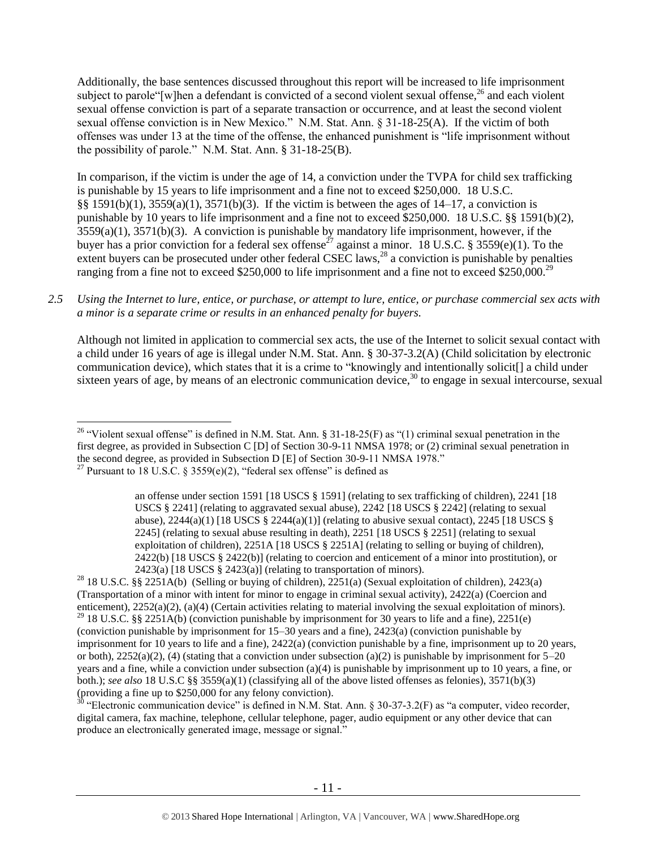Additionally, the base sentences discussed throughout this report will be increased to life imprisonment subject to parole "[w]hen a defendant is convicted of a second violent sexual offense,<sup>26</sup> and each violent sexual offense conviction is part of a separate transaction or occurrence, and at least the second violent sexual offense conviction is in New Mexico." N.M. Stat. Ann. § 31-18-25(A). If the victim of both offenses was under 13 at the time of the offense, the enhanced punishment is "life imprisonment without the possibility of parole." N.M. Stat. Ann. § 31-18-25(B).

<span id="page-10-0"></span>In comparison, if the victim is under the age of 14, a conviction under the TVPA for child sex trafficking is punishable by 15 years to life imprisonment and a fine not to exceed \$250,000. 18 U.S.C. §§ 1591(b)(1), 3559(a)(1), 3571(b)(3). If the victim is between the ages of 14–17, a conviction is punishable by 10 years to life imprisonment and a fine not to exceed \$250,000. 18 U.S.C. §§ 1591(b)(2),  $3559(a)(1)$ ,  $3571(b)(3)$ . A conviction is punishable by mandatory life imprisonment, however, if the buyer has a prior conviction for a federal sex offense<sup>27</sup> against a minor. 18 U.S.C. § 3559(e)(1). To the extent buyers can be prosecuted under other federal CSEC laws,  $^{28}$  a conviction is punishable by penalties ranging from a fine not to exceed \$250,000 to life imprisonment and a fine not to exceed \$250,000.<sup>29</sup>

## *2.5 Using the Internet to lure, entice, or purchase, or attempt to lure, entice, or purchase commercial sex acts with a minor is a separate crime or results in an enhanced penalty for buyers.*

Although not limited in application to commercial sex acts, the use of the Internet to solicit sexual contact with a child under 16 years of age is illegal under N.M. Stat. Ann. § 30-37-3.2(A) (Child solicitation by electronic communication device), which states that it is a crime to "knowingly and intentionally solicit[] a child under sixteen years of age, by means of an electronic communication device, $30$  to engage in sexual intercourse, sexual

<sup>28</sup> 18 U.S.C. §§ 2251A(b) (Selling or buying of children), 2251(a) (Sexual exploitation of children), 2423(a) (Transportation of a minor with intent for minor to engage in criminal sexual activity), 2422(a) (Coercion and enticement), 2252(a)(2), (a)(4) (Certain activities relating to material involving the sexual exploitation of minors). <sup>29</sup> 18 U.S.C. §§ 2251A(b) (conviction punishable by imprisonment for 30 years to life and a fine), 2251(e) (conviction punishable by imprisonment for 15–30 years and a fine), 2423(a) (conviction punishable by imprisonment for 10 years to life and a fine), 2422(a) (conviction punishable by a fine, imprisonment up to 20 years, or both),  $2252(a)(2)$ , (4) (stating that a conviction under subsection (a)(2) is punishable by imprisonment for  $5-20$ years and a fine, while a conviction under subsection (a)(4) is punishable by imprisonment up to 10 years, a fine, or both.); *see also* 18 U.S.C §§ 3559(a)(1) (classifying all of the above listed offenses as felonies), 3571(b)(3) (providing a fine up to \$250,000 for any felony conviction).

 $30$  "Electronic communication device" is defined in N.M. Stat. Ann. § 30-37-3.2(F) as "a computer, video recorder, digital camera, fax machine, telephone, cellular telephone, pager, audio equipment or any other device that can produce an electronically generated image, message or signal."

 $\overline{a}$ <sup>26</sup> "Violent sexual offense" is defined in N.M. Stat. Ann. § 31-18-25(F) as "(1) criminal sexual penetration in the first degree, as provided in Subsection C [D] of Section 30-9-11 NMSA 1978; or (2) criminal sexual penetration in the second degree, as provided in Subsection D [E] of Section 30-9-11 NMSA 1978." <sup>27</sup> Pursuant to 18 U.S.C. § 3559(e)(2), "federal sex offense" is defined as

an offense under section 1591 [18 USCS § 1591] (relating to sex trafficking of children), 2241 [18 USCS § 2241] (relating to aggravated sexual abuse), 2242 [18 USCS § 2242] (relating to sexual abuse),  $2244(a)(1)$  [18 USCS §  $2244(a)(1)$ ] (relating to abusive sexual contact),  $2245$  [18 USCS § 2245] (relating to sexual abuse resulting in death), 2251 [18 USCS § 2251] (relating to sexual exploitation of children), 2251A [18 USCS § 2251A] (relating to selling or buying of children), 2422(b) [18 USCS § 2422(b)] (relating to coercion and enticement of a minor into prostitution), or  $2423(a)$  [18 USCS § 2423(a)] (relating to transportation of minors).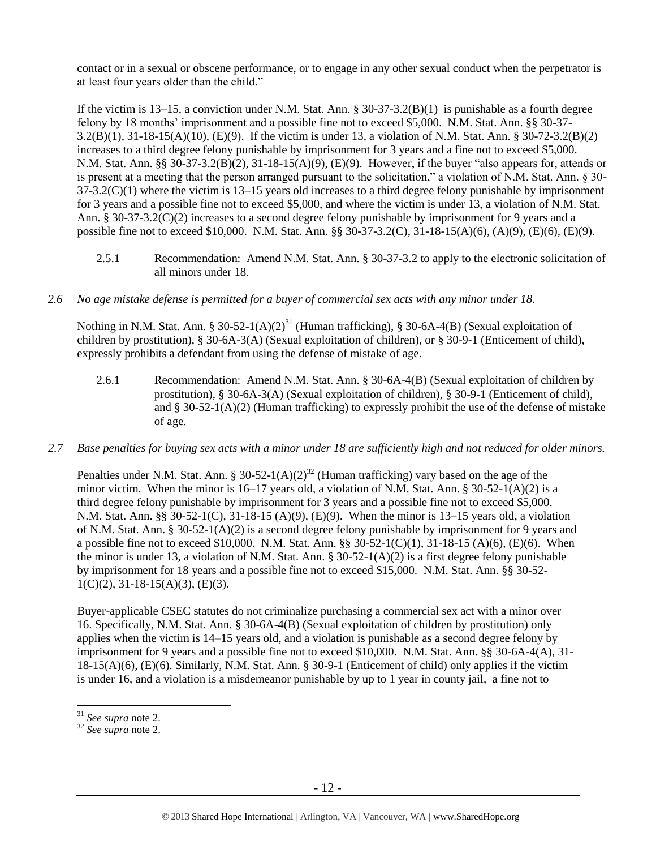contact or in a sexual or obscene performance, or to engage in any other sexual conduct when the perpetrator is at least four years older than the child."

If the victim is  $13-15$ , a conviction under N.M. Stat. Ann. §  $30-37-3.2(B)(1)$  is punishable as a fourth degree felony by 18 months' imprisonment and a possible fine not to exceed \$5,000. N.M. Stat. Ann. §§ 30-37- 3.2(B)(1), 31-18-15(A)(10), (E)(9). If the victim is under 13, a violation of N.M. Stat. Ann. § 30-72-3.2(B)(2) increases to a third degree felony punishable by imprisonment for 3 years and a fine not to exceed \$5,000. N.M. Stat. Ann. §§ 30-37-3.2(B)(2), 31-18-15(A)(9), (E)(9). However, if the buyer "also appears for, attends or is present at a meeting that the person arranged pursuant to the solicitation," a violation of N.M. Stat. Ann. § 30-  $37-3.2(C)(1)$  where the victim is  $13-15$  years old increases to a third degree felony punishable by imprisonment for 3 years and a possible fine not to exceed \$5,000, and where the victim is under 13, a violation of N.M. Stat. Ann. § 30-37-3.2(C)(2) increases to a second degree felony punishable by imprisonment for 9 years and a possible fine not to exceed \$10,000. N.M. Stat. Ann. §§ 30-37-3.2(C), 31-18-15(A)(6), (A)(9), (E)(6), (E)(9).

2.5.1 Recommendation: Amend N.M. Stat. Ann. § 30-37-3.2 to apply to the electronic solicitation of all minors under 18.

## *2.6 No age mistake defense is permitted for a buyer of commercial sex acts with any minor under 18.*

Nothing in N.M. Stat. Ann. § 30-52-1(A)(2)<sup>31</sup> (Human trafficking), § 30-6A-4(B) (Sexual exploitation of children by prostitution), § 30-6A-3(A) (Sexual exploitation of children), or § 30-9-1 (Enticement of child), expressly prohibits a defendant from using the defense of mistake of age.

- 2.6.1 Recommendation: Amend N.M. Stat. Ann. § 30-6A-4(B) (Sexual exploitation of children by prostitution), § 30-6A-3(A) (Sexual exploitation of children), § 30-9-1 (Enticement of child), and  $\S 30-52-1(A)(2)$  (Human trafficking) to expressly prohibit the use of the defense of mistake of age.
- *2.7 Base penalties for buying sex acts with a minor under 18 are sufficiently high and not reduced for older minors.*

Penalties under N.M. Stat. Ann. § 30-52-1(A)(2)<sup>32</sup> (Human trafficking) vary based on the age of the minor victim. When the minor is  $16-17$  years old, a violation of N.M. Stat. Ann. §  $30-52-1(A)(2)$  is a third degree felony punishable by imprisonment for 3 years and a possible fine not to exceed \$5,000. N.M. Stat. Ann. §§ 30-52-1(C), 31-18-15 (A)(9), (E)(9). When the minor is 13–15 years old, a violation of N.M. Stat. Ann. § 30-52-1(A)(2) is a second degree felony punishable by imprisonment for 9 years and a possible fine not to exceed \$10,000. N.M. Stat. Ann. §§ 30-52-1(C)(1), 31-18-15 (A)(6), (E)(6). When the minor is under 13, a violation of N.M. Stat. Ann. § 30-52-1(A)(2) is a first degree felony punishable by imprisonment for 18 years and a possible fine not to exceed \$15,000. N.M. Stat. Ann. §§ 30-52-  $1(C)(2)$ ,  $31-18-15(A)(3)$ ,  $(E)(3)$ .

Buyer-applicable CSEC statutes do not criminalize purchasing a commercial sex act with a minor over 16. Specifically, N.M. Stat. Ann. § 30-6A-4(B) (Sexual exploitation of children by prostitution) only applies when the victim is 14–15 years old, and a violation is punishable as a second degree felony by imprisonment for 9 years and a possible fine not to exceed \$10,000. N.M. Stat. Ann. §§ 30-6A-4(A), 31- 18-15(A)(6), (E)(6). Similarly, N.M. Stat. Ann. § 30-9-1 (Enticement of child) only applies if the victim is under 16, and a violation is a misdemeanor punishable by up to 1 year in county jail, a fine not to

<sup>31</sup> *See supra* note [2.](#page-0-0)

<sup>32</sup> *See supra* note [2.](#page-0-0)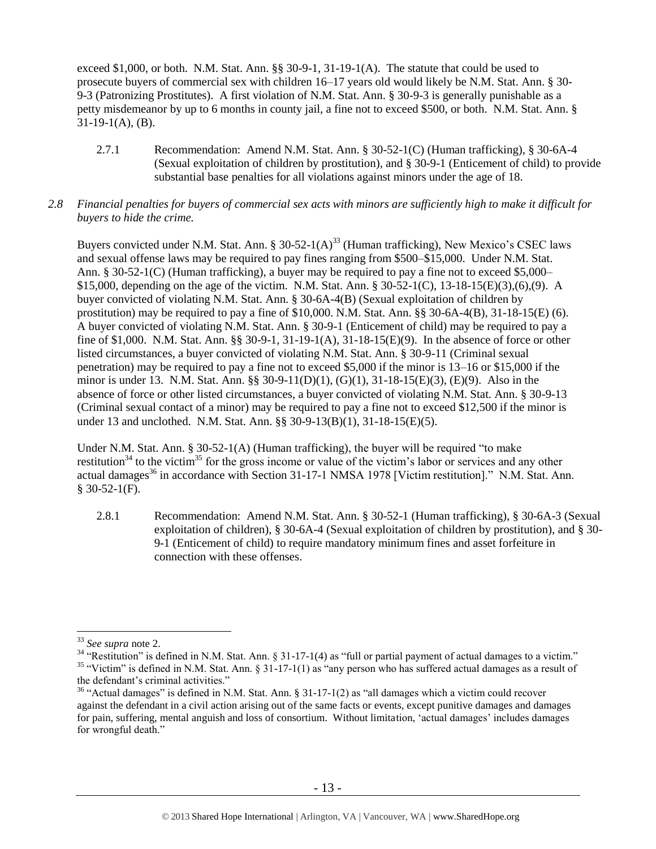exceed \$1,000, or both. N.M. Stat. Ann. §§ 30-9-1, 31-19-1(A). The statute that could be used to prosecute buyers of commercial sex with children 16–17 years old would likely be N.M. Stat. Ann. § 30- 9-3 (Patronizing Prostitutes). A first violation of N.M. Stat. Ann. § 30-9-3 is generally punishable as a petty misdemeanor by up to 6 months in county jail, a fine not to exceed \$500, or both. N.M. Stat. Ann. §  $31-19-1(A)$ , (B).

- 2.7.1 Recommendation: Amend N.M. Stat. Ann. § 30-52-1(C) (Human trafficking), § 30-6A-4 (Sexual exploitation of children by prostitution), and § 30-9-1 (Enticement of child) to provide substantial base penalties for all violations against minors under the age of 18.
- *2.8 Financial penalties for buyers of commercial sex acts with minors are sufficiently high to make it difficult for buyers to hide the crime.*

Buyers convicted under N.M. Stat. Ann. § 30-52-1(A)<sup>33</sup> (Human trafficking), New Mexico's CSEC laws and sexual offense laws may be required to pay fines ranging from \$500–\$15,000. Under N.M. Stat. Ann. § 30-52-1(C) (Human trafficking), a buyer may be required to pay a fine not to exceed \$5,000– \$15,000, depending on the age of the victim. N.M. Stat. Ann. § 30-52-1(C), 13-18-15(E)(3),(6),(9). A buyer convicted of violating N.M. Stat. Ann. § 30-6A-4(B) (Sexual exploitation of children by prostitution) may be required to pay a fine of \$10,000. N.M. Stat. Ann. §§ 30-6A-4(B), 31-18-15(E) (6). A buyer convicted of violating N.M. Stat. Ann. § 30-9-1 (Enticement of child) may be required to pay a fine of \$1,000. N.M. Stat. Ann. §§ 30-9-1, 31-19-1(A), 31-18-15(E)(9). In the absence of force or other listed circumstances, a buyer convicted of violating N.M. Stat. Ann. § 30-9-11 (Criminal sexual penetration) may be required to pay a fine not to exceed \$5,000 if the minor is 13–16 or \$15,000 if the minor is under 13. N.M. Stat. Ann. §§ 30-9-11(D)(1), (G)(1), 31-18-15(E)(3), (E)(9). Also in the absence of force or other listed circumstances, a buyer convicted of violating N.M. Stat. Ann. § 30-9-13 (Criminal sexual contact of a minor) may be required to pay a fine not to exceed \$12,500 if the minor is under 13 and unclothed. N.M. Stat. Ann. §§ 30-9-13(B)(1), 31-18-15(E)(5).

<span id="page-12-0"></span>Under N.M. Stat. Ann. § 30-52-1(A) (Human trafficking), the buyer will be required "to make restitution<sup>34</sup> to the victim<sup>35</sup> for the gross income or value of the victim's labor or services and any other actual damages<sup>36</sup> in accordance with Section 31-17-1 NMSA 1978 [Victim restitution]." N.M. Stat. Ann. § 30-52-1(F).

<span id="page-12-2"></span><span id="page-12-1"></span>2.8.1 Recommendation: Amend N.M. Stat. Ann. § 30-52-1 (Human trafficking), § 30-6A-3 (Sexual exploitation of children), § 30-6A-4 (Sexual exploitation of children by prostitution), and § 30- 9-1 (Enticement of child) to require mandatory minimum fines and asset forfeiture in connection with these offenses.

<sup>33</sup> *See supra* note [2.](#page-0-0)

<sup>&</sup>lt;sup>34</sup> "Restitution" is defined in N.M. Stat. Ann. § 31-17-1(4) as "full or partial payment of actual damages to a victim." <sup>35</sup> "Victim" is defined in N.M. Stat. Ann. § 31-17-1(1) as "any person who has suffered actual damages as a result of the defendant's criminal activities."

<sup>&</sup>lt;sup>36</sup> "Actual damages" is defined in N.M. Stat. Ann. § 31-17-1(2) as "all damages which a victim could recover against the defendant in a civil action arising out of the same facts or events, except punitive damages and damages for pain, suffering, mental anguish and loss of consortium. Without limitation, 'actual damages' includes damages for wrongful death."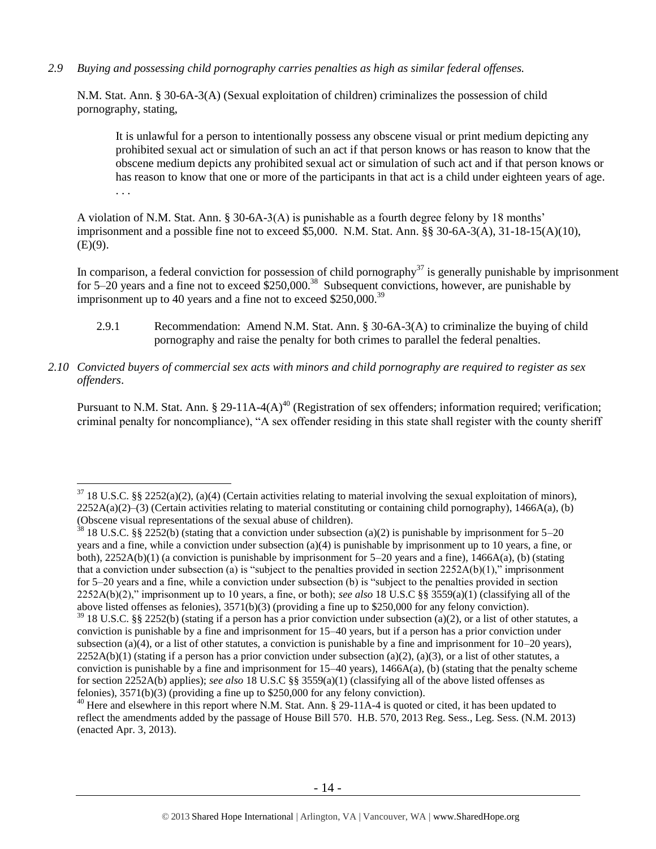*2.9 Buying and possessing child pornography carries penalties as high as similar federal offenses.*

N.M. Stat. Ann. § 30-6A-3(A) (Sexual exploitation of children) criminalizes the possession of child pornography, stating,

It is unlawful for a person to intentionally possess any obscene visual or print medium depicting any prohibited sexual act or simulation of such an act if that person knows or has reason to know that the obscene medium depicts any prohibited sexual act or simulation of such act and if that person knows or has reason to know that one or more of the participants in that act is a child under eighteen years of age. . . .

A violation of N.M. Stat. Ann. § 30-6A-3(A) is punishable as a fourth degree felony by 18 months' imprisonment and a possible fine not to exceed \$5,000. N.M. Stat. Ann. §§ 30-6A-3(A), 31-18-15(A)(10),  $(E)(9)$ .

In comparison, a federal conviction for possession of child pornography<sup>37</sup> is generally punishable by imprisonment for  $5-20$  years and a fine not to exceed  $$250,000$ .<sup>38</sup> Subsequent convictions, however, are punishable by imprisonment up to 40 years and a fine not to exceed  $$250,000.<sup>39</sup>$ 

- 2.9.1 Recommendation: Amend N.M. Stat. Ann. § 30-6A-3(A) to criminalize the buying of child pornography and raise the penalty for both crimes to parallel the federal penalties.
- *2.10 Convicted buyers of commercial sex acts with minors and child pornography are required to register as sex offenders*.

Pursuant to N.M. Stat. Ann. § 29-11A-4(A)<sup>40</sup> (Registration of sex offenders; information required; verification; criminal penalty for noncompliance), "A sex offender residing in this state shall register with the county sheriff

 $37$  18 U.S.C. §§ 2252(a)(2), (a)(4) (Certain activities relating to material involving the sexual exploitation of minors),  $2252A(a)(2)$ –(3) (Certain activities relating to material constituting or containing child pornography), 1466A(a), (b) (Obscene visual representations of the sexual abuse of children).

<sup>&</sup>lt;sup>38</sup> 18 U.S.C. §§ 2252(b) (stating that a conviction under subsection (a)(2) is punishable by imprisonment for 5–20 years and a fine, while a conviction under subsection (a)(4) is punishable by imprisonment up to 10 years, a fine, or both),  $2252A(b)(1)$  (a conviction is punishable by imprisonment for 5–20 years and a fine),  $1466A(a)$ , (b) (stating that a conviction under subsection (a) is "subject to the penalties provided in section  $2252A(b)(1)$ ," imprisonment for 5–20 years and a fine, while a conviction under subsection (b) is "subject to the penalties provided in section 2252A(b)(2)," imprisonment up to 10 years, a fine, or both); *see also* 18 U.S.C §§ 3559(a)(1) (classifying all of the above listed offenses as felonies), 3571(b)(3) (providing a fine up to \$250,000 for any felony conviction).

 $39$  18 U.S.C. §§ 2252(b) (stating if a person has a prior conviction under subsection (a)(2), or a list of other statutes, a conviction is punishable by a fine and imprisonment for 15–40 years, but if a person has a prior conviction under subsection (a)(4), or a list of other statutes, a conviction is punishable by a fine and imprisonment for  $10-20$  years),  $2252A(b)(1)$  (stating if a person has a prior conviction under subsection (a)(2), (a)(3), or a list of other statutes, a conviction is punishable by a fine and imprisonment for  $15-40$  years),  $1466A(a)$ , (b) (stating that the penalty scheme for section 2252A(b) applies); *see also* 18 U.S.C §§ 3559(a)(1) (classifying all of the above listed offenses as felonies), 3571(b)(3) (providing a fine up to \$250,000 for any felony conviction).

<sup>&</sup>lt;sup>40</sup> Here and elsewhere in this report where N.M. Stat. Ann. § 29-11A-4 is quoted or cited, it has been updated to reflect the amendments added by the passage of House Bill 570. H.B. 570, 2013 Reg. Sess., Leg. Sess. (N.M. 2013) (enacted Apr. 3, 2013).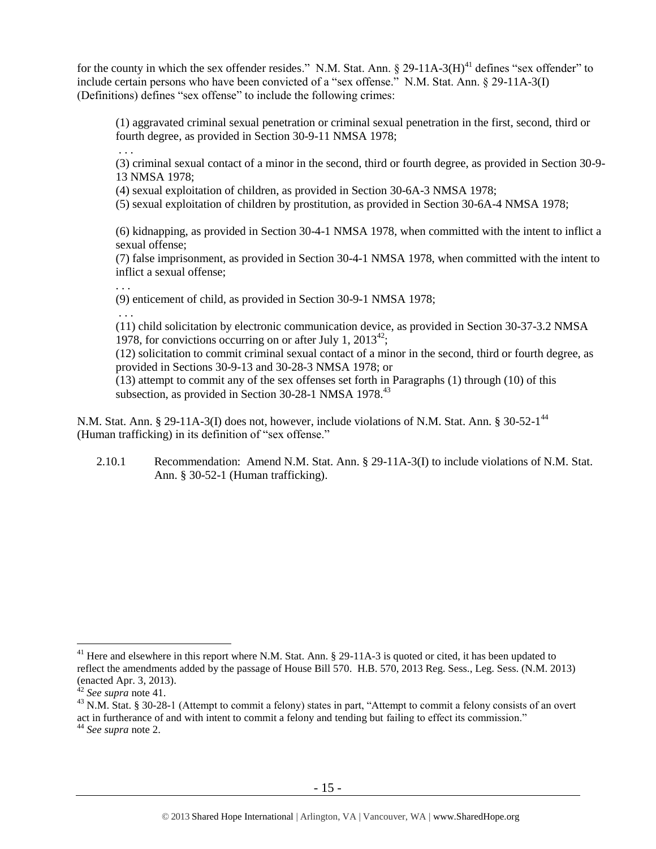for the county in which the sex offender resides." N.M. Stat. Ann.  $\S 29-11A-3(H)^{41}$  defines "sex offender" to include certain persons who have been convicted of a "sex offense." N.M. Stat. Ann. § 29-11A-3(I) (Definitions) defines "sex offense" to include the following crimes:

<span id="page-14-0"></span>(1) aggravated criminal sexual penetration or criminal sexual penetration in the first, second, third or fourth degree, as provided in Section 30-9-11 NMSA 1978;

(3) criminal sexual contact of a minor in the second, third or fourth degree, as provided in Section 30-9- 13 NMSA 1978;

(4) sexual exploitation of children, as provided in Section 30-6A-3 NMSA 1978;

(5) sexual exploitation of children by prostitution, as provided in Section 30-6A-4 NMSA 1978;

(6) kidnapping, as provided in Section 30-4-1 NMSA 1978, when committed with the intent to inflict a sexual offense;

(7) false imprisonment, as provided in Section 30-4-1 NMSA 1978, when committed with the intent to inflict a sexual offense;

. . .

. . .

(9) enticement of child, as provided in Section 30-9-1 NMSA 1978;

. . .

(11) child solicitation by electronic communication device, as provided in Section 30-37-3.2 NMSA 1978, for convictions occurring on or after July 1,  $2013^{42}$ ;

(12) solicitation to commit criminal sexual contact of a minor in the second, third or fourth degree, as provided in Sections 30-9-13 and 30-28-3 NMSA 1978; or

(13) attempt to commit any of the sex offenses set forth in Paragraphs (1) through (10) of this subsection, as provided in Section  $30-28-1$  NMSA  $1978<sup>43</sup>$ 

N.M. Stat. Ann. § 29-11A-3(I) does not, however, include violations of N.M. Stat. Ann. § 30-52-1<sup>44</sup> (Human trafficking) in its definition of "sex offense."

2.10.1 Recommendation: Amend N.M. Stat. Ann. § 29-11A-3(I) to include violations of N.M. Stat. Ann. § 30-52-1 (Human trafficking).

<sup>&</sup>lt;sup>41</sup> Here and elsewhere in this report where N.M. Stat. Ann.  $\S$  29-11A-3 is quoted or cited, it has been updated to reflect the amendments added by the passage of House Bill 570. H.B. 570, 2013 Reg. Sess., Leg. Sess. (N.M. 2013) (enacted Apr. 3, 2013).

<sup>42</sup> *See supra* note [41.](#page-14-0)

 $^{43}$  N.M. Stat. § 30-28-1 (Attempt to commit a felony) states in part, "Attempt to commit a felony consists of an overt act in furtherance of and with intent to commit a felony and tending but failing to effect its commission."

<sup>44</sup> *See supra* note [2.](#page-0-0)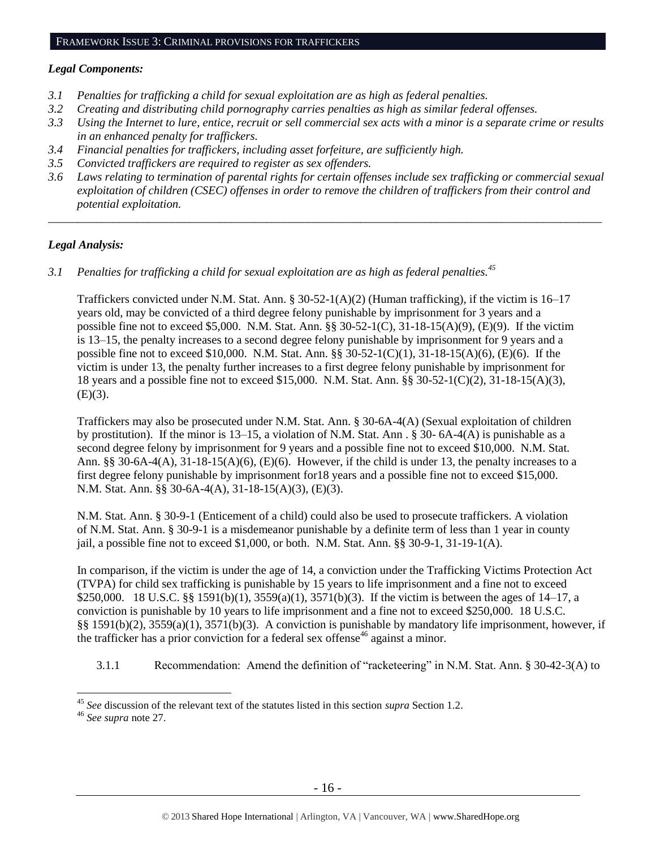#### FRAMEWORK ISSUE 3: CRIMINAL PROVISIONS FOR TRAFFICKERS

#### *Legal Components:*

- *3.1 Penalties for trafficking a child for sexual exploitation are as high as federal penalties.*
- *3.2 Creating and distributing child pornography carries penalties as high as similar federal offenses.*
- *3.3 Using the Internet to lure, entice, recruit or sell commercial sex acts with a minor is a separate crime or results in an enhanced penalty for traffickers.*
- *3.4 Financial penalties for traffickers, including asset forfeiture, are sufficiently high.*
- *3.5 Convicted traffickers are required to register as sex offenders.*
- *3.6 Laws relating to termination of parental rights for certain offenses include sex trafficking or commercial sexual exploitation of children (CSEC) offenses in order to remove the children of traffickers from their control and potential exploitation.*

*\_\_\_\_\_\_\_\_\_\_\_\_\_\_\_\_\_\_\_\_\_\_\_\_\_\_\_\_\_\_\_\_\_\_\_\_\_\_\_\_\_\_\_\_\_\_\_\_\_\_\_\_\_\_\_\_\_\_\_\_\_\_\_\_\_\_\_\_\_\_\_\_\_\_\_\_\_\_\_\_\_\_\_\_\_\_\_\_\_\_\_\_\_\_*

## *Legal Analysis:*

*3.1 Penalties for trafficking a child for sexual exploitation are as high as federal penalties.<sup>45</sup>*

Traffickers convicted under N.M. Stat. Ann. § 30-52-1(A)(2) (Human trafficking), if the victim is 16–17 years old, may be convicted of a third degree felony punishable by imprisonment for 3 years and a possible fine not to exceed \$5,000. N.M. Stat. Ann. §§ 30-52-1(C), 31-18-15(A)(9), (E)(9). If the victim is 13–15, the penalty increases to a second degree felony punishable by imprisonment for 9 years and a possible fine not to exceed \$10,000. N.M. Stat. Ann. §§ 30-52-1(C)(1), 31-18-15(A)(6), (E)(6). If the victim is under 13, the penalty further increases to a first degree felony punishable by imprisonment for 18 years and a possible fine not to exceed \$15,000. N.M. Stat. Ann. §§ 30-52-1(C)(2), 31-18-15(A)(3),  $(E)(3)$ .

Traffickers may also be prosecuted under N.M. Stat. Ann. § 30-6A-4(A) (Sexual exploitation of children by prostitution). If the minor is 13–15, a violation of N.M. Stat. Ann . § 30- 6A-4(A) is punishable as a second degree felony by imprisonment for 9 years and a possible fine not to exceed \$10,000. N.M. Stat. Ann. §§ 30-6A-4(A),  $31-18-15(A)(6)$ , (E)(6). However, if the child is under 13, the penalty increases to a first degree felony punishable by imprisonment for18 years and a possible fine not to exceed \$15,000. N.M. Stat. Ann. §§ 30-6A-4(A), 31-18-15(A)(3), (E)(3).

N.M. Stat. Ann. § 30-9-1 (Enticement of a child) could also be used to prosecute traffickers. A violation of N.M. Stat. Ann. § 30-9-1 is a misdemeanor punishable by a definite term of less than 1 year in county jail, a possible fine not to exceed \$1,000, or both. N.M. Stat. Ann. §§ 30-9-1, 31-19-1(A).

In comparison, if the victim is under the age of 14, a conviction under the Trafficking Victims Protection Act (TVPA) for child sex trafficking is punishable by 15 years to life imprisonment and a fine not to exceed \$250,000. 18 U.S.C. §§ 1591(b)(1), 3559(a)(1), 3571(b)(3). If the victim is between the ages of 14–17, a conviction is punishable by 10 years to life imprisonment and a fine not to exceed \$250,000. 18 U.S.C. §§ 1591(b)(2), 3559(a)(1), 3571(b)(3). A conviction is punishable by mandatory life imprisonment, however, if the trafficker has a prior conviction for a federal sex offense<sup>46</sup> against a minor.

3.1.1 Recommendation: Amend the definition of "racketeering" in N.M. Stat. Ann. § 30-42-3(A) to

<sup>45</sup> *See* discussion of the relevant text of the statutes listed in this section *supra* Section [1.2.](#page-1-1)

<sup>46</sup> *See supra* note [27.](#page-10-0)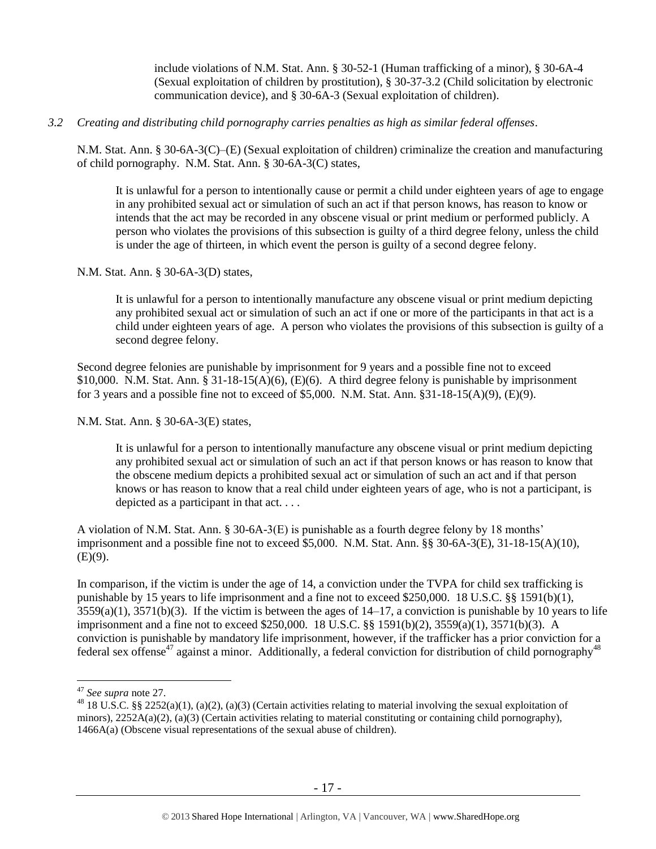include violations of N.M. Stat. Ann. § 30-52-1 (Human trafficking of a minor), § 30-6A-4 (Sexual exploitation of children by prostitution), § 30-37-3.2 (Child solicitation by electronic communication device), and § 30-6A-3 (Sexual exploitation of children).

## *3.2 Creating and distributing child pornography carries penalties as high as similar federal offenses*.

N.M. Stat. Ann. § 30-6A-3(C)–(E) (Sexual exploitation of children) criminalize the creation and manufacturing of child pornography. N.M. Stat. Ann. § 30-6A-3(C) states,

It is unlawful for a person to intentionally cause or permit a child under eighteen years of age to engage in any prohibited sexual act or simulation of such an act if that person knows, has reason to know or intends that the act may be recorded in any obscene visual or print medium or performed publicly. A person who violates the provisions of this subsection is guilty of a third degree felony, unless the child is under the age of thirteen, in which event the person is guilty of a second degree felony.

## N.M. Stat. Ann. § 30-6A-3(D) states,

It is unlawful for a person to intentionally manufacture any obscene visual or print medium depicting any prohibited sexual act or simulation of such an act if one or more of the participants in that act is a child under eighteen years of age. A person who violates the provisions of this subsection is guilty of a second degree felony.

Second degree felonies are punishable by imprisonment for 9 years and a possible fine not to exceed  $$10,000.$  N.M. Stat. Ann.  $§ 31-18-15(A)(6)$ , (E)(6). A third degree felony is punishable by imprisonment for 3 years and a possible fine not to exceed of \$5,000. N.M. Stat. Ann.  $\S 31-18-15(A)(9)$ , (E)(9).

N.M. Stat. Ann. § 30-6A-3(E) states,

It is unlawful for a person to intentionally manufacture any obscene visual or print medium depicting any prohibited sexual act or simulation of such an act if that person knows or has reason to know that the obscene medium depicts a prohibited sexual act or simulation of such an act and if that person knows or has reason to know that a real child under eighteen years of age, who is not a participant, is depicted as a participant in that act. . . .

A violation of N.M. Stat. Ann. § 30-6A-3(E) is punishable as a fourth degree felony by 18 months' imprisonment and a possible fine not to exceed \$5,000. N.M. Stat. Ann. §§ 30-6A-3(E), 31-18-15(A)(10),  $(E)(9)$ .

In comparison, if the victim is under the age of 14, a conviction under the TVPA for child sex trafficking is punishable by 15 years to life imprisonment and a fine not to exceed \$250,000. 18 U.S.C. §§ 1591(b)(1),  $3559(a)(1)$ ,  $3571(b)(3)$ . If the victim is between the ages of  $14-17$ , a conviction is punishable by 10 years to life imprisonment and a fine not to exceed \$250,000. 18 U.S.C. §§ 1591(b)(2), 3559(a)(1), 3571(b)(3). A conviction is punishable by mandatory life imprisonment, however, if the trafficker has a prior conviction for a federal sex offense<sup>47</sup> against a minor. Additionally, a federal conviction for distribution of child pornography<sup>48</sup>

<sup>47</sup> *See supra* note [27.](#page-10-0)

<sup>&</sup>lt;sup>48</sup> 18 U.S.C. §§ 2252(a)(1), (a)(2), (a)(3) (Certain activities relating to material involving the sexual exploitation of minors),  $2252A(a)(2)$ ,  $(a)(3)$  (Certain activities relating to material constituting or containing child pornography), 1466A(a) (Obscene visual representations of the sexual abuse of children).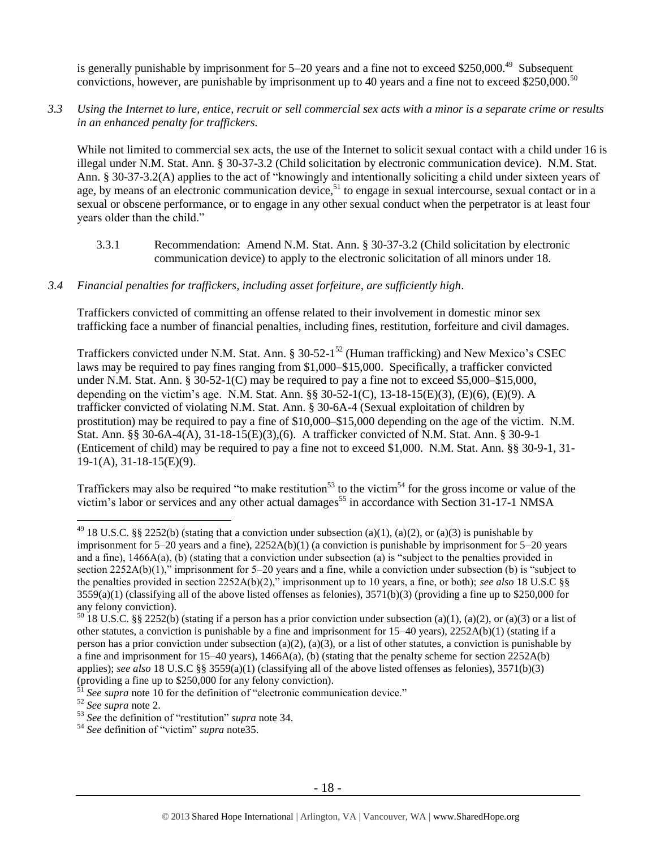is generally punishable by imprisonment for 5–20 years and a fine not to exceed \$250,000.<sup>49</sup> Subsequent convictions, however, are punishable by imprisonment up to 40 years and a fine not to exceed \$250,000.<sup>50</sup>

# *3.3 Using the Internet to lure, entice, recruit or sell commercial sex acts with a minor is a separate crime or results in an enhanced penalty for traffickers.*

While not limited to commercial sex acts, the use of the Internet to solicit sexual contact with a child under 16 is illegal under N.M. Stat. Ann. § 30-37-3.2 (Child solicitation by electronic communication device). N.M. Stat. Ann. § 30-37-3.2(A) applies to the act of "knowingly and intentionally soliciting a child under sixteen years of age, by means of an electronic communication device,<sup>51</sup> to engage in sexual intercourse, sexual contact or in a sexual or obscene performance, or to engage in any other sexual conduct when the perpetrator is at least four years older than the child."

3.3.1 Recommendation: Amend N.M. Stat. Ann. § 30-37-3.2 (Child solicitation by electronic communication device) to apply to the electronic solicitation of all minors under 18.

# *3.4 Financial penalties for traffickers, including asset forfeiture, are sufficiently high*.

Traffickers convicted of committing an offense related to their involvement in domestic minor sex trafficking face a number of financial penalties, including fines, restitution, forfeiture and civil damages.

Traffickers convicted under N.M. Stat. Ann. § 30-52-1<sup>52</sup> (Human trafficking) and New Mexico's CSEC laws may be required to pay fines ranging from \$1,000–\$15,000. Specifically, a trafficker convicted under N.M. Stat. Ann.  $\S 30-52-1(C)$  may be required to pay a fine not to exceed \$5,000–\$15,000, depending on the victim's age. N.M. Stat. Ann. §§ 30-52-1(C), 13-18-15(E)(3), (E)(6), (E)(9). A trafficker convicted of violating N.M. Stat. Ann. § 30-6A-4 (Sexual exploitation of children by prostitution) may be required to pay a fine of \$10,000–\$15,000 depending on the age of the victim. N.M. Stat. Ann. §§ 30-6A-4(A), 31-18-15(E)(3),(6). A trafficker convicted of N.M. Stat. Ann. § 30-9-1 (Enticement of child) may be required to pay a fine not to exceed \$1,000. N.M. Stat. Ann. §§ 30-9-1, 31- 19-1(A), 31-18-15(E)(9).

Traffickers may also be required "to make restitution<sup>53</sup> to the victim<sup>54</sup> for the gross income or value of the victim's labor or services and any other actual damages<sup>55</sup> in accordance with Section 31-17-1 NMSA

<sup>&</sup>lt;sup>49</sup> 18 U.S.C. §§ 2252(b) (stating that a conviction under subsection (a)(1), (a)(2), or (a)(3) is punishable by imprisonment for  $5-20$  years and a fine),  $2252A(b)(1)$  (a conviction is punishable by imprisonment for  $5-20$  years and a fine), 1466A(a), (b) (stating that a conviction under subsection (a) is "subject to the penalties provided in section 2252A(b)(1)," imprisonment for 5–20 years and a fine, while a conviction under subsection (b) is "subject to the penalties provided in section 2252A(b)(2)," imprisonment up to 10 years, a fine, or both); *see also* 18 U.S.C §§  $3559(a)(1)$  (classifying all of the above listed offenses as felonies),  $3571(b)(3)$  (providing a fine up to \$250,000 for any felony conviction).

 $50$  18 U.S.C. §§ 2252(b) (stating if a person has a prior conviction under subsection (a)(1), (a)(2), or (a)(3) or a list of other statutes, a conviction is punishable by a fine and imprisonment for 15–40 years), 2252A(b)(1) (stating if a person has a prior conviction under subsection (a)(2), (a)(3), or a list of other statutes, a conviction is punishable by a fine and imprisonment for  $15-40$  years),  $1466A(a)$ , (b) (stating that the penalty scheme for section  $2252A(b)$ applies); *see also* 18 U.S.C §§ 3559(a)(1) (classifying all of the above listed offenses as felonies), 3571(b)(3) (providing a fine up to  $$250,000$  for any felony conviction).

See supra note [10](#page-3-0) for the definition of "electronic communication device."

<sup>52</sup> *See supra* note [2.](#page-0-0)

<sup>53</sup> *See* the definition of "restitution" *supra* note [34.](#page-12-0)

<sup>54</sup> *See* definition of "victim" *supra* not[e35.](#page-12-1)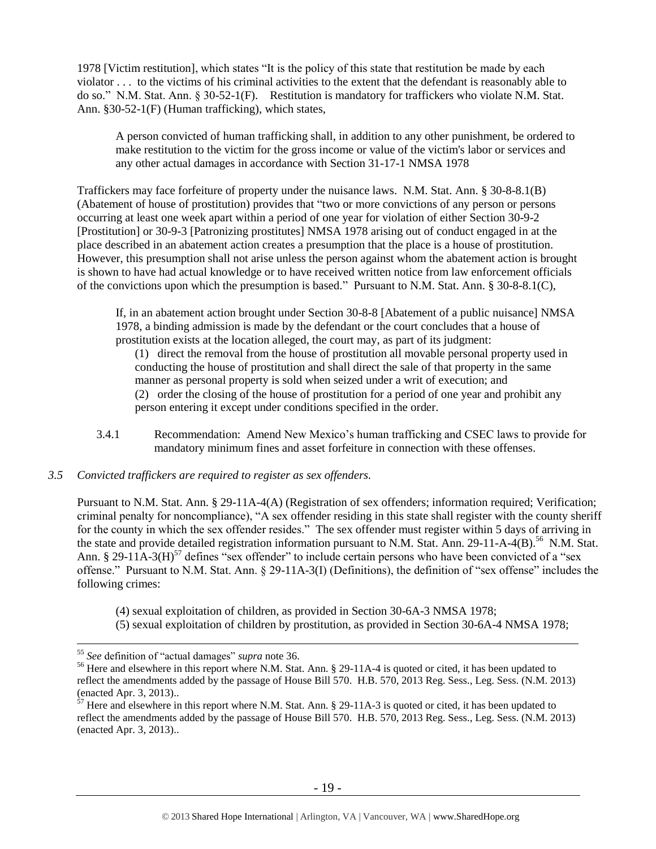1978 [Victim restitution], which states "It is the policy of this state that restitution be made by each violator . . . to the victims of his criminal activities to the extent that the defendant is reasonably able to do so." N.M. Stat. Ann. § 30-52-1(F). Restitution is mandatory for traffickers who violate N.M. Stat. Ann. §30-52-1(F) (Human trafficking), which states,

A person convicted of human trafficking shall, in addition to any other punishment, be ordered to make restitution to the victim for the gross income or value of the victim's labor or services and any other actual damages in accordance with Section 31-17-1 NMSA 1978

Traffickers may face forfeiture of property under the nuisance laws. N.M. Stat. Ann. § 30-8-8.1(B) (Abatement of house of prostitution) provides that "two or more convictions of any person or persons occurring at least one week apart within a period of one year for violation of either Section 30-9-2 [Prostitution] or 30-9-3 [Patronizing prostitutes] NMSA 1978 arising out of conduct engaged in at the place described in an abatement action creates a presumption that the place is a house of prostitution. However, this presumption shall not arise unless the person against whom the abatement action is brought is shown to have had actual knowledge or to have received written notice from law enforcement officials of the convictions upon which the presumption is based." Pursuant to N.M. Stat. Ann. § 30-8-8.1(C),

If, in an abatement action brought under Section 30-8-8 [Abatement of a public nuisance] NMSA 1978, a binding admission is made by the defendant or the court concludes that a house of prostitution exists at the location alleged, the court may, as part of its judgment:

(1) direct the removal from the house of prostitution all movable personal property used in conducting the house of prostitution and shall direct the sale of that property in the same manner as personal property is sold when seized under a writ of execution; and (2) order the closing of the house of prostitution for a period of one year and prohibit any person entering it except under conditions specified in the order.

3.4.1 Recommendation: Amend New Mexico's human trafficking and CSEC laws to provide for mandatory minimum fines and asset forfeiture in connection with these offenses.

## *3.5 Convicted traffickers are required to register as sex offenders.*

Pursuant to N.M. Stat. Ann. § 29-11A-4(A) (Registration of sex offenders; information required; Verification; criminal penalty for noncompliance), "A sex offender residing in this state shall register with the county sheriff for the county in which the sex offender resides." The sex offender must register within 5 days of arriving in the state and provide detailed registration information pursuant to N.M. Stat. Ann. 29-11-A-4(B).<sup>56</sup> N.M. Stat. Ann. § 29-11 $\overline{A}$ -3(H)<sup>57</sup> defines "sex offender" to include certain persons who have been convicted of a "sex offense." Pursuant to N.M. Stat. Ann. § 29-11A-3(I) (Definitions), the definition of "sex offense" includes the following crimes:

<span id="page-18-0"></span>(4) sexual exploitation of children, as provided in Section 30-6A-3 NMSA 1978;

(5) sexual exploitation of children by prostitution, as provided in Section 30-6A-4 NMSA 1978;

<sup>55</sup> *See* definition of "actual damages" *supra* note [36.](#page-12-2) 

<sup>&</sup>lt;sup>56</sup> Here and elsewhere in this report where N.M. Stat. Ann. § 29-11A-4 is quoted or cited, it has been updated to reflect the amendments added by the passage of House Bill 570. H.B. 570, 2013 Reg. Sess., Leg. Sess. (N.M. 2013) (enacted Apr. 3, 2013)..

 $57$  Here and elsewhere in this report where N.M. Stat. Ann. § 29-11A-3 is quoted or cited, it has been updated to reflect the amendments added by the passage of House Bill 570. H.B. 570, 2013 Reg. Sess., Leg. Sess. (N.M. 2013) (enacted Apr. 3, 2013)..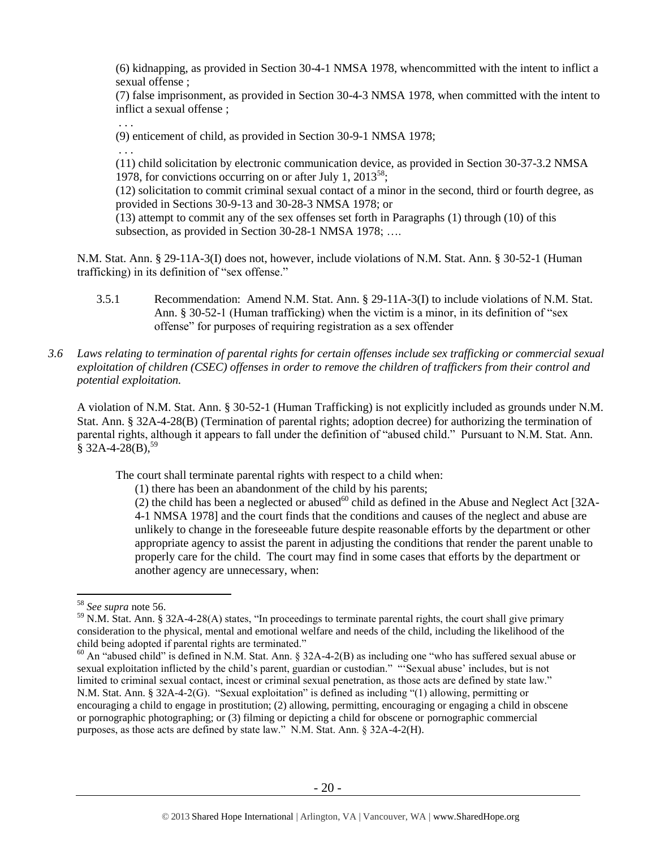(6) kidnapping, as provided in Section 30-4-1 NMSA 1978, whencommitted with the intent to inflict a sexual offense ;

(7) false imprisonment, as provided in Section 30-4-3 NMSA 1978, when committed with the intent to inflict a sexual offense ;

. . .

(9) enticement of child, as provided in Section 30-9-1 NMSA 1978;

. . .

(11) child solicitation by electronic communication device, as provided in Section 30-37-3.2 NMSA 1978, for convictions occurring on or after July 1,  $2013^{58}$ ;

(12) solicitation to commit criminal sexual contact of a minor in the second, third or fourth degree, as provided in Sections 30-9-13 and 30-28-3 NMSA 1978; or

(13) attempt to commit any of the sex offenses set forth in Paragraphs (1) through (10) of this subsection, as provided in Section 30-28-1 NMSA 1978; ....

N.M. Stat. Ann. § 29-11A-3(I) does not, however, include violations of N.M. Stat. Ann. § 30-52-1 (Human trafficking) in its definition of "sex offense."

- 3.5.1 Recommendation: Amend N.M. Stat. Ann. § 29-11A-3(I) to include violations of N.M. Stat. Ann. § 30-52-1 (Human trafficking) when the victim is a minor, in its definition of "sex offense" for purposes of requiring registration as a sex offender
- *3.6 Laws relating to termination of parental rights for certain offenses include sex trafficking or commercial sexual exploitation of children (CSEC) offenses in order to remove the children of traffickers from their control and potential exploitation.*

A violation of N.M. Stat. Ann. § 30-52-1 (Human Trafficking) is not explicitly included as grounds under N.M. Stat. Ann. § 32A-4-28(B) (Termination of parental rights; adoption decree) for authorizing the termination of parental rights, although it appears to fall under the definition of "abused child." Pursuant to N.M. Stat. Ann.  $§$  32A-4-28(B),<sup>59</sup>

The court shall terminate parental rights with respect to a child when:

(1) there has been an abandonment of the child by his parents;

<span id="page-19-0"></span> $(2)$  the child has been a neglected or abused<sup>60</sup> child as defined in the Abuse and Neglect Act [32A-4-1 NMSA 1978] and the court finds that the conditions and causes of the neglect and abuse are unlikely to change in the foreseeable future despite reasonable efforts by the department or other appropriate agency to assist the parent in adjusting the conditions that render the parent unable to properly care for the child. The court may find in some cases that efforts by the department or another agency are unnecessary, when:

<sup>58</sup> *See supra* note [56.](#page-18-0)

<sup>&</sup>lt;sup>59</sup> N.M. Stat. Ann. § 32A-4-28(A) states, "In proceedings to terminate parental rights, the court shall give primary consideration to the physical, mental and emotional welfare and needs of the child, including the likelihood of the child being adopted if parental rights are terminated."

 $60$  An "abused child" is defined in N.M. Stat. Ann. § 32A-4-2(B) as including one "who has suffered sexual abuse or sexual exploitation inflicted by the child's parent, guardian or custodian." "'Sexual abuse' includes, but is not limited to criminal sexual contact, incest or criminal sexual penetration, as those acts are defined by state law." N.M. Stat. Ann. § 32A-4-2(G). "Sexual exploitation" is defined as including "(1) allowing, permitting or encouraging a child to engage in prostitution; (2) allowing, permitting, encouraging or engaging a child in obscene or pornographic photographing; or (3) filming or depicting a child for obscene or pornographic commercial purposes, as those acts are defined by state law." N.M. Stat. Ann. § 32A-4-2(H).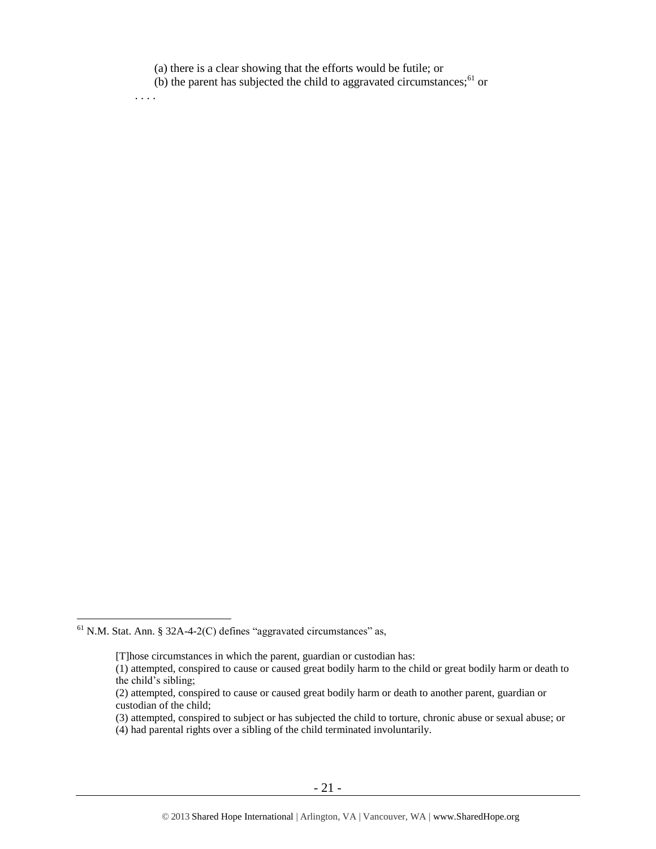(a) there is a clear showing that the efforts would be futile; or

. . . .

(b) the parent has subjected the child to aggravated circumstances; $61$  or

 $<sup>61</sup>$  N.M. Stat. Ann. § 32A-4-2(C) defines "aggravated circumstances" as,</sup>

<sup>[</sup>T]hose circumstances in which the parent, guardian or custodian has:

<sup>(1)</sup> attempted, conspired to cause or caused great bodily harm to the child or great bodily harm or death to the child's sibling;

<sup>(2)</sup> attempted, conspired to cause or caused great bodily harm or death to another parent, guardian or custodian of the child;

<sup>(3)</sup> attempted, conspired to subject or has subjected the child to torture, chronic abuse or sexual abuse; or

<sup>(4)</sup> had parental rights over a sibling of the child terminated involuntarily.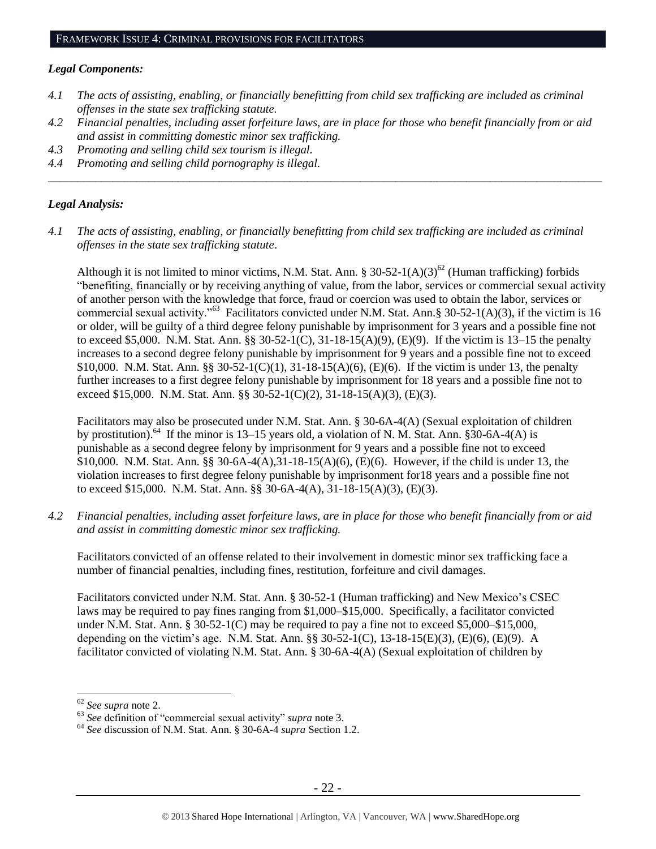#### *Legal Components:*

- *4.1 The acts of assisting, enabling, or financially benefitting from child sex trafficking are included as criminal offenses in the state sex trafficking statute.*
- *4.2 Financial penalties, including asset forfeiture laws, are in place for those who benefit financially from or aid and assist in committing domestic minor sex trafficking.*

*\_\_\_\_\_\_\_\_\_\_\_\_\_\_\_\_\_\_\_\_\_\_\_\_\_\_\_\_\_\_\_\_\_\_\_\_\_\_\_\_\_\_\_\_\_\_\_\_\_\_\_\_\_\_\_\_\_\_\_\_\_\_\_\_\_\_\_\_\_\_\_\_\_\_\_\_\_\_\_\_\_\_\_\_\_\_\_\_\_\_\_\_\_\_*

- *4.3 Promoting and selling child sex tourism is illegal.*
- *4.4 Promoting and selling child pornography is illegal.*

## *Legal Analysis:*

*4.1 The acts of assisting, enabling, or financially benefitting from child sex trafficking are included as criminal offenses in the state sex trafficking statute*.

Although it is not limited to minor victims, N.M. Stat. Ann. § 30-52-1(A)(3)<sup>62</sup> (Human trafficking) forbids "benefiting, financially or by receiving anything of value, from the labor, services or commercial sexual activity of another person with the knowledge that force, fraud or coercion was used to obtain the labor, services or commercial sexual activity."<sup>63</sup> Facilitators convicted under N.M. Stat. Ann.§ 30-52-1(A)(3), if the victim is 16 or older, will be guilty of a third degree felony punishable by imprisonment for 3 years and a possible fine not to exceed \$5,000. N.M. Stat. Ann. §§ 30-52-1(C), 31-18-15(A)(9), (E)(9). If the victim is 13–15 the penalty increases to a second degree felony punishable by imprisonment for 9 years and a possible fine not to exceed \$10,000. N.M. Stat. Ann. §§ 30-52-1(C)(1), 31-18-15(A)(6), (E)(6). If the victim is under 13, the penalty further increases to a first degree felony punishable by imprisonment for 18 years and a possible fine not to exceed \$15,000. N.M. Stat. Ann. §§ 30-52-1(C)(2), 31-18-15(A)(3), (E)(3).

Facilitators may also be prosecuted under N.M. Stat. Ann. § 30-6A-4(A) (Sexual exploitation of children by prostitution).<sup>64</sup> If the minor is 13–15 years old, a violation of N. M. Stat. Ann.  $\S30$ -6A-4(A) is punishable as a second degree felony by imprisonment for 9 years and a possible fine not to exceed \$10,000. N.M. Stat. Ann. §§ 30-6A-4(A),31-18-15(A)(6), (E)(6). However, if the child is under 13, the violation increases to first degree felony punishable by imprisonment for18 years and a possible fine not to exceed \$15,000. N.M. Stat. Ann. §§ 30-6A-4(A), 31-18-15(A)(3), (E)(3).

*4.2 Financial penalties, including asset forfeiture laws, are in place for those who benefit financially from or aid and assist in committing domestic minor sex trafficking.*

Facilitators convicted of an offense related to their involvement in domestic minor sex trafficking face a number of financial penalties, including fines, restitution, forfeiture and civil damages.

Facilitators convicted under N.M. Stat. Ann. § 30-52-1 (Human trafficking) and New Mexico's CSEC laws may be required to pay fines ranging from \$1,000–\$15,000. Specifically, a facilitator convicted under N.M. Stat. Ann. § 30-52-1(C) may be required to pay a fine not to exceed \$5,000–\$15,000, depending on the victim's age. N.M. Stat. Ann. §§ 30-52-1(C), 13-18-15(E)(3), (E)(6), (E)(9). A facilitator convicted of violating N.M. Stat. Ann. § 30-6A-4(A) (Sexual exploitation of children by

<sup>62</sup> *See supra* note [2.](#page-0-0)

<sup>63</sup> *See* definition of "commercial sexual activity" *supra* not[e 3.](#page-0-1)

<sup>64</sup> *See* discussion of N.M. Stat. Ann. § 30-6A-4 *supra* Section 1[.2.](#page-1-1)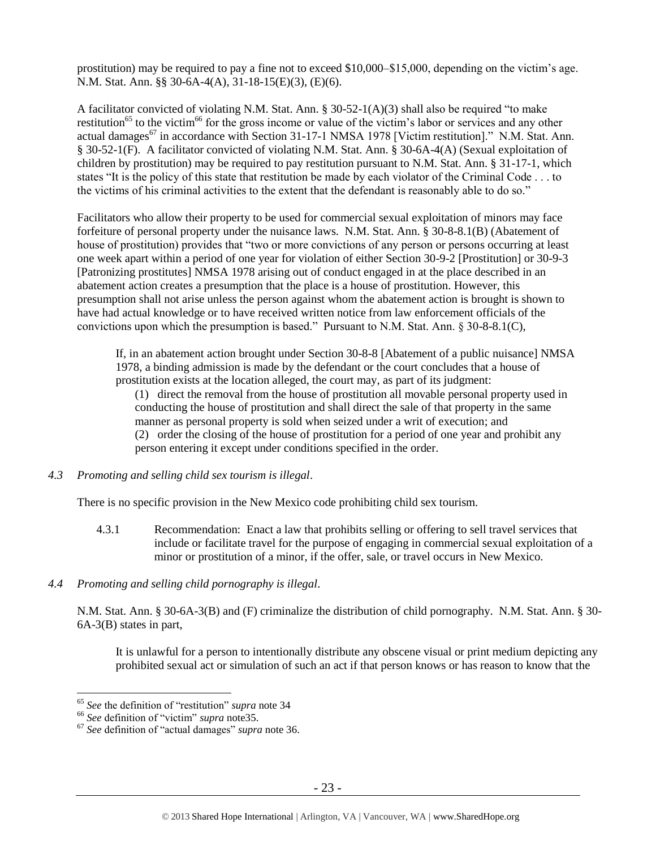prostitution) may be required to pay a fine not to exceed \$10,000–\$15,000, depending on the victim's age. N.M. Stat. Ann. §§ 30-6A-4(A), 31-18-15(E)(3), (E)(6).

A facilitator convicted of violating N.M. Stat. Ann. § 30-52-1(A)(3) shall also be required "to make restitution<sup>65</sup> to the victim<sup>66</sup> for the gross income or value of the victim's labor or services and any other actual damages<sup>67</sup> in accordance with Section 31-17-1 NMSA 1978 [Victim restitution]." N.M. Stat. Ann. § 30-52-1(F). A facilitator convicted of violating N.M. Stat. Ann. § 30-6A-4(A) (Sexual exploitation of children by prostitution) may be required to pay restitution pursuant to N.M. Stat. Ann. § 31-17-1, which states "It is the policy of this state that restitution be made by each violator of the Criminal Code . . . to the victims of his criminal activities to the extent that the defendant is reasonably able to do so."

Facilitators who allow their property to be used for commercial sexual exploitation of minors may face forfeiture of personal property under the nuisance laws. N.M. Stat. Ann. § 30-8-8.1(B) (Abatement of house of prostitution) provides that "two or more convictions of any person or persons occurring at least one week apart within a period of one year for violation of either Section 30-9-2 [Prostitution] or 30-9-3 [Patronizing prostitutes] NMSA 1978 arising out of conduct engaged in at the place described in an abatement action creates a presumption that the place is a house of prostitution. However, this presumption shall not arise unless the person against whom the abatement action is brought is shown to have had actual knowledge or to have received written notice from law enforcement officials of the convictions upon which the presumption is based." Pursuant to N.M. Stat. Ann.  $\S 30-8-8.1(C)$ ,

If, in an abatement action brought under Section 30-8-8 [Abatement of a public nuisance] NMSA 1978, a binding admission is made by the defendant or the court concludes that a house of prostitution exists at the location alleged, the court may, as part of its judgment:

(1) direct the removal from the house of prostitution all movable personal property used in conducting the house of prostitution and shall direct the sale of that property in the same manner as personal property is sold when seized under a writ of execution; and (2) order the closing of the house of prostitution for a period of one year and prohibit any person entering it except under conditions specified in the order.

*4.3 Promoting and selling child sex tourism is illegal*.

There is no specific provision in the New Mexico code prohibiting child sex tourism.

- 4.3.1 Recommendation: Enact a law that prohibits selling or offering to sell travel services that include or facilitate travel for the purpose of engaging in commercial sexual exploitation of a minor or prostitution of a minor, if the offer, sale, or travel occurs in New Mexico.
- *4.4 Promoting and selling child pornography is illegal*.

N.M. Stat. Ann. § 30-6A-3(B) and (F) criminalize the distribution of child pornography. N.M. Stat. Ann. § 30- 6A-3(B) states in part,

It is unlawful for a person to intentionally distribute any obscene visual or print medium depicting any prohibited sexual act or simulation of such an act if that person knows or has reason to know that the

<sup>65</sup> *See* the definition of "restitution" *supra* note [34](#page-12-0)

<sup>66</sup> *See* definition of "victim" *supra* not[e35.](#page-12-1)

<sup>67</sup> *See* definition of "actual damages" *supra* note [36.](#page-12-2)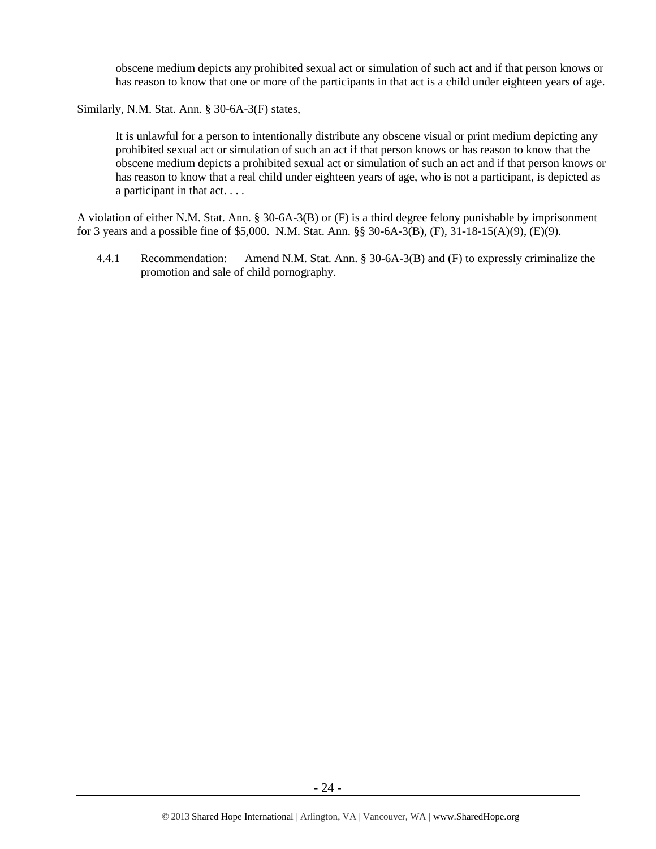obscene medium depicts any prohibited sexual act or simulation of such act and if that person knows or has reason to know that one or more of the participants in that act is a child under eighteen years of age.

Similarly, N.M. Stat. Ann. § 30-6A-3(F) states,

It is unlawful for a person to intentionally distribute any obscene visual or print medium depicting any prohibited sexual act or simulation of such an act if that person knows or has reason to know that the obscene medium depicts a prohibited sexual act or simulation of such an act and if that person knows or has reason to know that a real child under eighteen years of age, who is not a participant, is depicted as a participant in that act. . . .

A violation of either N.M. Stat. Ann. § 30-6A-3(B) or (F) is a third degree felony punishable by imprisonment for 3 years and a possible fine of \$5,000. N.M. Stat. Ann. §§ 30-6A-3(B), (F), 31-18-15(A)(9), (E)(9).

4.4.1 Recommendation: Amend N.M. Stat. Ann. § 30-6A-3(B) and (F) to expressly criminalize the promotion and sale of child pornography.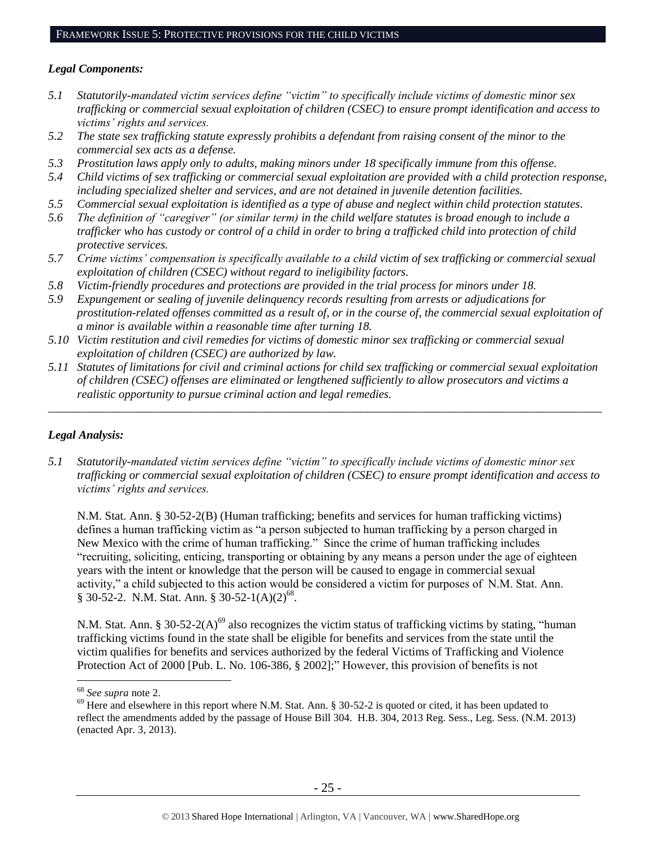## *Legal Components:*

- *5.1 Statutorily-mandated victim services define "victim" to specifically include victims of domestic minor sex trafficking or commercial sexual exploitation of children (CSEC) to ensure prompt identification and access to victims' rights and services.*
- *5.2 The state sex trafficking statute expressly prohibits a defendant from raising consent of the minor to the commercial sex acts as a defense.*
- *5.3 Prostitution laws apply only to adults, making minors under 18 specifically immune from this offense.*
- *5.4 Child victims of sex trafficking or commercial sexual exploitation are provided with a child protection response, including specialized shelter and services, and are not detained in juvenile detention facilities.*
- *5.5 Commercial sexual exploitation is identified as a type of abuse and neglect within child protection statutes.*
- *5.6 The definition of "caregiver" (or similar term) in the child welfare statutes is broad enough to include a trafficker who has custody or control of a child in order to bring a trafficked child into protection of child protective services.*
- *5.7 Crime victims' compensation is specifically available to a child victim of sex trafficking or commercial sexual exploitation of children (CSEC) without regard to ineligibility factors.*
- *5.8 Victim-friendly procedures and protections are provided in the trial process for minors under 18.*
- *5.9 Expungement or sealing of juvenile delinquency records resulting from arrests or adjudications for prostitution-related offenses committed as a result of, or in the course of, the commercial sexual exploitation of a minor is available within a reasonable time after turning 18.*
- *5.10 Victim restitution and civil remedies for victims of domestic minor sex trafficking or commercial sexual exploitation of children (CSEC) are authorized by law.*
- *5.11 Statutes of limitations for civil and criminal actions for child sex trafficking or commercial sexual exploitation of children (CSEC) offenses are eliminated or lengthened sufficiently to allow prosecutors and victims a realistic opportunity to pursue criminal action and legal remedies.*

*\_\_\_\_\_\_\_\_\_\_\_\_\_\_\_\_\_\_\_\_\_\_\_\_\_\_\_\_\_\_\_\_\_\_\_\_\_\_\_\_\_\_\_\_\_\_\_\_\_\_\_\_\_\_\_\_\_\_\_\_\_\_\_\_\_\_\_\_\_\_\_\_\_\_\_\_\_\_\_\_\_\_\_\_\_\_\_\_\_\_\_\_\_\_*

## *Legal Analysis:*

*5.1 Statutorily-mandated victim services define "victim" to specifically include victims of domestic minor sex trafficking or commercial sexual exploitation of children (CSEC) to ensure prompt identification and access to victims' rights and services.* 

N.M. Stat. Ann. § 30-52-2(B) (Human trafficking; benefits and services for human trafficking victims) defines a human trafficking victim as "a person subjected to human trafficking by a person charged in New Mexico with the crime of human trafficking." Since the crime of human trafficking includes "recruiting, soliciting, enticing, transporting or obtaining by any means a person under the age of eighteen years with the intent or knowledge that the person will be caused to engage in commercial sexual activity," a child subjected to this action would be considered a victim for purposes of N.M. Stat. Ann.  $§ 30-52-2$ . N.M. Stat. Ann. § 30-52-1(A)(2)<sup>68</sup>.

N.M. Stat. Ann. § 30-52-2(A)<sup>69</sup> also recognizes the victim status of trafficking victims by stating, "human" trafficking victims found in the state shall be eligible for benefits and services from the state until the victim qualifies for benefits and services authorized by the federal Victims of Trafficking and Violence Protection Act of 2000 [Pub. L. No. 106-386, § 2002];" However, this provision of benefits is not

<sup>68</sup> *See supra* note [2.](#page-0-0)

<sup>&</sup>lt;sup>69</sup> Here and elsewhere in this report where N.M. Stat. Ann. § 30-52-2 is quoted or cited, it has been updated to reflect the amendments added by the passage of House Bill 304. H.B. 304, 2013 Reg. Sess., Leg. Sess. (N.M. 2013) (enacted Apr. 3, 2013).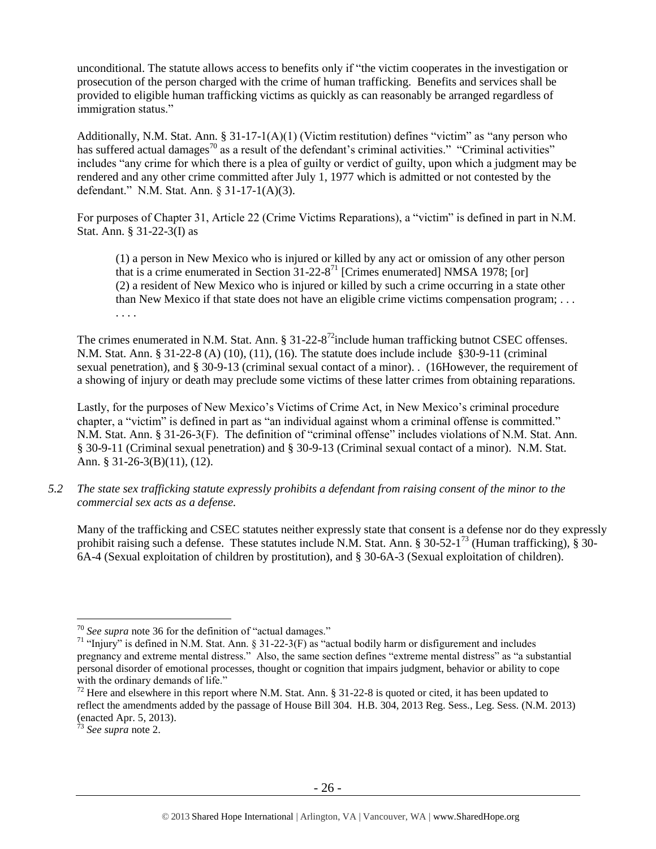unconditional. The statute allows access to benefits only if "the victim cooperates in the investigation or prosecution of the person charged with the crime of human trafficking. Benefits and services shall be provided to eligible human trafficking victims as quickly as can reasonably be arranged regardless of immigration status."

Additionally, N.M. Stat. Ann. § 31-17-1(A)(1) (Victim restitution) defines "victim" as "any person who has suffered actual damages<sup>70</sup> as a result of the defendant's criminal activities." "Criminal activities" includes "any crime for which there is a plea of guilty or verdict of guilty, upon which a judgment may be rendered and any other crime committed after July 1, 1977 which is admitted or not contested by the defendant." N.M. Stat. Ann. § 31-17-1(A)(3).

For purposes of Chapter 31, Article 22 (Crime Victims Reparations), a "victim" is defined in part in N.M. Stat. Ann. § 31-22-3(I) as

<span id="page-25-0"></span>(1) a person in New Mexico who is injured or killed by any act or omission of any other person that is a crime enumerated in Section  $31-22-8^{71}$  [Crimes enumerated] NMSA 1978; [or] (2) a resident of New Mexico who is injured or killed by such a crime occurring in a state other than New Mexico if that state does not have an eligible crime victims compensation program; . . . . . . .

The crimes enumerated in N.M. Stat. Ann.  $\S 31-22-8^{72}$  include human trafficking butnot CSEC offenses. N.M. Stat. Ann. § 31-22-8 (A) (10), (11), (16). The statute does include include §30-9-11 (criminal sexual penetration), and § 30-9-13 (criminal sexual contact of a minor). . (16However, the requirement of a showing of injury or death may preclude some victims of these latter crimes from obtaining reparations.

Lastly, for the purposes of New Mexico's Victims of Crime Act, in New Mexico's criminal procedure chapter, a "victim" is defined in part as "an individual against whom a criminal offense is committed." N.M. Stat. Ann. § 31-26-3(F). The definition of "criminal offense" includes violations of N.M. Stat. Ann. § 30-9-11 (Criminal sexual penetration) and § 30-9-13 (Criminal sexual contact of a minor). N.M. Stat. Ann. § 31-26-3(B)(11), (12).

*5.2 The state sex trafficking statute expressly prohibits a defendant from raising consent of the minor to the commercial sex acts as a defense.*

Many of the trafficking and CSEC statutes neither expressly state that consent is a defense nor do they expressly prohibit raising such a defense. These statutes include N.M. Stat. Ann. § 30-52-1<sup>73</sup> (Human trafficking), § 30-6A-4 (Sexual exploitation of children by prostitution), and § 30-6A-3 (Sexual exploitation of children).

<sup>70</sup> *See supra* note [36](#page-12-2) for the definition of "actual damages."

<sup>&</sup>lt;sup>71</sup> "Injury" is defined in N.M. Stat. Ann. § 31-22-3(F) as "actual bodily harm or disfigurement and includes pregnancy and extreme mental distress." Also, the same section defines "extreme mental distress" as "a substantial personal disorder of emotional processes, thought or cognition that impairs judgment, behavior or ability to cope with the ordinary demands of life."

<sup>&</sup>lt;sup>72</sup> Here and elsewhere in this report where N.M. Stat. Ann. § 31-22-8 is quoted or cited, it has been updated to reflect the amendments added by the passage of House Bill 304. H.B. 304, 2013 Reg. Sess., Leg. Sess. (N.M. 2013) (enacted Apr. 5, 2013).

<sup>73</sup> *See supra* note [2.](#page-0-0)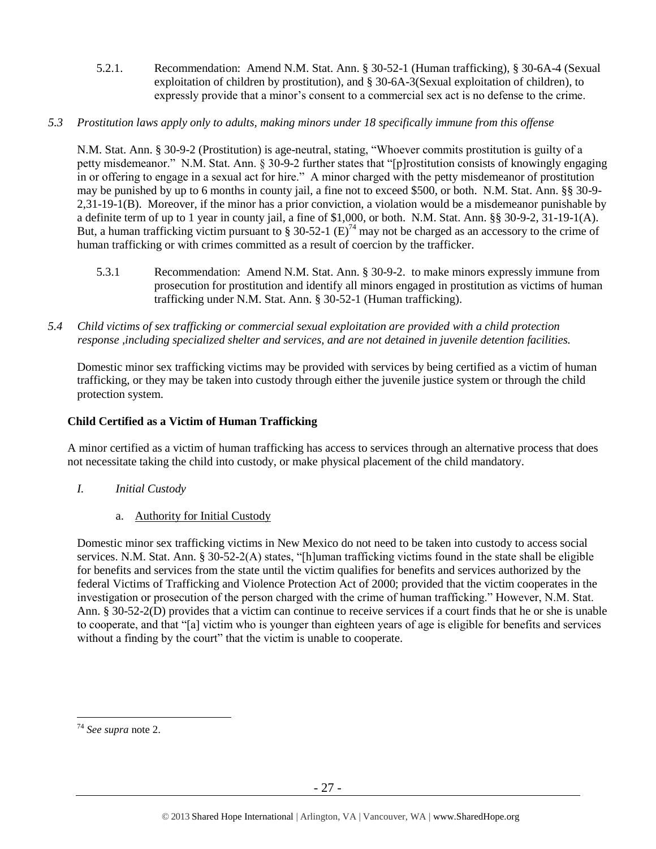- 5.2.1. Recommendation: Amend N.M. Stat. Ann. § 30-52-1 (Human trafficking), § 30-6A-4 (Sexual exploitation of children by prostitution), and § 30-6A-3(Sexual exploitation of children), to expressly provide that a minor's consent to a commercial sex act is no defense to the crime.
- *5.3 Prostitution laws apply only to adults, making minors under 18 specifically immune from this offense*

N.M. Stat. Ann. § 30-9-2 (Prostitution) is age-neutral, stating, "Whoever commits prostitution is guilty of a petty misdemeanor." N.M. Stat. Ann. § 30-9-2 further states that "[p]rostitution consists of knowingly engaging in or offering to engage in a sexual act for hire." A minor charged with the petty misdemeanor of prostitution may be punished by up to 6 months in county jail, a fine not to exceed \$500, or both. N.M. Stat. Ann. §§ 30-9- 2,31-19-1(B). Moreover, if the minor has a prior conviction, a violation would be a misdemeanor punishable by a definite term of up to 1 year in county jail, a fine of \$1,000, or both. N.M. Stat. Ann. §§ 30-9-2, 31-19-1(A). But, a human trafficking victim pursuant to § 30-52-1  $(E)^{74}$  may not be charged as an accessory to the crime of human trafficking or with crimes committed as a result of coercion by the trafficker.

- 5.3.1 Recommendation: Amend N.M. Stat. Ann. § 30-9-2. to make minors expressly immune from prosecution for prostitution and identify all minors engaged in prostitution as victims of human trafficking under N.M. Stat. Ann. § 30-52-1 (Human trafficking).
- *5.4 Child victims of sex trafficking or commercial sexual exploitation are provided with a child protection response ,including specialized shelter and services, and are not detained in juvenile detention facilities.*

Domestic minor sex trafficking victims may be provided with services by being certified as a victim of human trafficking, or they may be taken into custody through either the juvenile justice system or through the child protection system.

# **Child Certified as a Victim of Human Trafficking**

A minor certified as a victim of human trafficking has access to services through an alternative process that does not necessitate taking the child into custody, or make physical placement of the child mandatory.

- *I. Initial Custody*
	- a. Authority for Initial Custody

Domestic minor sex trafficking victims in New Mexico do not need to be taken into custody to access social services. N.M. Stat. Ann. § 30-52-2(A) states, "[h]uman trafficking victims found in the state shall be eligible for benefits and services from the state until the victim qualifies for benefits and services authorized by the federal Victims of Trafficking and Violence Protection Act of 2000; provided that the victim cooperates in the investigation or prosecution of the person charged with the crime of human trafficking." However, N.M. Stat. Ann. § 30-52-2(D) provides that a victim can continue to receive services if a court finds that he or she is unable to cooperate, and that "[a] victim who is younger than eighteen years of age is eligible for benefits and services without a finding by the court" that the victim is unable to cooperate.

 $\overline{a}$ <sup>74</sup> *See supra* note [2.](#page-0-0)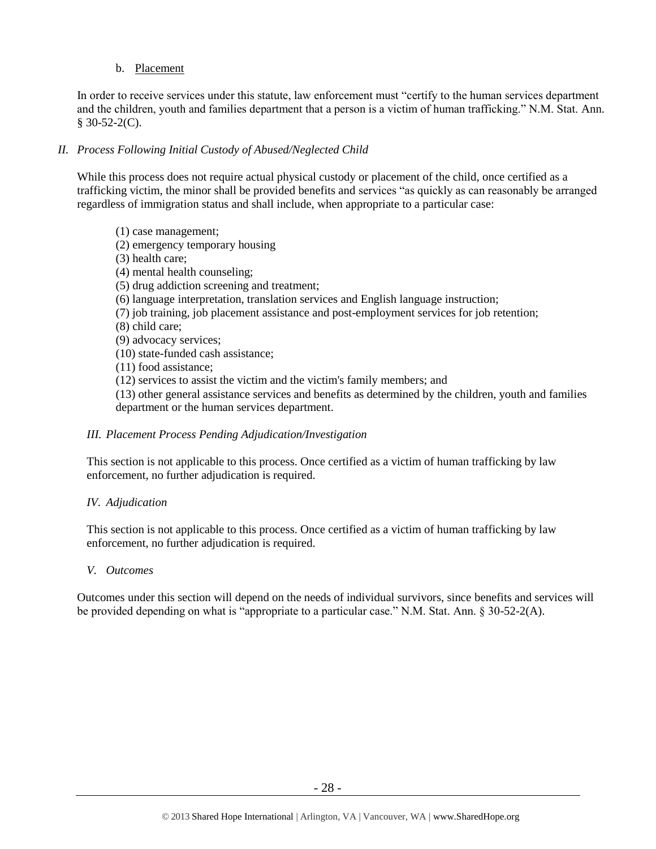## b. Placement

In order to receive services under this statute, law enforcement must "certify to the human services department and the children, youth and families department that a person is a victim of human trafficking." N.M. Stat. Ann.  $§$  30-52-2(C).

# *II. Process Following Initial Custody of Abused/Neglected Child*

While this process does not require actual physical custody or placement of the child, once certified as a trafficking victim, the minor shall be provided benefits and services "as quickly as can reasonably be arranged regardless of immigration status and shall include, when appropriate to a particular case:

(1) case management; (2) emergency temporary housing (3) health care; (4) mental health counseling; (5) drug addiction screening and treatment; (6) language interpretation, translation services and English language instruction; (7) job training, job placement assistance and post-employment services for job retention; (8) child care; (9) advocacy services; (10) state-funded cash assistance; (11) food assistance; (12) services to assist the victim and the victim's family members; and (13) other general assistance services and benefits as determined by the children, youth and families department or the human services department.

## *III. Placement Process Pending Adjudication/Investigation*

This section is not applicable to this process. Once certified as a victim of human trafficking by law enforcement, no further adjudication is required.

## *IV. Adjudication*

This section is not applicable to this process. Once certified as a victim of human trafficking by law enforcement, no further adjudication is required.

#### *V. Outcomes*

Outcomes under this section will depend on the needs of individual survivors, since benefits and services will be provided depending on what is "appropriate to a particular case." N.M. Stat. Ann. § 30-52-2(A).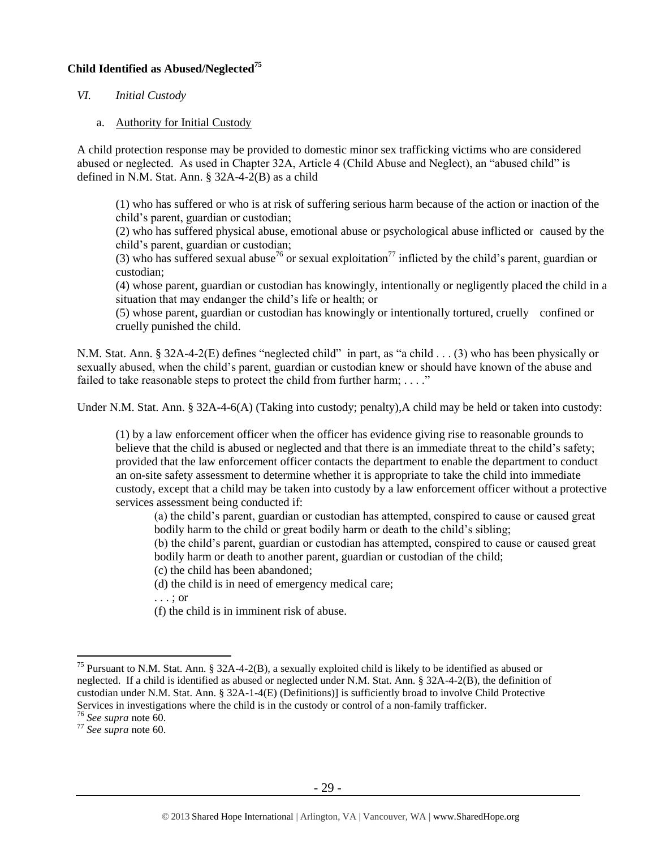## **Child Identified as Abused/Neglected<sup>75</sup>**

## *VI. Initial Custody*

a. Authority for Initial Custody

A child protection response may be provided to domestic minor sex trafficking victims who are considered abused or neglected. As used in Chapter 32A, Article 4 (Child Abuse and Neglect), an "abused child" is defined in N.M. Stat. Ann. § 32A-4-2(B) as a child

(1) who has suffered or who is at risk of suffering serious harm because of the action or inaction of the child's parent, guardian or custodian;

(2) who has suffered physical abuse, emotional abuse or psychological abuse inflicted or caused by the child's parent, guardian or custodian;

(3) who has suffered sexual abuse<sup>76</sup> or sexual exploitation<sup>77</sup> inflicted by the child's parent, guardian or custodian;

(4) whose parent, guardian or custodian has knowingly, intentionally or negligently placed the child in a situation that may endanger the child's life or health; or

(5) whose parent, guardian or custodian has knowingly or intentionally tortured, cruelly confined or cruelly punished the child.

N.M. Stat. Ann. § 32A-4-2(E) defines "neglected child" in part, as "a child . . . (3) who has been physically or sexually abused, when the child's parent, guardian or custodian knew or should have known of the abuse and failed to take reasonable steps to protect the child from further harm;  $\dots$ ."

Under N.M. Stat. Ann. § 32A-4-6(A) (Taking into custody; penalty),A child may be held or taken into custody:

(1) by a law enforcement officer when the officer has evidence giving rise to reasonable grounds to believe that the child is abused or neglected and that there is an immediate threat to the child's safety; provided that the law enforcement officer contacts the department to enable the department to conduct an on-site safety assessment to determine whether it is appropriate to take the child into immediate custody, except that a child may be taken into custody by a law enforcement officer without a protective services assessment being conducted if:

(a) the child's parent, guardian or custodian has attempted, conspired to cause or caused great bodily harm to the child or great bodily harm or death to the child's sibling;

(b) the child's parent, guardian or custodian has attempted, conspired to cause or caused great bodily harm or death to another parent, guardian or custodian of the child;

(c) the child has been abandoned;

(d) the child is in need of emergency medical care;

. . . ; or

(f) the child is in imminent risk of abuse.

<sup>&</sup>lt;sup>75</sup> Pursuant to N.M. Stat. Ann. § 32A-4-2(B), a sexually exploited child is likely to be identified as abused or neglected. If a child is identified as abused or neglected under N.M. Stat. Ann. § 32A-4-2(B), the definition of custodian under N.M. Stat. Ann. § 32A-1-4(E) (Definitions)] is sufficiently broad to involve Child Protective Services in investigations where the child is in the custody or control of a non-family trafficker.

<sup>76</sup> *See supra* note [60.](#page-19-0)

<sup>77</sup> *See supra* note [60.](#page-19-0)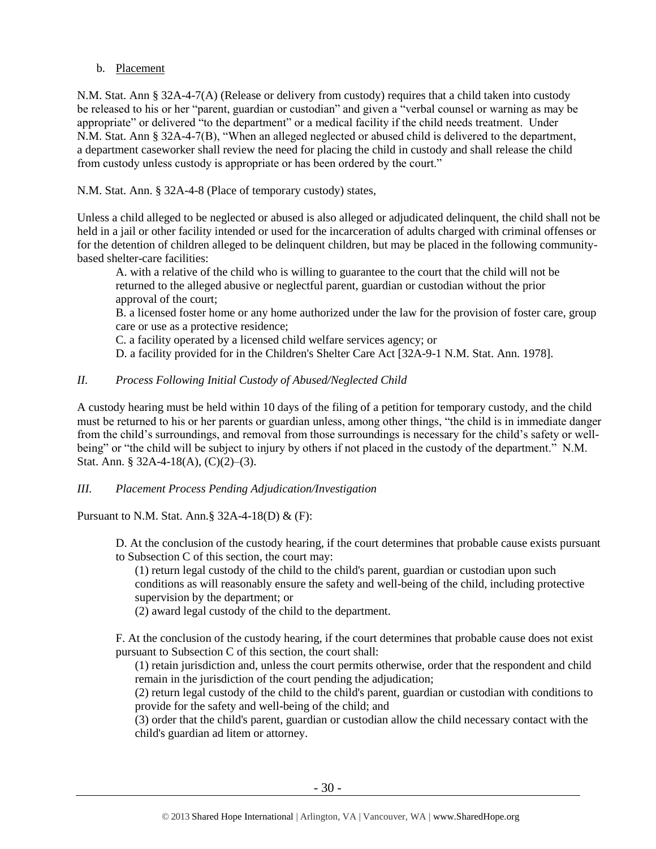## b. Placement

N.M. Stat. Ann § 32A-4-7(A) (Release or delivery from custody) requires that a child taken into custody be released to his or her "parent, guardian or custodian" and given a "verbal counsel or warning as may be appropriate" or delivered "to the department" or a medical facility if the child needs treatment. Under N.M. Stat. Ann § 32A-4-7(B), "When an alleged neglected or abused child is delivered to the department, a department caseworker shall review the need for placing the child in custody and shall release the child from custody unless custody is appropriate or has been ordered by the court."

N.M. Stat. Ann. § 32A-4-8 (Place of temporary custody) states,

Unless a child alleged to be neglected or abused is also alleged or adjudicated delinquent, the child shall not be held in a jail or other facility intended or used for the incarceration of adults charged with criminal offenses or for the detention of children alleged to be delinquent children, but may be placed in the following communitybased shelter-care facilities:

A. with a relative of the child who is willing to guarantee to the court that the child will not be returned to the alleged abusive or neglectful parent, guardian or custodian without the prior approval of the court;

B. a licensed foster home or any home authorized under the law for the provision of foster care, group care or use as a protective residence;

C. a facility operated by a licensed child welfare services agency; or

D. a facility provided for in the Children's Shelter Care Act [\[32A-9-1 N.M. Stat. Ann.](https://www.lexis.com/research/buttonTFLink?_m=f3bacb583c49889454f09349851234d8&_xfercite=%3ccite%20cc%3d%22USA%22%3e%3c%21%5bCDATA%5bN.M.%20Stat.%20Ann.%20%a7%2032A-4-8%5d%5d%3e%3c%2fcite%3e&_butType=4&_butStat=0&_butNum=2&_butInline=1&_butinfo=NMCODE%2032A-9-1&_fmtstr=FULL&docnum=1&_startdoc=1&wchp=dGLzVzb-zSkAA&_md5=6cecebf72e5f51549eea9cf382f0c2cb) 1978].

# *II. Process Following Initial Custody of Abused/Neglected Child*

A custody hearing must be held within 10 days of the filing of a petition for temporary custody, and the child must be returned to his or her parents or guardian unless, among other things, "the child is in immediate danger from the child's surroundings, and removal from those surroundings is necessary for the child's safety or wellbeing" or "the child will be subject to injury by others if not placed in the custody of the department." N.M. Stat. Ann. § 32A-4-18(A), (C)(2)–(3).

## *III. Placement Process Pending Adjudication/Investigation*

Pursuant to N.M. Stat. Ann.§ 32A-4-18(D) & (F):

D. At the conclusion of the custody hearing, if the court determines that probable cause exists pursuant to Subsection C of this section, the court may:

(1) return legal custody of the child to the child's parent, guardian or custodian upon such conditions as will reasonably ensure the safety and well-being of the child, including protective supervision by the department; or

(2) award legal custody of the child to the department.

F. At the conclusion of the custody hearing, if the court determines that probable cause does not exist pursuant to Subsection C of this section, the court shall:

(1) retain jurisdiction and, unless the court permits otherwise, order that the respondent and child remain in the jurisdiction of the court pending the adjudication;

(2) return legal custody of the child to the child's parent, guardian or custodian with conditions to provide for the safety and well-being of the child; and

(3) order that the child's parent, guardian or custodian allow the child necessary contact with the child's guardian ad litem or attorney.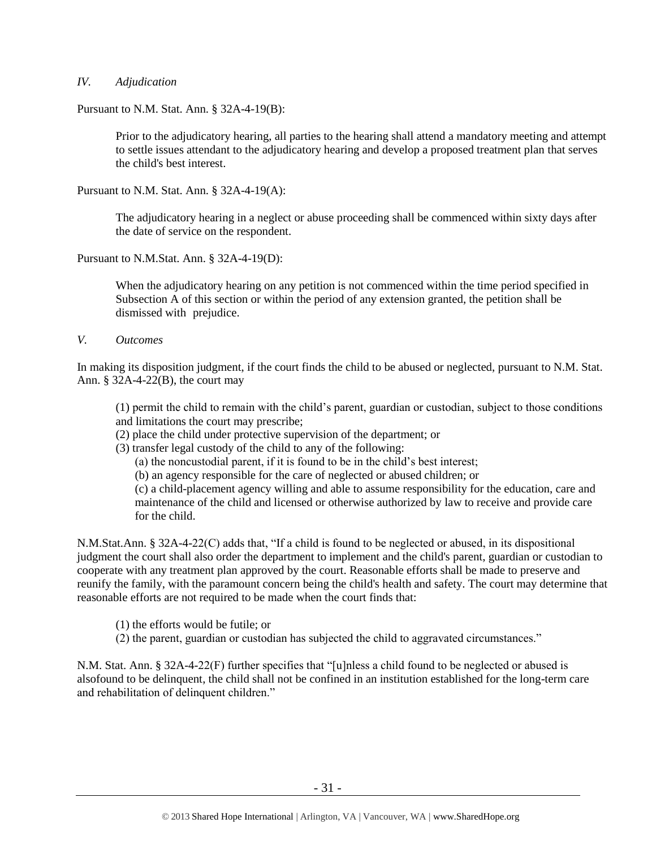## *IV. Adjudication*

Pursuant to N.M. Stat. Ann. § 32A-4-19(B):

Prior to the adjudicatory hearing, all parties to the hearing shall attend a mandatory meeting and attempt to settle issues attendant to the adjudicatory hearing and develop a proposed treatment plan that serves the child's best interest.

Pursuant to N.M. Stat. Ann. § 32A-4-19(A):

The adjudicatory hearing in a neglect or abuse proceeding shall be commenced within sixty days after the date of service on the respondent.

Pursuant to N.M.Stat. Ann. § 32A-4-19(D):

When the adjudicatory hearing on any petition is not commenced within the time period specified in Subsection A of this section or within the period of any extension granted, the petition shall be dismissed with prejudice.

*V. Outcomes*

In making its disposition judgment, if the court finds the child to be abused or neglected, pursuant to N.M. Stat. Ann. § 32A-4-22(B), the court may

(1) permit the child to remain with the child's parent, guardian or custodian, subject to those conditions and limitations the court may prescribe;

(2) place the child under protective supervision of the department; or

(3) transfer legal custody of the child to any of the following:

(a) the noncustodial parent, if it is found to be in the child's best interest;

(b) an agency responsible for the care of neglected or abused children; or

(c) a child-placement agency willing and able to assume responsibility for the education, care and maintenance of the child and licensed or otherwise authorized by law to receive and provide care for the child.

N.M.Stat.Ann. § 32A-4-22(C) adds that, "If a child is found to be neglected or abused, in its dispositional judgment the court shall also order the department to implement and the child's parent, guardian or custodian to cooperate with any treatment plan approved by the court. Reasonable efforts shall be made to preserve and reunify the family, with the paramount concern being the child's health and safety. The court may determine that reasonable efforts are not required to be made when the court finds that:

(1) the efforts would be futile; or

(2) the parent, guardian or custodian has subjected the child to aggravated circumstances."

N.M. Stat. Ann. § 32A-4-22(F) further specifies that "[u]nless a child found to be neglected or abused is alsofound to be delinquent, the child shall not be confined in an institution established for the long-term care and rehabilitation of delinquent children."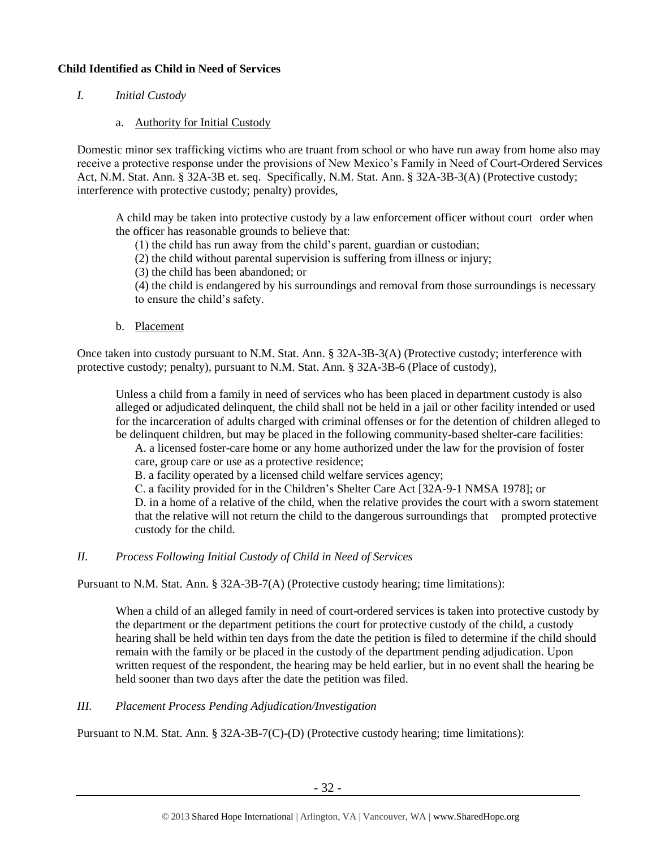# **Child Identified as Child in Need of Services**

- *I. Initial Custody*
	- a. Authority for Initial Custody

Domestic minor sex trafficking victims who are truant from school or who have run away from home also may receive a protective response under the provisions of New Mexico's Family in Need of Court-Ordered Services Act, N.M. Stat. Ann. § 32A-3B et. seq. Specifically, N.M. Stat. Ann. § 32A-3B-3(A) (Protective custody; interference with protective custody; penalty) provides,

A child may be taken into protective custody by a law enforcement officer without court order when the officer has reasonable grounds to believe that:

(1) the child has run away from the child's parent, guardian or custodian;

(2) the child without parental supervision is suffering from illness or injury;

(3) the child has been abandoned; or

(4) the child is endangered by his surroundings and removal from those surroundings is necessary to ensure the child's safety.

b. Placement

Once taken into custody pursuant to N.M. Stat. Ann. § 32A-3B-3(A) (Protective custody; interference with protective custody; penalty), pursuant to N.M. Stat. Ann. § 32A-3B-6 (Place of custody),

Unless a child from a family in need of services who has been placed in department custody is also alleged or adjudicated delinquent, the child shall not be held in a jail or other facility intended or used for the incarceration of adults charged with criminal offenses or for the detention of children alleged to be delinquent children, but may be placed in the following community-based shelter-care facilities:

A. a licensed foster-care home or any home authorized under the law for the provision of foster care, group care or use as a protective residence;

B. a facility operated by a licensed child welfare services agency;

C. a facility provided for in the Children's Shelter Care Act [32A-9-1 NMSA 1978]; or

D. in a home of a relative of the child, when the relative provides the court with a sworn statement that the relative will not return the child to the dangerous surroundings that prompted protective custody for the child.

## *II. Process Following Initial Custody of Child in Need of Services*

Pursuant to N.M. Stat. Ann. § 32A-3B-7(A) (Protective custody hearing; time limitations):

When a child of an alleged family in need of court-ordered services is taken into protective custody by the department or the department petitions the court for protective custody of the child, a custody hearing shall be held within ten days from the date the petition is filed to determine if the child should remain with the family or be placed in the custody of the department pending adjudication. Upon written request of the respondent, the hearing may be held earlier, but in no event shall the hearing be held sooner than two days after the date the petition was filed.

*III. Placement Process Pending Adjudication/Investigation*

Pursuant to N.M. Stat. Ann. § 32A-3B-7(C)-(D) (Protective custody hearing; time limitations):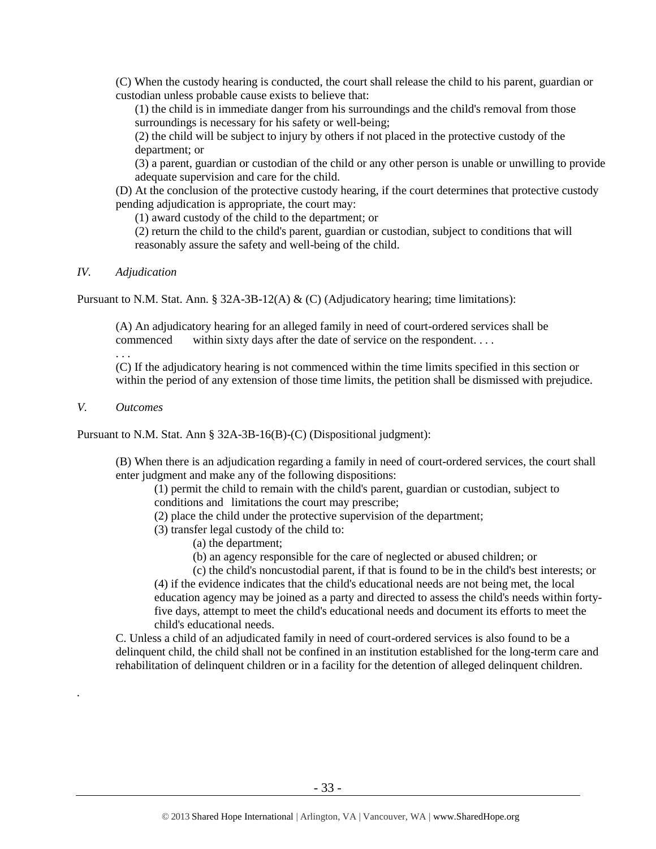(C) When the custody hearing is conducted, the court shall release the child to his parent, guardian or custodian unless probable cause exists to believe that:

(1) the child is in immediate danger from his surroundings and the child's removal from those surroundings is necessary for his safety or well-being;

(2) the child will be subject to injury by others if not placed in the protective custody of the department; or

(3) a parent, guardian or custodian of the child or any other person is unable or unwilling to provide adequate supervision and care for the child.

(D) At the conclusion of the protective custody hearing, if the court determines that protective custody pending adjudication is appropriate, the court may:

(1) award custody of the child to the department; or

(2) return the child to the child's parent, guardian or custodian, subject to conditions that will reasonably assure the safety and well-being of the child.

#### *IV. Adjudication*

Pursuant to N.M. Stat. Ann. § 32A-3B-12(A) & (C) (Adjudicatory hearing; time limitations):

(A) An adjudicatory hearing for an alleged family in need of court-ordered services shall be commenced within sixty days after the date of service on the respondent. . . .

. . .

(C) If the adjudicatory hearing is not commenced within the time limits specified in this section or within the period of any extension of those time limits, the petition shall be dismissed with prejudice.

# *V. Outcomes*

*.*

Pursuant to N.M. Stat. Ann § 32A-3B-16(B)-(C) (Dispositional judgment):

(B) When there is an adjudication regarding a family in need of court-ordered services, the court shall enter judgment and make any of the following dispositions:

(1) permit the child to remain with the child's parent, guardian or custodian, subject to conditions and limitations the court may prescribe;

(2) place the child under the protective supervision of the department;

- (3) transfer legal custody of the child to:
	- (a) the department;
		- (b) an agency responsible for the care of neglected or abused children; or

(c) the child's noncustodial parent, if that is found to be in the child's best interests; or (4) if the evidence indicates that the child's educational needs are not being met, the local education agency may be joined as a party and directed to assess the child's needs within fortyfive days, attempt to meet the child's educational needs and document its efforts to meet the child's educational needs.

C. Unless a child of an adjudicated family in need of court-ordered services is also found to be a delinquent child, the child shall not be confined in an institution established for the long-term care and rehabilitation of delinquent children or in a facility for the detention of alleged delinquent children.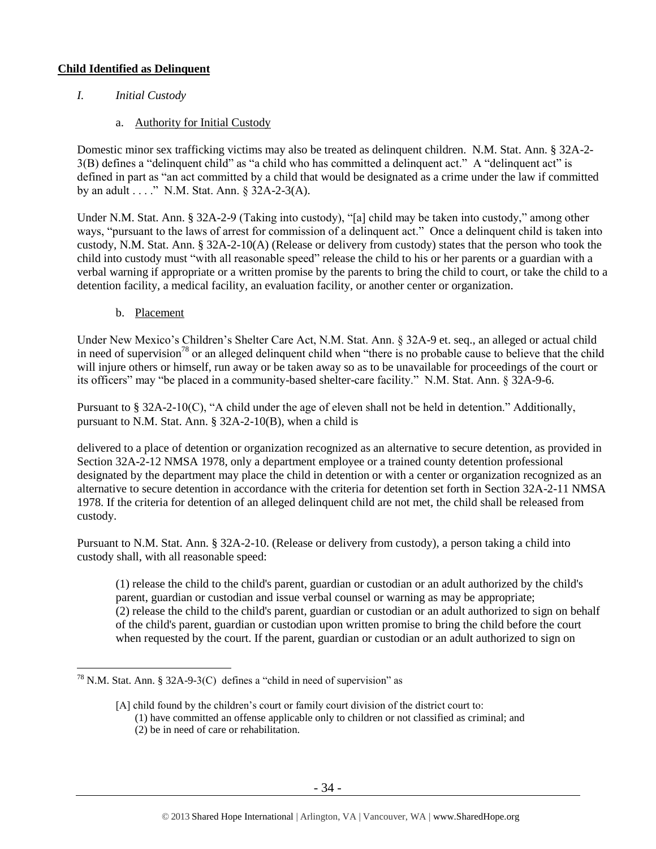# **Child Identified as Delinquent**

- *I. Initial Custody*
	- a. Authority for Initial Custody

Domestic minor sex trafficking victims may also be treated as delinquent children. N.M. Stat. Ann. § 32A-2- 3(B) defines a "delinquent child" as "a child who has committed a delinquent act." A "delinquent act" is defined in part as "an act committed by a child that would be designated as a crime under the law if committed by an adult . . . ." N.M. Stat. Ann. § 32A-2-3(A).

Under N.M. Stat. Ann. § 32A-2-9 (Taking into custody), "[a] child may be taken into custody," among other ways, "pursuant to the laws of arrest for commission of a delinquent act." Once a delinquent child is taken into custody, N.M. Stat. Ann. § 32A-2-10(A) (Release or delivery from custody) states that the person who took the child into custody must "with all reasonable speed" release the child to his or her parents or a guardian with a verbal warning if appropriate or a written promise by the parents to bring the child to court, or take the child to a detention facility, a medical facility, an evaluation facility, or another center or organization.

b. Placement

Under New Mexico's Children's Shelter Care Act, N.M. Stat. Ann. § 32A-9 et. seq., an alleged or actual child in need of supervision<sup>78</sup> or an alleged delinquent child when "there is no probable cause to believe that the child will injure others or himself, run away or be taken away so as to be unavailable for proceedings of the court or its officers" may "be placed in a community-based shelter-care facility." N.M. Stat. Ann. § 32A-9-6.

Pursuant to § 32A-2-10(C), "A child under the age of eleven shall not be held in detention." Additionally, pursuant to N.M. Stat. Ann. § 32A-2-10(B), when a child is

delivered to a place of detention or organization recognized as an alternative to secure detention, as provided in Section 32A-2-12 NMSA 1978, only a department employee or a trained county detention professional designated by the department may place the child in detention or with a center or organization recognized as an alternative to secure detention in accordance with the criteria for detention set forth in Section 32A-2-11 NMSA 1978. If the criteria for detention of an alleged delinquent child are not met, the child shall be released from custody.

Pursuant to N.M. Stat. Ann. § 32A-2-10. (Release or delivery from custody), a person taking a child into custody shall, with all reasonable speed:

(1) release the child to the child's parent, guardian or custodian or an adult authorized by the child's parent, guardian or custodian and issue verbal counsel or warning as may be appropriate; (2) release the child to the child's parent, guardian or custodian or an adult authorized to sign on behalf of the child's parent, guardian or custodian upon written promise to bring the child before the court when requested by the court. If the parent, guardian or custodian or an adult authorized to sign on

 $\overline{a}$ <sup>78</sup> N.M. Stat. Ann. § 32A-9-3(C) defines a "child in need of supervision" as

<sup>[</sup>A] child found by the children's court or family court division of the district court to: (1) have committed an offense applicable only to children or not classified as criminal; and (2) be in need of care or rehabilitation.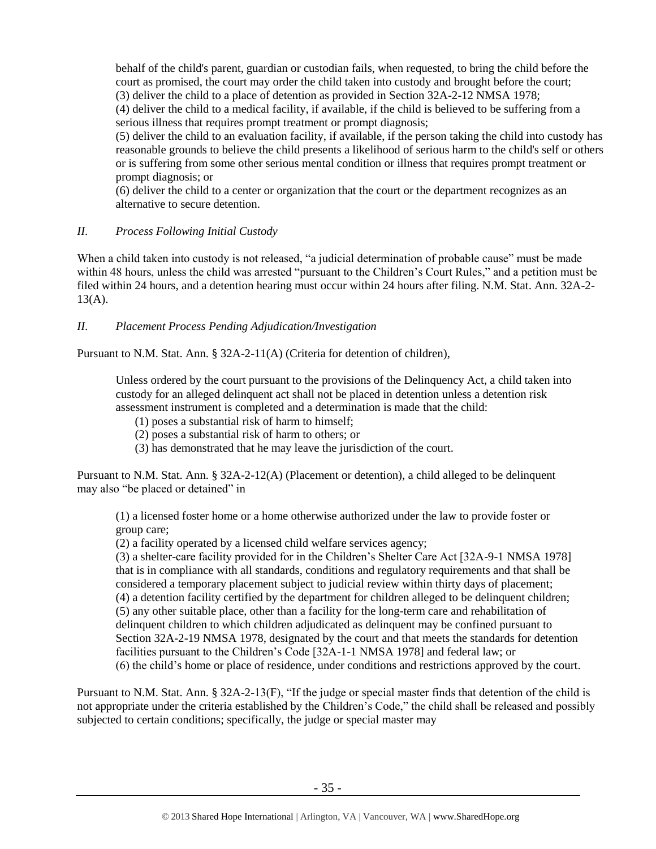behalf of the child's parent, guardian or custodian fails, when requested, to bring the child before the court as promised, the court may order the child taken into custody and brought before the court; (3) deliver the child to a place of detention as provided in Section 32A-2-12 NMSA 1978;

(4) deliver the child to a medical facility, if available, if the child is believed to be suffering from a serious illness that requires prompt treatment or prompt diagnosis;

(5) deliver the child to an evaluation facility, if available, if the person taking the child into custody has reasonable grounds to believe the child presents a likelihood of serious harm to the child's self or others or is suffering from some other serious mental condition or illness that requires prompt treatment or prompt diagnosis; or

(6) deliver the child to a center or organization that the court or the department recognizes as an alternative to secure detention.

# *II. Process Following Initial Custody*

When a child taken into custody is not released, "a judicial determination of probable cause" must be made within 48 hours, unless the child was arrested "pursuant to the Children's Court Rules," and a petition must be filed within 24 hours, and a detention hearing must occur within 24 hours after filing. N.M. Stat. Ann. 32A-2-  $13(A)$ .

# *II. Placement Process Pending Adjudication/Investigation*

Pursuant to N.M. Stat. Ann. § 32A-2-11(A) (Criteria for detention of children),

Unless ordered by the court pursuant to the provisions of the Delinquency Act, a child taken into custody for an alleged delinquent act shall not be placed in detention unless a detention risk assessment instrument is completed and a determination is made that the child:

(1) poses a substantial risk of harm to himself;

(2) poses a substantial risk of harm to others; or

(3) has demonstrated that he may leave the jurisdiction of the court.

Pursuant to N.M. Stat. Ann. § 32A-2-12(A) (Placement or detention), a child alleged to be delinquent may also "be placed or detained" in

(1) a licensed foster home or a home otherwise authorized under the law to provide foster or group care;

(2) a facility operated by a licensed child welfare services agency;

(3) a shelter-care facility provided for in the Children's Shelter Care Act [32A-9-1 NMSA 1978] that is in compliance with all standards, conditions and regulatory requirements and that shall be considered a temporary placement subject to judicial review within thirty days of placement; (4) a detention facility certified by the department for children alleged to be delinquent children; (5) any other suitable place, other than a facility for the long-term care and rehabilitation of delinquent children to which children adjudicated as delinquent may be confined pursuant to Section 32A-2-19 NMSA 1978, designated by the court and that meets the standards for detention facilities pursuant to the Children's Code [32A-1-1 NMSA 1978] and federal law; or (6) the child's home or place of residence, under conditions and restrictions approved by the court.

Pursuant to N.M. Stat. Ann. § 32A-2-13(F), "If the judge or special master finds that detention of the child is not appropriate under the criteria established by the Children's Code," the child shall be released and possibly subjected to certain conditions; specifically, the judge or special master may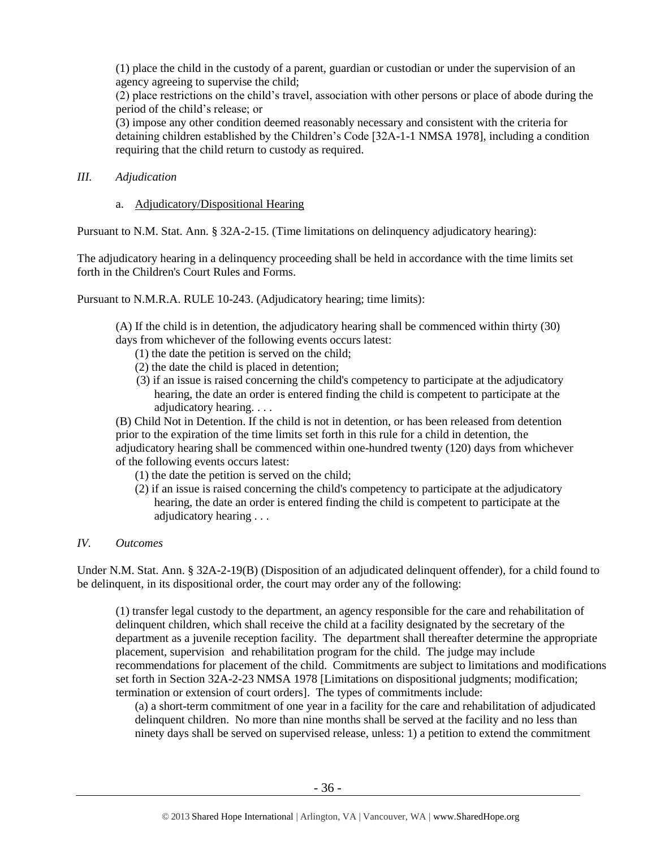(1) place the child in the custody of a parent, guardian or custodian or under the supervision of an agency agreeing to supervise the child;

(2) place restrictions on the child's travel, association with other persons or place of abode during the period of the child's release; or

(3) impose any other condition deemed reasonably necessary and consistent with the criteria for detaining children established by the Children's Code [32A-1-1 NMSA 1978], including a condition requiring that the child return to custody as required.

## *III. Adjudication*

a. Adjudicatory/Dispositional Hearing

Pursuant to N.M. Stat. Ann. § 32A-2-15. (Time limitations on delinquency adjudicatory hearing):

The adjudicatory hearing in a delinquency proceeding shall be held in accordance with the time limits set forth in the Children's Court Rules and Forms.

Pursuant to N.M.R.A. RULE 10-243. (Adjudicatory hearing; time limits):

(A) If the child is in detention, the adjudicatory hearing shall be commenced within thirty (30) days from whichever of the following events occurs latest:

- (1) the date the petition is served on the child;
- (2) the date the child is placed in detention;
- (3) if an issue is raised concerning the child's competency to participate at the adjudicatory hearing, the date an order is entered finding the child is competent to participate at the adjudicatory hearing. . . .

(B) Child Not in Detention. If the child is not in detention, or has been released from detention prior to the expiration of the time limits set forth in this rule for a child in detention, the adjudicatory hearing shall be commenced within one-hundred twenty (120) days from whichever of the following events occurs latest:

- (1) the date the petition is served on the child;
- (2) if an issue is raised concerning the child's competency to participate at the adjudicatory hearing, the date an order is entered finding the child is competent to participate at the adjudicatory hearing . . .

## *IV. Outcomes*

Under N.M. Stat. Ann. § 32A-2-19(B) (Disposition of an adjudicated delinquent offender), for a child found to be delinquent, in its dispositional order, the court may order any of the following:

(1) transfer legal custody to the department, an agency responsible for the care and rehabilitation of delinquent children, which shall receive the child at a facility designated by the secretary of the department as a juvenile reception facility. The department shall thereafter determine the appropriate placement, supervision and rehabilitation program for the child. The judge may include recommendations for placement of the child. Commitments are subject to limitations and modifications set forth in Section 32A-2-23 NMSA 1978 [Limitations on dispositional judgments; modification; termination or extension of court orders]. The types of commitments include:

(a) a short-term commitment of one year in a facility for the care and rehabilitation of adjudicated delinquent children. No more than nine months shall be served at the facility and no less than ninety days shall be served on supervised release, unless: 1) a petition to extend the commitment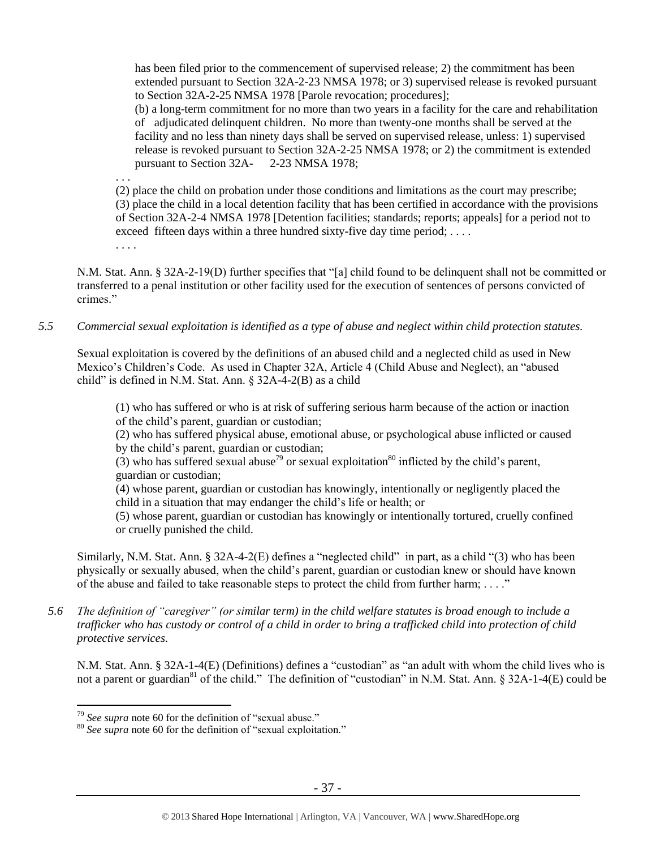has been filed prior to the commencement of supervised release; 2) the commitment has been extended pursuant to Section 32A-2-23 NMSA 1978; or 3) supervised release is revoked pursuant to Section 32A-2-25 NMSA 1978 [Parole revocation; procedures];

(b) a long-term commitment for no more than two years in a facility for the care and rehabilitation of adjudicated delinquent children. No more than twenty-one months shall be served at the facility and no less than ninety days shall be served on supervised release, unless: 1) supervised release is revoked pursuant to Section 32A-2-25 NMSA 1978; or 2) the commitment is extended pursuant to Section 32A- 2-23 NMSA 1978;

. . .

(2) place the child on probation under those conditions and limitations as the court may prescribe; (3) place the child in a local detention facility that has been certified in accordance with the provisions of Section 32A-2-4 NMSA 1978 [Detention facilities; standards; reports; appeals] for a period not to exceed fifteen days within a three hundred sixty-five day time period; .... . . . .

N.M. Stat. Ann. § 32A-2-19(D) further specifies that "[a] child found to be delinquent shall not be committed or transferred to a penal institution or other facility used for the execution of sentences of persons convicted of crimes."

*5.5 Commercial sexual exploitation is identified as a type of abuse and neglect within child protection statutes.*

Sexual exploitation is covered by the definitions of an abused child and a neglected child as used in New Mexico's Children's Code. As used in Chapter 32A, Article 4 (Child Abuse and Neglect), an "abused child" is defined in N.M. Stat. Ann. § 32A-4-2(B) as a child

(1) who has suffered or who is at risk of suffering serious harm because of the action or inaction of the child's parent, guardian or custodian;

(2) who has suffered physical abuse, emotional abuse, or psychological abuse inflicted or caused by the child's parent, guardian or custodian;

(3) who has suffered sexual abuse<sup>79</sup> or sexual exploitation<sup>80</sup> inflicted by the child's parent. guardian or custodian;

(4) whose parent, guardian or custodian has knowingly, intentionally or negligently placed the child in a situation that may endanger the child's life or health; or

(5) whose parent, guardian or custodian has knowingly or intentionally tortured, cruelly confined or cruelly punished the child.

Similarly, N.M. Stat. Ann. § 32A-4-2(E) defines a "neglected child" in part, as a child "(3) who has been physically or sexually abused, when the child's parent, guardian or custodian knew or should have known of the abuse and failed to take reasonable steps to protect the child from further harm; . . . ."

*5.6 The definition of "caregiver" (or similar term) in the child welfare statutes is broad enough to include a trafficker who has custody or control of a child in order to bring a trafficked child into protection of child protective services.*

N.M. Stat. Ann. § 32A-1-4(E) (Definitions) defines a "custodian" as "an adult with whom the child lives who is not a parent or guardian<sup>81</sup> of the child." The definition of "custodian" in N.M. Stat. Ann.  $\S$  32A-1-4(E) could be

 $\overline{a}$ <sup>79</sup> *See supra* note [60](#page-19-0) for the definition of "sexual abuse."

<sup>80</sup> *See supra* note [60](#page-19-0) for the definition of "sexual exploitation."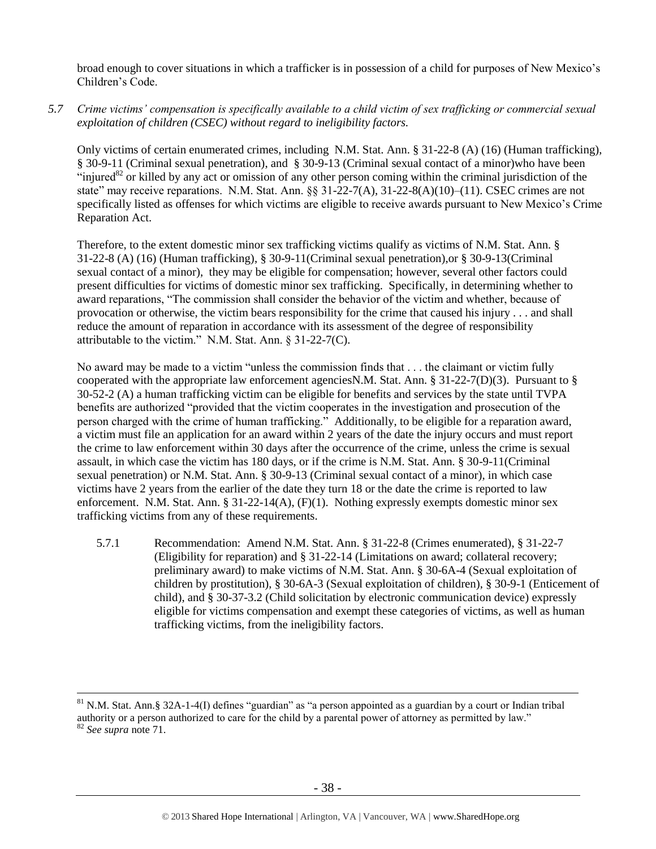broad enough to cover situations in which a trafficker is in possession of a child for purposes of New Mexico's Children's Code.

*5.7 Crime victims' compensation is specifically available to a child victim of sex trafficking or commercial sexual exploitation of children (CSEC) without regard to ineligibility factors.*

Only victims of certain enumerated crimes, including N.M. Stat. Ann. § 31-22-8 (A) (16) (Human trafficking), § 30-9-11 (Criminal sexual penetration), and § 30-9-13 (Criminal sexual contact of a minor)who have been "injured $82$  or killed by any act or omission of any other person coming within the criminal jurisdiction of the state" may receive reparations. N.M. Stat. Ann. §§ 31-22-7(A), 31-22-8(A)(10)–(11). CSEC crimes are not specifically listed as offenses for which victims are eligible to receive awards pursuant to New Mexico's Crime Reparation Act.

Therefore, to the extent domestic minor sex trafficking victims qualify as victims of N.M. Stat. Ann. § 31-22-8 (A) (16) (Human trafficking), § 30-9-11(Criminal sexual penetration),or § 30-9-13(Criminal sexual contact of a minor), they may be eligible for compensation; however, several other factors could present difficulties for victims of domestic minor sex trafficking. Specifically, in determining whether to award reparations, "The commission shall consider the behavior of the victim and whether, because of provocation or otherwise, the victim bears responsibility for the crime that caused his injury . . . and shall reduce the amount of reparation in accordance with its assessment of the degree of responsibility attributable to the victim." N.M. Stat. Ann. § 31-22-7(C).

No award may be made to a victim "unless the commission finds that . . . the claimant or victim fully cooperated with the appropriate law enforcement agenciesN.M. Stat. Ann. § 31-22-7(D)(3). Pursuant to § 30-52-2 (A) a human trafficking victim can be eligible for benefits and services by the state until TVPA benefits are authorized "provided that the victim cooperates in the investigation and prosecution of the person charged with the crime of human trafficking." Additionally, to be eligible for a reparation award, a victim must file an application for an award within 2 years of the date the injury occurs and must report the crime to law enforcement within 30 days after the occurrence of the crime, unless the crime is sexual assault, in which case the victim has 180 days, or if the crime is N.M. Stat. Ann. § 30-9-11(Criminal sexual penetration) or N.M. Stat. Ann. § 30-9-13 (Criminal sexual contact of a minor), in which case victims have 2 years from the earlier of the date they turn 18 or the date the crime is reported to law enforcement. N.M. Stat. Ann. § 31-22-14(A), (F)(1). Nothing expressly exempts domestic minor sex trafficking victims from any of these requirements.

5.7.1 Recommendation: Amend N.M. Stat. Ann. § 31-22-8 (Crimes enumerated), § 31-22-7 (Eligibility for reparation) and § 31-22-14 (Limitations on award; collateral recovery; preliminary award) to make victims of N.M. Stat. Ann. § 30-6A-4 (Sexual exploitation of children by prostitution), § 30-6A-3 (Sexual exploitation of children), § 30-9-1 (Enticement of child), and § 30-37-3.2 (Child solicitation by electronic communication device) expressly eligible for victims compensation and exempt these categories of victims, as well as human trafficking victims, from the ineligibility factors.

 $81$  N.M. Stat. Ann. § 32A-1-4(I) defines "guardian" as "a person appointed as a guardian by a court or Indian tribal authority or a person authorized to care for the child by a parental power of attorney as permitted by law." <sup>82</sup> *See supra* note [71.](#page-25-0)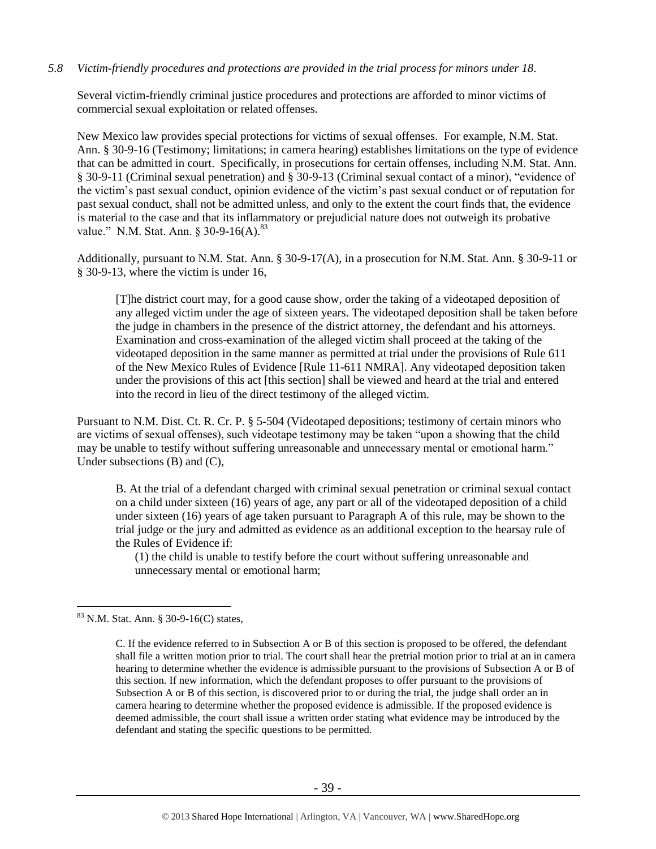## *5.8 Victim-friendly procedures and protections are provided in the trial process for minors under 18.*

Several victim-friendly criminal justice procedures and protections are afforded to minor victims of commercial sexual exploitation or related offenses.

New Mexico law provides special protections for victims of sexual offenses. For example, N.M. Stat. Ann. § 30-9-16 (Testimony; limitations; in camera hearing) establishes limitations on the type of evidence that can be admitted in court. Specifically, in prosecutions for certain offenses, including N.M. Stat. Ann. § 30-9-11 (Criminal sexual penetration) and § 30-9-13 (Criminal sexual contact of a minor), "evidence of the victim's past sexual conduct, opinion evidence of the victim's past sexual conduct or of reputation for past sexual conduct, shall not be admitted unless, and only to the extent the court finds that, the evidence is material to the case and that its inflammatory or prejudicial nature does not outweigh its probative value." N.M. Stat. Ann.  $\S 30-9-16(A)$ .  $83$ 

Additionally, pursuant to N.M. Stat. Ann. § 30-9-17(A), in a prosecution for N.M. Stat. Ann. § 30-9-11 or § 30-9-13, where the victim is under 16,

[T]he district court may, for a good cause show, order the taking of a videotaped deposition of any alleged victim under the age of sixteen years. The videotaped deposition shall be taken before the judge in chambers in the presence of the district attorney, the defendant and his attorneys. Examination and cross-examination of the alleged victim shall proceed at the taking of the videotaped deposition in the same manner as permitted at trial under the provisions of Rule 611 of the New Mexico Rules of Evidence [Rule 11-611 NMRA]. Any videotaped deposition taken under the provisions of this act [this section] shall be viewed and heard at the trial and entered into the record in lieu of the direct testimony of the alleged victim.

Pursuant to N.M. Dist. Ct. R. Cr. P. § 5-504 (Videotaped depositions; testimony of certain minors who are victims of sexual offenses), such videotape testimony may be taken "upon a showing that the child may be unable to testify without suffering unreasonable and unnecessary mental or emotional harm." Under subsections (B) and (C),

B. At the trial of a defendant charged with criminal sexual penetration or criminal sexual contact on a child under sixteen (16) years of age, any part or all of the videotaped deposition of a child under sixteen (16) years of age taken pursuant to Paragraph A of this rule, may be shown to the trial judge or the jury and admitted as evidence as an additional exception to the hearsay rule of the Rules of Evidence if:

(1) the child is unable to testify before the court without suffering unreasonable and unnecessary mental or emotional harm;

<sup>83</sup> N.M. Stat. Ann. § 30-9-16(C) states,

C. If the evidence referred to in Subsection A or B of this section is proposed to be offered, the defendant shall file a written motion prior to trial. The court shall hear the pretrial motion prior to trial at an in camera hearing to determine whether the evidence is admissible pursuant to the provisions of Subsection A or B of this section. If new information, which the defendant proposes to offer pursuant to the provisions of Subsection A or B of this section, is discovered prior to or during the trial, the judge shall order an in camera hearing to determine whether the proposed evidence is admissible. If the proposed evidence is deemed admissible, the court shall issue a written order stating what evidence may be introduced by the defendant and stating the specific questions to be permitted.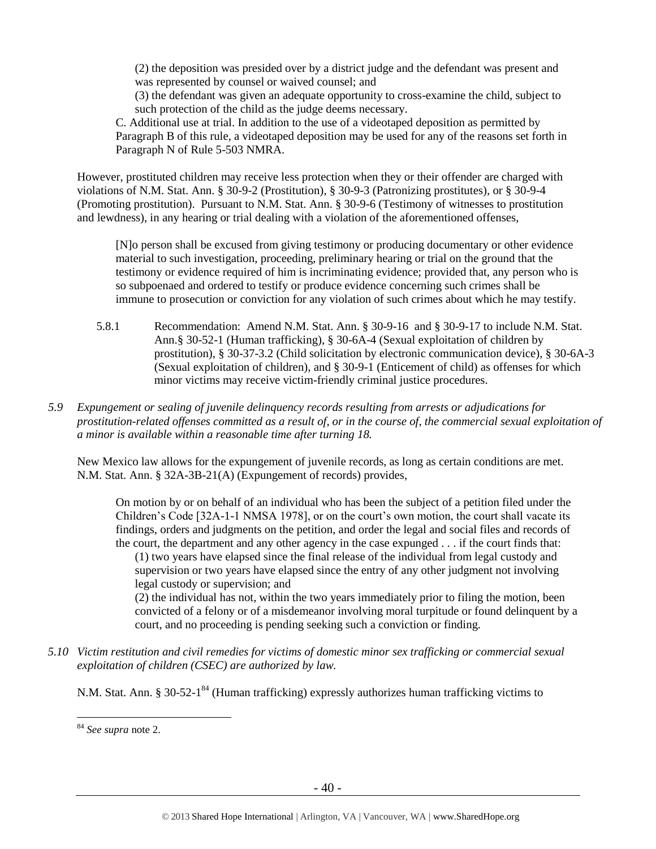(2) the deposition was presided over by a district judge and the defendant was present and was represented by counsel or waived counsel; and

(3) the defendant was given an adequate opportunity to cross-examine the child, subject to such protection of the child as the judge deems necessary.

C. Additional use at trial. In addition to the use of a videotaped deposition as permitted by Paragraph B of this rule, a videotaped deposition may be used for any of the reasons set forth in Paragraph N of Rule 5-503 NMRA.

However, prostituted children may receive less protection when they or their offender are charged with violations of N.M. Stat. Ann. § 30-9-2 (Prostitution), § 30-9-3 (Patronizing prostitutes), or § 30-9-4 (Promoting prostitution). Pursuant to N.M. Stat. Ann. § 30-9-6 (Testimony of witnesses to prostitution and lewdness), in any hearing or trial dealing with a violation of the aforementioned offenses,

[N]o person shall be excused from giving testimony or producing documentary or other evidence material to such investigation, proceeding, preliminary hearing or trial on the ground that the testimony or evidence required of him is incriminating evidence; provided that, any person who is so subpoenaed and ordered to testify or produce evidence concerning such crimes shall be immune to prosecution or conviction for any violation of such crimes about which he may testify.

- 5.8.1 Recommendation: Amend N.M. Stat. Ann. § 30-9-16 and § 30-9-17 to include N.M. Stat. Ann.§ 30-52-1 (Human trafficking), § 30-6A-4 (Sexual exploitation of children by prostitution), § 30-37-3.2 (Child solicitation by electronic communication device), § 30-6A-3 (Sexual exploitation of children), and § 30-9-1 (Enticement of child) as offenses for which minor victims may receive victim-friendly criminal justice procedures.
- *5.9 Expungement or sealing of juvenile delinquency records resulting from arrests or adjudications for prostitution-related offenses committed as a result of, or in the course of, the commercial sexual exploitation of a minor is available within a reasonable time after turning 18.*

New Mexico law allows for the expungement of juvenile records, as long as certain conditions are met. N.M. Stat. Ann. § 32A-3B-21(A) (Expungement of records) provides,

On motion by or on behalf of an individual who has been the subject of a petition filed under the Children's Code [32A-1-1 NMSA 1978], or on the court's own motion, the court shall vacate its findings, orders and judgments on the petition, and order the legal and social files and records of the court, the department and any other agency in the case expunged . . . if the court finds that:

(1) two years have elapsed since the final release of the individual from legal custody and supervision or two years have elapsed since the entry of any other judgment not involving legal custody or supervision; and

(2) the individual has not, within the two years immediately prior to filing the motion, been convicted of a felony or of a misdemeanor involving moral turpitude or found delinquent by a court, and no proceeding is pending seeking such a conviction or finding.

*5.10 Victim restitution and civil remedies for victims of domestic minor sex trafficking or commercial sexual exploitation of children (CSEC) are authorized by law.*

N.M. Stat. Ann. § 30-52-1<sup>84</sup> (Human trafficking) expressly authorizes human trafficking victims to

<sup>84</sup> *See supra* note [2.](#page-0-0)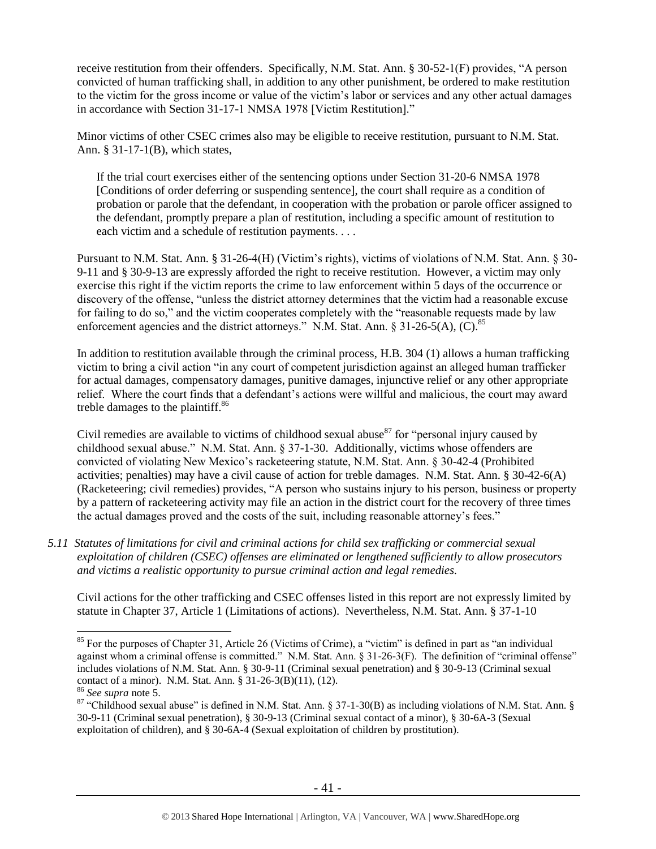receive restitution from their offenders. Specifically, N.M. Stat. Ann. § 30-52-1(F) provides, "A person convicted of human trafficking shall, in addition to any other punishment, be ordered to make restitution to the victim for the gross income or value of the victim's labor or services and any other actual damages in accordance with Section 31-17-1 NMSA 1978 [Victim Restitution]."

Minor victims of other CSEC crimes also may be eligible to receive restitution, pursuant to N.M. Stat. Ann. § 31-17-1(B), which states,

If the trial court exercises either of the sentencing options under Section 31-20-6 NMSA 1978 [Conditions of order deferring or suspending sentence], the court shall require as a condition of probation or parole that the defendant, in cooperation with the probation or parole officer assigned to the defendant, promptly prepare a plan of restitution, including a specific amount of restitution to each victim and a schedule of restitution payments. . . .

Pursuant to N.M. Stat. Ann. § 31-26-4(H) (Victim's rights), victims of violations of N.M. Stat. Ann. § 30- 9-11 and § 30-9-13 are expressly afforded the right to receive restitution. However, a victim may only exercise this right if the victim reports the crime to law enforcement within 5 days of the occurrence or discovery of the offense, "unless the district attorney determines that the victim had a reasonable excuse for failing to do so," and the victim cooperates completely with the "reasonable requests made by law enforcement agencies and the district attorneys." N.M. Stat. Ann. § 31-26-5(A),  $(\hat{C})$ .<sup>85</sup>

In addition to restitution available through the criminal process, H.B. 304 (1) allows a human trafficking victim to bring a civil action "in any court of competent jurisdiction against an alleged human trafficker for actual damages, compensatory damages, punitive damages, injunctive relief or any other appropriate relief. Where the court finds that a defendant's actions were willful and malicious, the court may award treble damages to the plaintiff.<sup>86</sup>

Civil remedies are available to victims of childhood sexual abuse  $87$  for "personal injury caused by childhood sexual abuse." N.M. Stat. Ann. § 37-1-30. Additionally, victims whose offenders are convicted of violating New Mexico's racketeering statute, N.M. Stat. Ann. § 30-42-4 (Prohibited activities; penalties) may have a civil cause of action for treble damages. N.M. Stat. Ann. § 30-42-6(A) (Racketeering; civil remedies) provides, "A person who sustains injury to his person, business or property by a pattern of racketeering activity may file an action in the district court for the recovery of three times the actual damages proved and the costs of the suit, including reasonable attorney's fees."

*5.11 Statutes of limitations for civil and criminal actions for child sex trafficking or commercial sexual exploitation of children (CSEC) offenses are eliminated or lengthened sufficiently to allow prosecutors and victims a realistic opportunity to pursue criminal action and legal remedies.*

Civil actions for the other trafficking and CSEC offenses listed in this report are not expressly limited by statute in Chapter 37, Article 1 (Limitations of actions). Nevertheless, N.M. Stat. Ann. § 37-1-10

<sup>&</sup>lt;sup>85</sup> For the purposes of Chapter 31, Article 26 (Victims of Crime), a "victim" is defined in part as "an individual against whom a criminal offense is committed." N.M. Stat. Ann. § 31-26-3(F). The definition of "criminal offense" includes violations of N.M. Stat. Ann. § 30-9-11 (Criminal sexual penetration) and § 30-9-13 (Criminal sexual contact of a minor). N.M. Stat. Ann. § 31-26-3(B)(11), (12).

<sup>86</sup> *See supra* note [5.](#page-1-2)

<sup>87 &</sup>quot;Childhood sexual abuse" is defined in N.M. Stat. Ann. § 37-1-30(B) as including violations of N.M. Stat. Ann. § 30-9-11 (Criminal sexual penetration), § 30-9-13 (Criminal sexual contact of a minor), § 30-6A-3 (Sexual exploitation of children), and § 30-6A-4 (Sexual exploitation of children by prostitution).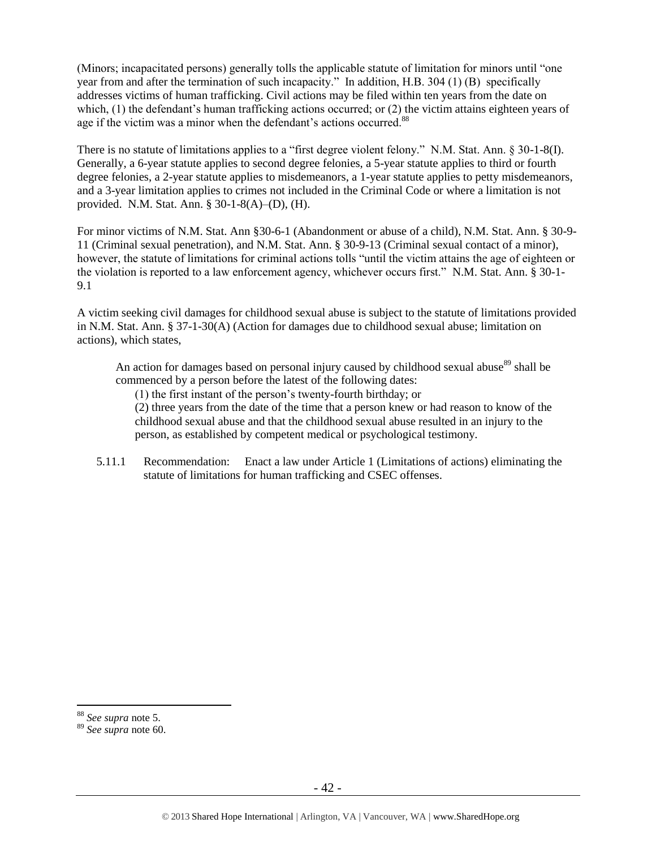(Minors; incapacitated persons) generally tolls the applicable statute of limitation for minors until "one year from and after the termination of such incapacity." In addition, H.B. 304 (1) (B) specifically addresses victims of human trafficking. Civil actions may be filed within ten years from the date on which, (1) the defendant's human trafficking actions occurred; or (2) the victim attains eighteen years of age if the victim was a minor when the defendant's actions occurred.<sup>88</sup>

There is no statute of limitations applies to a "first degree violent felony." N.M. Stat. Ann. § 30-1-8(I). Generally, a 6-year statute applies to second degree felonies, a 5-year statute applies to third or fourth degree felonies, a 2-year statute applies to misdemeanors, a 1-year statute applies to petty misdemeanors, and a 3-year limitation applies to crimes not included in the Criminal Code or where a limitation is not provided. N.M. Stat. Ann. § 30-1-8(A)–(D), (H).

For minor victims of N.M. Stat. Ann §30-6-1 (Abandonment or abuse of a child), N.M. Stat. Ann. § 30-9- 11 (Criminal sexual penetration), and N.M. Stat. Ann. § 30-9-13 (Criminal sexual contact of a minor), however, the statute of limitations for criminal actions tolls "until the victim attains the age of eighteen or the violation is reported to a law enforcement agency, whichever occurs first." N.M. Stat. Ann. § 30-1- 9.1

A victim seeking civil damages for childhood sexual abuse is subject to the statute of limitations provided in N.M. Stat. Ann. § 37-1-30(A) (Action for damages due to childhood sexual abuse; limitation on actions), which states,

An action for damages based on personal injury caused by childhood sexual abuse<sup>89</sup> shall be commenced by a person before the latest of the following dates:

(1) the first instant of the person's twenty-fourth birthday; or

(2) three years from the date of the time that a person knew or had reason to know of the childhood sexual abuse and that the childhood sexual abuse resulted in an injury to the person, as established by competent medical or psychological testimony.

5.11.1 Recommendation: Enact a law under Article 1 (Limitations of actions) eliminating the statute of limitations for human trafficking and CSEC offenses.

<sup>88</sup> *See supra* note [5.](#page-1-2)

<sup>89</sup> *See supra* note [60.](#page-19-0)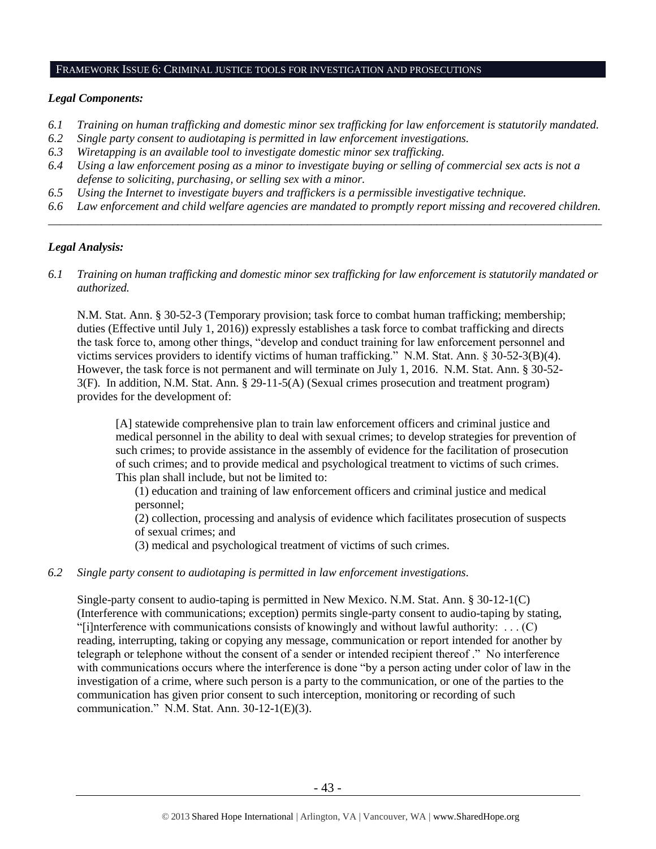#### FRAMEWORK ISSUE 6: CRIMINAL JUSTICE TOOLS FOR INVESTIGATION AND PROSECUTIONS

## *Legal Components:*

- *6.1 Training on human trafficking and domestic minor sex trafficking for law enforcement is statutorily mandated.*
- *6.2 Single party consent to audiotaping is permitted in law enforcement investigations.*
- *6.3 Wiretapping is an available tool to investigate domestic minor sex trafficking.*
- *6.4 Using a law enforcement posing as a minor to investigate buying or selling of commercial sex acts is not a defense to soliciting, purchasing, or selling sex with a minor.*
- *6.5 Using the Internet to investigate buyers and traffickers is a permissible investigative technique.*
- *6.6 Law enforcement and child welfare agencies are mandated to promptly report missing and recovered children. \_\_\_\_\_\_\_\_\_\_\_\_\_\_\_\_\_\_\_\_\_\_\_\_\_\_\_\_\_\_\_\_\_\_\_\_\_\_\_\_\_\_\_\_\_\_\_\_\_\_\_\_\_\_\_\_\_\_\_\_\_\_\_\_\_\_\_\_\_\_\_\_\_\_\_\_\_\_\_\_\_\_\_\_\_\_\_\_\_\_\_\_\_\_*

# *Legal Analysis:*

*6.1 Training on human trafficking and domestic minor sex trafficking for law enforcement is statutorily mandated or authorized.*

N.M. Stat. Ann. § 30-52-3 (Temporary provision; task force to combat human trafficking; membership; duties (Effective until July 1, 2016)) expressly establishes a task force to combat trafficking and directs the task force to, among other things, "develop and conduct training for law enforcement personnel and victims services providers to identify victims of human trafficking." N.M. Stat. Ann. § 30-52-3(B)(4). However, the task force is not permanent and will terminate on July 1, 2016. N.M. Stat. Ann. § 30-52- 3(F). In addition, N.M. Stat. Ann. § 29-11-5(A) (Sexual crimes prosecution and treatment program) provides for the development of:

[A] statewide comprehensive plan to train law enforcement officers and criminal justice and medical personnel in the ability to deal with sexual crimes; to develop strategies for prevention of such crimes; to provide assistance in the assembly of evidence for the facilitation of prosecution of such crimes; and to provide medical and psychological treatment to victims of such crimes. This plan shall include, but not be limited to:

(1) education and training of law enforcement officers and criminal justice and medical personnel;

(2) collection, processing and analysis of evidence which facilitates prosecution of suspects of sexual crimes; and

(3) medical and psychological treatment of victims of such crimes.

## *6.2 Single party consent to audiotaping is permitted in law enforcement investigations.*

Single-party consent to audio-taping is permitted in New Mexico. N.M. Stat. Ann. § 30-12-1(C) (Interference with communications; exception) permits single-party consent to audio-taping by stating, "[i]nterference with communications consists of knowingly and without lawful authority: . . . (C) reading, interrupting, taking or copying any message, communication or report intended for another by telegraph or telephone without the consent of a sender or intended recipient thereof ." No interference with communications occurs where the interference is done "by a person acting under color of law in the investigation of a crime, where such person is a party to the communication, or one of the parties to the communication has given prior consent to such interception, monitoring or recording of such communication." N.M. Stat. Ann. 30-12-1(E)(3).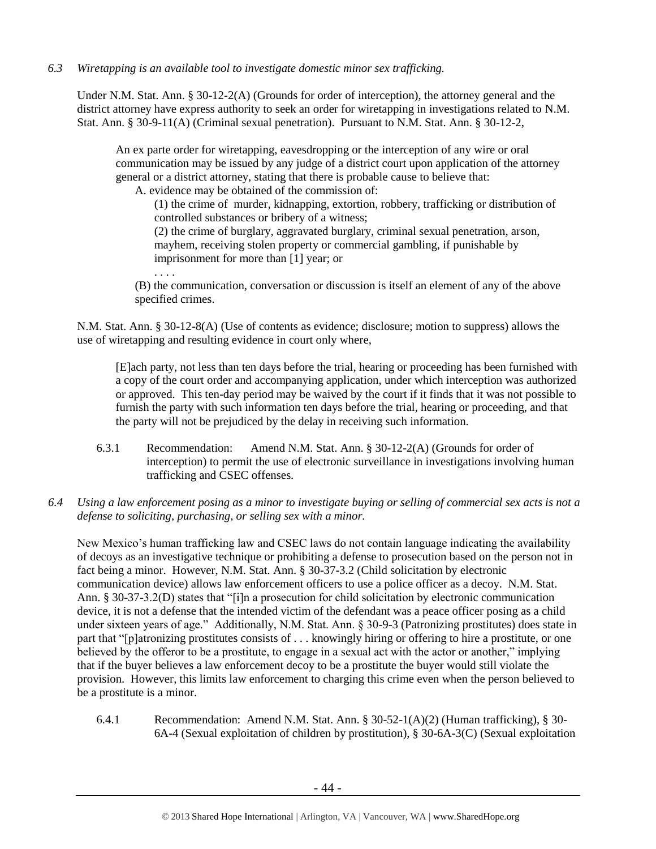*6.3 Wiretapping is an available tool to investigate domestic minor sex trafficking.* 

Under N.M. Stat. Ann. § 30-12-2(A) (Grounds for order of interception), the attorney general and the district attorney have express authority to seek an order for wiretapping in investigations related to N.M. Stat. Ann. § 30-9-11(A) (Criminal sexual penetration). Pursuant to N.M. Stat. Ann. § 30-12-2,

An ex parte order for wiretapping, eavesdropping or the interception of any wire or oral communication may be issued by any judge of a district court upon application of the attorney general or a district attorney, stating that there is probable cause to believe that:

A. evidence may be obtained of the commission of:

. . . .

(1) the crime of murder, kidnapping, extortion, robbery, trafficking or distribution of controlled substances or bribery of a witness;

(2) the crime of burglary, aggravated burglary, criminal sexual penetration, arson, mayhem, receiving stolen property or commercial gambling, if punishable by imprisonment for more than [1] year; or

(B) the communication, conversation or discussion is itself an element of any of the above specified crimes.

N.M. Stat. Ann. § 30-12-8(A) (Use of contents as evidence; disclosure; motion to suppress) allows the use of wiretapping and resulting evidence in court only where,

[E]ach party, not less than ten days before the trial, hearing or proceeding has been furnished with a copy of the court order and accompanying application, under which interception was authorized or approved. This ten-day period may be waived by the court if it finds that it was not possible to furnish the party with such information ten days before the trial, hearing or proceeding, and that the party will not be prejudiced by the delay in receiving such information.

- 6.3.1 Recommendation: Amend N.M. Stat. Ann. § 30-12-2(A) (Grounds for order of interception) to permit the use of electronic surveillance in investigations involving human trafficking and CSEC offenses.
- *6.4 Using a law enforcement posing as a minor to investigate buying or selling of commercial sex acts is not a defense to soliciting, purchasing, or selling sex with a minor.*

New Mexico's human trafficking law and CSEC laws do not contain language indicating the availability of decoys as an investigative technique or prohibiting a defense to prosecution based on the person not in fact being a minor. However, N.M. Stat. Ann. § 30-37-3.2 (Child solicitation by electronic communication device) allows law enforcement officers to use a police officer as a decoy. N.M. Stat. Ann. § 30-37-3.2(D) states that "[i]n a prosecution for child solicitation by electronic communication device, it is not a defense that the intended victim of the defendant was a peace officer posing as a child under sixteen years of age." Additionally, N.M. Stat. Ann. § 30-9-3 (Patronizing prostitutes) does state in part that "[p]atronizing prostitutes consists of . . . knowingly hiring or offering to hire a prostitute, or one believed by the offeror to be a prostitute, to engage in a sexual act with the actor or another," implying that if the buyer believes a law enforcement decoy to be a prostitute the buyer would still violate the provision. However, this limits law enforcement to charging this crime even when the person believed to be a prostitute is a minor.

6.4.1 Recommendation: Amend N.M. Stat. Ann. § 30-52-1(A)(2) (Human trafficking), § 30- 6A-4 (Sexual exploitation of children by prostitution), § 30-6A-3(C) (Sexual exploitation